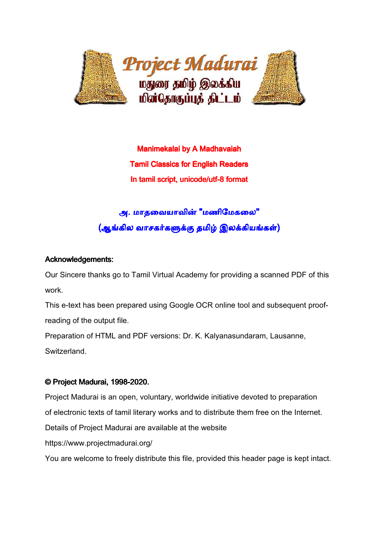

**Manimekalai by A Madhavaiah Tamil Classics for English Readers** In tamil script, unicode/utf-8 format

## அ. மாதவையாவின் "மணிமேகலை" (ஆங்கில வாசகர்களுக்கு தமிழ் இலக்கியங்கள்)

### Acknowledgements: Acknowledgements:

Our Sincere thanks go to Tamil Virtual Academy for providing a scanned PDF of this work.

This e-text has been prepared using Google OCR online tool and subsequent proofreading of the output file.

Preparation of HTML and PDF versions: Dr. K. Kalyanasundaram, Lausanne,

Switzerland.

## © Project Madurai, 1998-2020.

Project Madurai is an open, voluntary, worldwide initiative devoted to preparation of electronic texts of tamil literary works and to distribute them free on the Internet. Details of Project Madurai are available at the website https://www.projectmadurai.org/

You are welcome to freely distribute this file, provided this header page is kept intact.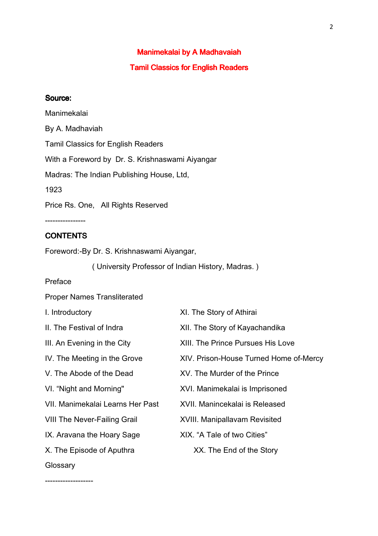# Manimekalai by A Madhavaiah

### **Tamil Classics for English Readers**

#### Source:

Manimekalai By A. Madhaviah Tamil Classics for English Readers With a Foreword by Dr. S. Krishnaswami Aiyangar Madras: The Indian Publishing House, Ltd, 1923 Price Rs. One, All Rights Reserved ----------------

### **CONTENTS**

Foreword:-By Dr. S. Krishnaswami Aiyangar,

( University Professor of Indian History, Madras. )

Preface

Proper Names Transliterated

| I. Introductory                     | XI. The Story of Athirai                 |
|-------------------------------------|------------------------------------------|
| II. The Festival of Indra           | XII. The Story of Kayachandika           |
| III. An Evening in the City         | <b>XIII. The Prince Pursues His Love</b> |
| IV. The Meeting in the Grove        | XIV. Prison-House Turned Home of-Mercy   |
| V. The Abode of the Dead            | XV. The Murder of the Prince             |
| VI. "Night and Morning"             | XVI. Manimekalai is Imprisoned           |
| VII. Manimekalai Learns Her Past    | XVII. Manincekalai is Released           |
| <b>VIII The Never-Failing Grail</b> | <b>XVIII. Manipallavam Revisited</b>     |
| IX. Aravana the Hoary Sage          | XIX. "A Tale of two Cities"              |
| X. The Episode of Aputhra           | XX. The End of the Story                 |
| Glossary                            |                                          |

-------------------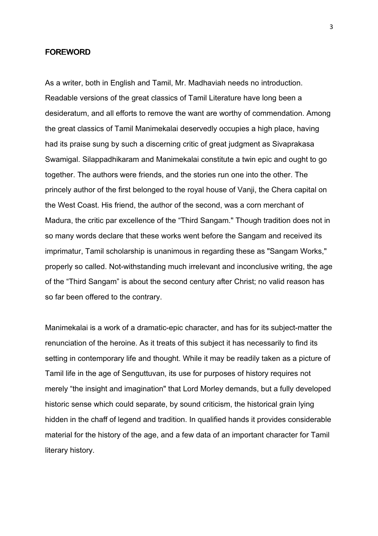#### FOREWORD

As a writer, both in English and Tamil, Mr. Madhaviah needs no introduction. Readable versions of the great classics of Tamil Literature have long been a desideratum, and all efforts to remove the want are worthy of commendation. Among the great classics of Tamil Manimekalai deservedly occupies a high place, having had its praise sung by such a discerning critic of great judgment as Sivaprakasa Swamigal. Silappadhikaram and Manimekalai constitute a twin epic and ought to go together. The authors were friends, and the stories run one into the other. The princely author of the first belonged to the royal house of Vanji, the Chera capital on the West Coast. His friend, the author of the second, was a corn merchant of Madura, the critic par excellence of the "Third Sangam." Though tradition does not in so many words declare that these works went before the Sangam and received its imprimatur, Tamil scholarship is unanimous in regarding these as "Sangam Works," properly so called. Not-withstanding much irrelevant and inconclusive writing, the age of the "Third Sangam" is about the second century after Christ; no valid reason has so far been offered to the contrary.

Manimekalai is a work of a dramatic-epic character, and has for its subject-matter the renunciation of the heroine. As it treats of this subject it has necessarily to find its setting in contemporary life and thought. While it may be readily taken as a picture of Tamil life in the age of Senguttuvan, its use for purposes of history requires not merely "the insight and imagination" that Lord Morley demands, but a fully developed historic sense which could separate, by sound criticism, the historical grain lying hidden in the chaff of legend and tradition. In qualified hands it provides considerable material for the history of the age, and a few data of an important character for Tamil literary history.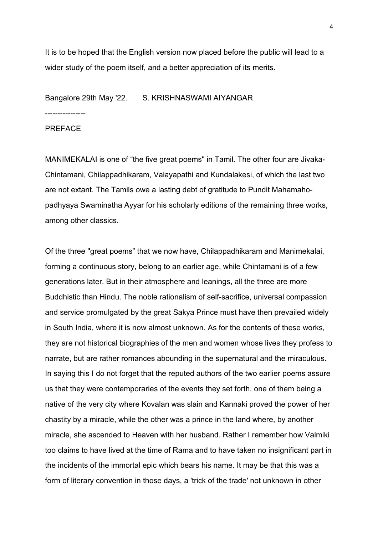It is to be hoped that the English version now placed before the public will lead to a wider study of the poem itself, and a better appreciation of its merits.

Bangalore 29th May '22. S. KRISHNASWAMI AIYANGAR

---------------- PREFACE

MANIMEKALAI is one of "the five great poems" in Tamil. The other four are Jivaka-Chintamani, Chilappadhikaram, Valayapathi and Kundalakesi, of which the last two are not extant. The Tamils owe a lasting debt of gratitude to Pundit Mahamahopadhyaya Swaminatha Ayyar for his scholarly editions of the remaining three works, among other classics.

Of the three "great poems" that we now have, Chilappadhikaram and Manimekalai, forming a continuous story, belong to an earlier age, while Chintamani is of a few generations later. But in their atmosphere and leanings, all the three are more Buddhistic than Hindu. The noble rationalism of self-sacrifice, universal compassion and service promulgated by the great Sakya Prince must have then prevailed widely in South India, where it is now almost unknown. As for the contents of these works, they are not historical biographies of the men and women whose lives they profess to narrate, but are rather romances abounding in the supernatural and the miraculous. In saying this I do not forget that the reputed authors of the two earlier poems assure us that they were contemporaries of the events they set forth, one of them being a native of the very city where Kovalan was slain and Kannaki proved the power of her chastity by a miracle, while the other was a prince in the land where, by another miracle, she ascended to Heaven with her husband. Rather I remember how Valmiki too claims to have lived at the time of Rama and to have taken no insignificant part in the incidents of the immortal epic which bears his name. It may be that this was a form of literary convention in those days, a 'trick of the trade' not unknown in other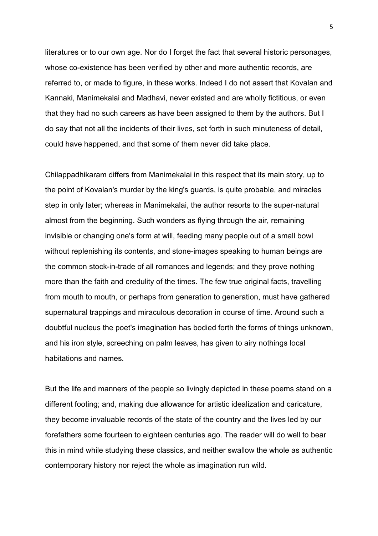literatures or to our own age. Nor do I forget the fact that several historic personages, whose co-existence has been verified by other and more authentic records, are referred to, or made to figure, in these works. Indeed I do not assert that Kovalan and Kannaki, Manimekalai and Madhavi, never existed and are wholly fictitious, or even that they had no such careers as have been assigned to them by the authors. But I do say that not all the incidents of their lives, set forth in such minuteness of detail, could have happened, and that some of them never did take place.

Chilappadhikaram differs from Manimekalai in this respect that its main story, up to the point of Kovalan's murder by the king's guards, is quite probable, and miracles step in only later; whereas in Manimekalai, the author resorts to the super-natural almost from the beginning. Such wonders as flying through the air, remaining invisible or changing one's form at will, feeding many people out of a small bowl without replenishing its contents, and stone-images speaking to human beings are the common stock-in-trade of all romances and legends; and they prove nothing more than the faith and credulity of the times. The few true original facts, travelling from mouth to mouth, or perhaps from generation to generation, must have gathered supernatural trappings and miraculous decoration in course of time. Around such a doubtful nucleus the poet's imagination has bodied forth the forms of things unknown, and his iron style, screeching on palm leaves, has given to airy nothings local habitations and names.

But the life and manners of the people so livingly depicted in these poems stand on a different footing; and, making due allowance for artistic idealization and caricature, they become invaluable records of the state of the country and the lives led by our forefathers some fourteen to eighteen centuries ago. The reader will do well to bear this in mind while studying these classics, and neither swallow the whole as authentic contemporary history nor reject the whole as imagination run wild.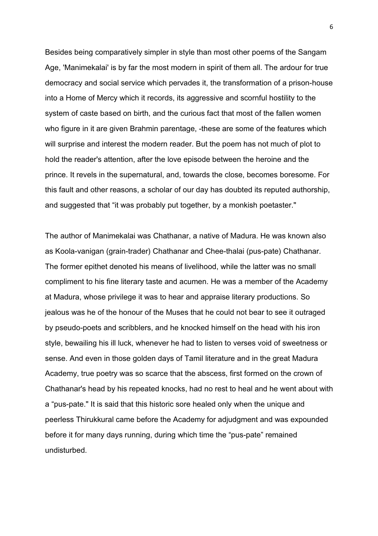Besides being comparatively simpler in style than most other poems of the Sangam Age, 'Manimekalai' is by far the most modern in spirit of them all. The ardour for true democracy and social service which pervades it, the transformation of a prison-house into a Home of Mercy which it records, its aggressive and scornful hostility to the system of caste based on birth, and the curious fact that most of the fallen women who figure in it are given Brahmin parentage, -these are some of the features which will surprise and interest the modern reader. But the poem has not much of plot to hold the reader's attention, after the love episode between the heroine and the prince. It revels in the supernatural, and, towards the close, becomes boresome. For this fault and other reasons, a scholar of our day has doubted its reputed authorship, and suggested that "it was probably put together, by a monkish poetaster."

The author of Manimekalai was Chathanar, a native of Madura. He was known also as Koola-vanigan (grain-trader) Chathanar and Chee-thalai (pus-pate) Chathanar. The former epithet denoted his means of livelihood, while the latter was no small compliment to his fine literary taste and acumen. He was a member of the Academy at Madura, whose privilege it was to hear and appraise literary productions. So jealous was he of the honour of the Muses that he could not bear to see it outraged by pseudo-poets and scribblers, and he knocked himself on the head with his iron style, bewailing his ill luck, whenever he had to listen to verses void of sweetness or sense. And even in those golden days of Tamil literature and in the great Madura Academy, true poetry was so scarce that the abscess, first formed on the crown of Chathanar's head by his repeated knocks, had no rest to heal and he went about with a "pus-pate." It is said that this historic sore healed only when the unique and peerless Thirukkural came before the Academy for adjudgment and was expounded before it for many days running, during which time the "pus-pate" remained undisturbed.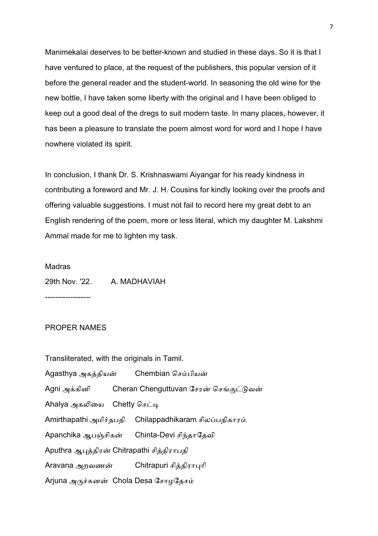Manimekalai deserves to be better-known and studied in these days. So it is that I have ventured to place, at the request of the publishers, this popular version of it before the general reader and the student-world. In seasoning the old wine for the new bottle, I have taken some liberty with the original and I have been obliged to keep out a good deal of the dregs to suit modern taste. In many places, however, it has been a pleasure to translate the poem almost word for word and I hope I have nowhere violated its spirit.

In conclusion, I thank Dr. S. Krishnaswami Aiyangar for his ready kindness in contributing a foreword and Mr. J. H. Cousins for kindly looking over the proofs and offering valuable suggestions. I must not fail to record here my great debt to an English rendering of the poem, more or less literal, which my daughter M. Lakshmi Ammal made for me to lighten my task.

#### **Madras**

29th Nov. '22. A. MADHAVIAH

------------------

#### PROPER NAMES

| Transliterated, with the originals in Tamil. |  |                                                              |  |
|----------------------------------------------|--|--------------------------------------------------------------|--|
|                                              |  | Agasthya அகத்தியன் Chembian செம்பியன்                        |  |
|                                              |  | Agni அக்கினி         Cheran Chenguttuvan சேரன் செங்குட்டுவன் |  |
| Ahalya அகலியை Chetty செட்டி                  |  |                                                              |  |
|                                              |  | Amirthapathi அமிர்தபதி Chilappadhikaram சிலப்பதிகாரம்        |  |
|                                              |  | Apanchika ஆபஞ்சிகன் Chinta-Devi சிந்தாதேவி                   |  |
| Aputhra ஆபுத்திரன் Chitrapathi சித்திராபதி   |  |                                                              |  |
|                                              |  | Aravana அறவணன் Chitrapuri சித்திராபுரி                       |  |
| Arjuna அருச்சுனன் Chola Desa சோழதேசம்        |  |                                                              |  |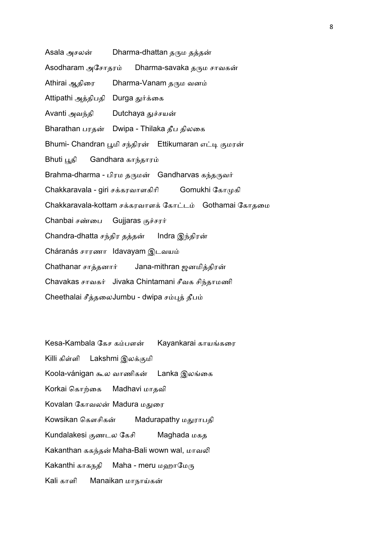Asala அசலன் Dharma-dhattan தரும தத்தன்

Asodharam அேசாதர Dharma-savaka தரும சாவகன்

Athirai ஆதிரை Dharma-Vanam தரும வனம்

Attipathi அத்திபதி Durga துர்க்கை

Avanti அவந்தி Dutchaya துச்சயன்

Bharathan பரதன் Dwipa - Thilaka தீப திலகை

Bhumi- Chandran பூமி சந்திரன் Ettikumaran எட்டி குமரன்

Bhuti பூதி Gandhara காந்தாரம்

Brahma-dharma - பிரம தருமன் Gandharvas கந்தருவர்

Chakkaravala - giri சக்கரவாளகிரி Gomukhi கோமுகி

Chakkaravala-kottam சக்கரவாளக் கோட்டம் Gothamai கோதமை

Chanbai சண்பை Gujjaras குச்சரர்

Chandra-dhatta சந்திர தத்தன் Indra இந்திரன்

Cháranás சாரணா Idavayam இடவய

Chathanar சாத்தனார் Jana-mithran ஜனமித்திரன்

Chavakas சாவகர் Jivaka Chintamani சீவக சிந்தாமணி

Cheethalai சீத்தலைJumbu - dwipa சம்புத் தீபம்

Kesa-Kambala கேச கம்பளன் Kayankarai காயங்கரை Killi கிள்ளி Lakshmi இலக்குமி Koola-vánigan கூல வாணிகன் Lanka இலங்கை Korkai கொற்கை Madhavi மாதவி Kovalan கோவலன் Madura மதுரை Kowsikan கௌசிகன் Madurapathy மதுராபதி Kundalakesi ணடல ேகசி Maghada மகத Kakanthan ககந்தன் Maha-Bali wown wal, மாவலி Kakanthi காகநதி Maha - meru மஹாமேரு Kali காளி Manaikan மாநாய்கன்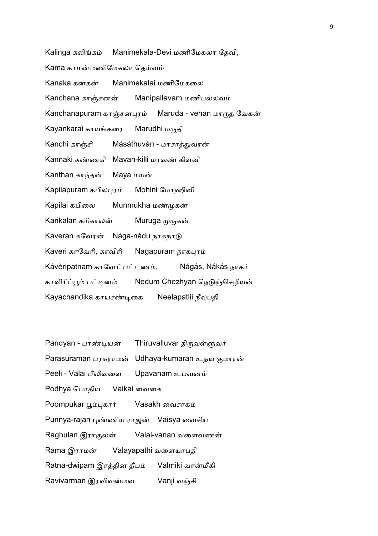Kalinga கக Manimekala-Devi மணிமேகலா தேவி, Kama காமன்மணிமேகலா தெய்வம் Kanaka கனகன் Manimekalai மணிமேகலை Kanchana காஞ்சனன் Manipallavam மணிபல்லவம் Kanchanapuram காஞ்சனபுரம் Maruda - vehan மாருத வேகன் Kayankarai காயங்கரை Marudhi மருதி Kanchi காஞ்சி Másáthuván - மாசாத்துவான் Kannaki கண்ணகி Mayan-killi மாவண் கிளவி Kanthan காந்தன் Maya மயன் Kapilapuram கபிலபுரம் Mohini ேமாஹினி Kapilai கபிலை Munmukha மண்முகன் Karikalan கரிகாலன் Muruga முருகன் Kaveran கவேரன் Nága-nádu நாகநாடு Kaveri காவேரி, காவிரி Nagapuram நாகபுரம் Kávèripatnam காவேரி பட்டணம், Nágás, Nákás நாகர் காவிரிப்பூம் பட்டினம் Nedum Chezhyan நெடுஞ்செழியன் Kayachandika காயசண்டிகை Neelapatlii நீலபதி

|                                                  | Pandyan - பாண்டியன் Thiruvalluvar திருவள்ளுவர்   |  |
|--------------------------------------------------|--------------------------------------------------|--|
|                                                  | Parasuraman பரசுராமன் Udhaya-kumaran உதய குமாரன் |  |
| Peeli - Valai பீலிவளை Upavanam உபவனம்            |                                                  |  |
| Podhya பொதிய Vaikai வைகை                         |                                                  |  |
| Poompukar பூம்புகார் Vasakh வைசாகம்              |                                                  |  |
| Punnya-rajan புண்ணிய ராஜன் Vaisya வைசிய          |                                                  |  |
|                                                  | Raghulan இராகுலன் Valai-vanan வளைவணன்            |  |
| Rama இராமன் Valayapathi வளையாபதி                 |                                                  |  |
| Ratna-dwipam இரத்தின தீபம்      Valmiki வான்மீகி |                                                  |  |
| Ravivarman இரவிவன்மன                             | Vanji வஞ்சி                                      |  |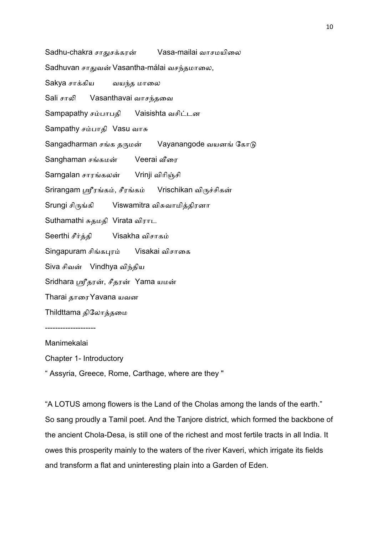Sadhu-chakra சாதுசக்கரன் Vasa-mailai வாசமயிலை

Sadhuvan சாதுவன் Vasantha-málai வசந்தமாலை,

Sakya சாக்கிய வயந்த மாலை

Sali சாலி Vasanthavai வாசந்தவை

Sampapathy சம்பாபதி Vaisishta வசிட்டன

Sampathy ச பாதி Vasu வா&

Sangadharman சங்க தருமன் Vayanangode வயனங் கோடு

Sanghaman சங்கமன் Veerai வீரை

Sarngalan சாரங்கலன் Vrinji விரிஞ்சி

Srirangam ஸ்ரீரங்கம், சீரங்கம் Vrischikan விருச்சிகன்

Srungi சிருங்கி Viswamitra விசுவாமித்திரனா

Suthamathi &தமதி Virata விராட

Seerthi சீர்த்தி Visakha விசாகம்

Singapuram சிங்கபுரம் Visakai விசாைக

Siva சிவன் Vindhya விந்திய

Sridhara ஸ்ரீதரன், சீதரன் Yama யமன்

Tharai தாைர Yavana யவன

Thildttama திேலாதைம

--------------------

Manimekalai

Chapter 1- Introductory

" Assyria, Greece, Rome, Carthage, where are they "

"A LOTUS among flowers is the Land of the Cholas among the lands of the earth." So sang proudly a Tamil poet. And the Tanjore district, which formed the backbone of the ancient Chola-Desa, is still one of the richest and most fertile tracts in all India. It owes this prosperity mainly to the waters of the river Kaveri, which irrigate its fields and transform a flat and uninteresting plain into a Garden of Eden.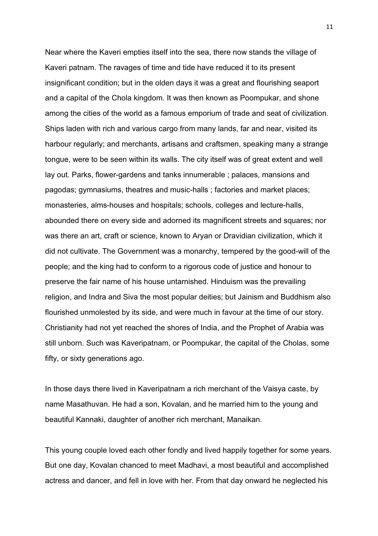Near where the Kaveri empties itself into the sea, there now stands the village of Kaveri patnam. The ravages of time and tide have reduced it to its present insignificant condition; but in the olden days it was a great and flourishing seaport and a capital of the Chola kingdom. It was then known as Poompukar, and shone among the cities of the world as a famous emporium of trade and seat of civilization. Ships laden with rich and various cargo from many lands, far and near, visited its harbour regularly; and merchants, artisans and craftsmen, speaking many a strange tongue, were to be seen within its walls. The city itself was of great extent and well lay out. Parks, flower-gardens and tanks innumerable ; palaces, mansions and pagodas; gymnasiums, theatres and music-halls ; factories and market places; monasteries, alms-houses and hospitals; schools, colleges and lecture-halls, abounded there on every side and adorned its magnificent streets and squares; nor was there an art, craft or science, known to Aryan or Dravidian civilization, which it did not cultivate. The Government was a monarchy, tempered by the good-will of the people; and the king had to conform to a rigorous code of justice and honour to preserve the fair name of his house untarnished. Hinduism was the prevailing religion, and Indra and Siva the most popular deities; but Jainism and Buddhism also flourished unmolested by its side, and were much in favour at the time of our story. Christianity had not yet reached the shores of India, and the Prophet of Arabia was still unborn. Such was Kaveripatnam, or Poompukar, the capital of the Cholas, some fifty, or sixty generations ago.

In those days there lived in Kaveripatnam a rich merchant of the Vaisya caste, by name Masathuvan. He had a son, Kovalan, and he married him to the young and beautiful Kannaki, daughter of another rich merchant, Manaikan.

This young couple loved each other fondly and lived happily together for some years. But one day, Kovalan chanced to meet Madhavi, a most beautiful and accomplished actress and dancer, and fell in love with her. From that day onward he neglected his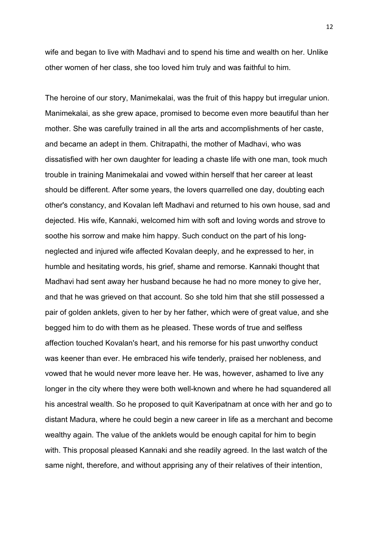wife and began to live with Madhavi and to spend his time and wealth on her. Unlike other women of her class, she too loved him truly and was faithful to him.

The heroine of our story, Manimekalai, was the fruit of this happy but irregular union. Manimekalai, as she grew apace, promised to become even more beautiful than her mother. She was carefully trained in all the arts and accomplishments of her caste, and became an adept in them. Chitrapathi, the mother of Madhavi, who was dissatisfied with her own daughter for leading a chaste life with one man, took much trouble in training Manimekalai and vowed within herself that her career at least should be different. After some years, the lovers quarrelled one day, doubting each other's constancy, and Kovalan left Madhavi and returned to his own house, sad and dejected. His wife, Kannaki, welcomed him with soft and loving words and strove to soothe his sorrow and make him happy. Such conduct on the part of his longneglected and injured wife affected Kovalan deeply, and he expressed to her, in humble and hesitating words, his grief, shame and remorse. Kannaki thought that Madhavi had sent away her husband because he had no more money to give her, and that he was grieved on that account. So she told him that she still possessed a pair of golden anklets, given to her by her father, which were of great value, and she begged him to do with them as he pleased. These words of true and selfless affection touched Kovalan's heart, and his remorse for his past unworthy conduct was keener than ever. He embraced his wife tenderly, praised her nobleness, and vowed that he would never more leave her. He was, however, ashamed to live any longer in the city where they were both well-known and where he had squandered all his ancestral wealth. So he proposed to quit Kaveripatnam at once with her and go to distant Madura, where he could begin a new career in life as a merchant and become wealthy again. The value of the anklets would be enough capital for him to begin with. This proposal pleased Kannaki and she readily agreed. In the last watch of the same night, therefore, and without apprising any of their relatives of their intention,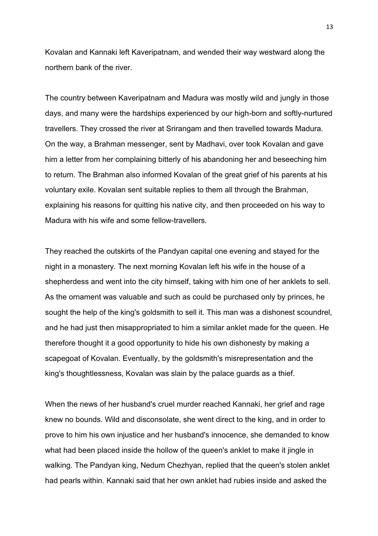Kovalan and Kannaki left Kaveripatnam, and wended their way westward along the northern bank of the river.

The country between Kaveripatnam and Madura was mostly wild and jungly in those days, and many were the hardships experienced by our high-born and softly-nurtured travellers. They crossed the river at Srirangam and then travelled towards Madura. On the way, a Brahman messenger, sent by Madhavi, over took Kovalan and gave him a letter from her complaining bitterly of his abandoning her and beseeching him to return. The Brahman also informed Kovalan of the great grief of his parents at his voluntary exile. Kovalan sent suitable replies to them all through the Brahman, explaining his reasons for quitting his native city, and then proceeded on his way to Madura with his wife and some fellow-travellers.

They reached the outskirts of the Pandyan capital one evening and stayed for the night in a monastery. The next morning Kovalan left his wife in the house of a shepherdess and went into the city himself, taking with him one of her anklets to sell. As the ornament was valuable and such as could be purchased only by princes, he sought the help of the king's goldsmith to sell it. This man was a dishonest scoundrel, and he had just then misappropriated to him a similar anklet made for the queen. He therefore thought it a good opportunity to hide his own dishonesty by making a scapegoat of Kovalan. Eventually, by the goldsmith's misrepresentation and the king's thoughtlessness, Kovalan was slain by the palace guards as a thief.

When the news of her husband's cruel murder reached Kannaki, her grief and rage knew no bounds. Wild and disconsolate, she went direct to the king, and in order to prove to him his own injustice and her husband's innocence, she demanded to know what had been placed inside the hollow of the queen's anklet to make it jingle in walking. The Pandyan king, Nedum Chezhyan, replied that the queen's stolen anklet had pearls within. Kannaki said that her own anklet had rubies inside and asked the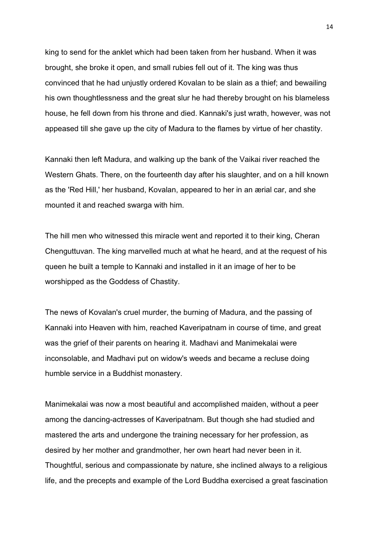king to send for the anklet which had been taken from her husband. When it was brought, she broke it open, and small rubies fell out of it. The king was thus convinced that he had unjustly ordered Kovalan to be slain as a thief; and bewailing his own thoughtlessness and the great slur he had thereby brought on his blameless house, he fell down from his throne and died. Kannaki's just wrath, however, was not appeased till she gave up the city of Madura to the flames by virtue of her chastity.

Kannaki then left Madura, and walking up the bank of the Vaikai river reached the Western Ghats. There, on the fourteenth day after his slaughter, and on a hill known as the 'Red Hill,' her husband, Kovalan, appeared to her in an ærial car, and she mounted it and reached swarga with him.

The hill men who witnessed this miracle went and reported it to their king, Cheran Chenguttuvan. The king marvelled much at what he heard, and at the request of his queen he built a temple to Kannaki and installed in it an image of her to be worshipped as the Goddess of Chastity.

The news of Kovalan's cruel murder, the burning of Madura, and the passing of Kannaki into Heaven with him, reached Kaveripatnam in course of time, and great was the grief of their parents on hearing it. Madhavi and Manimekalai were inconsolable, and Madhavi put on widow's weeds and became a recluse doing humble service in a Buddhist monastery.

Manimekalai was now a most beautiful and accomplished maiden, without a peer among the dancing-actresses of Kaveripatnam. But though she had studied and mastered the arts and undergone the training necessary for her profession, as desired by her mother and grandmother, her own heart had never been in it. Thoughtful, serious and compassionate by nature, she inclined always to a religious life, and the precepts and example of the Lord Buddha exercised a great fascination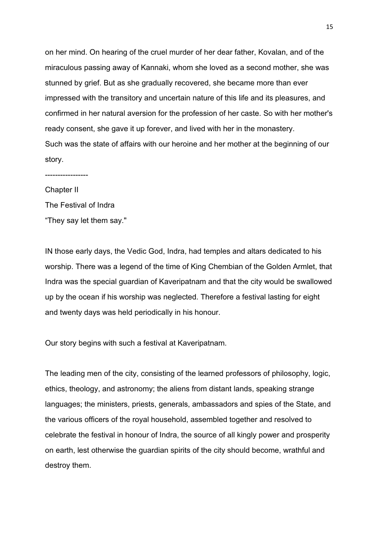on her mind. On hearing of the cruel murder of her dear father, Kovalan, and of the miraculous passing away of Kannaki, whom she loved as a second mother, she was stunned by grief. But as she gradually recovered, she became more than ever impressed with the transitory and uncertain nature of this life and its pleasures, and confirmed in her natural aversion for the profession of her caste. So with her mother's ready consent, she gave it up forever, and lived with her in the monastery. Such was the state of affairs with our heroine and her mother at the beginning of our story.

----------------- Chapter II The Festival of Indra "They say let them say."

IN those early days, the Vedic God, Indra, had temples and altars dedicated to his worship. There was a legend of the time of King Chembian of the Golden Armlet, that Indra was the special guardian of Kaveripatnam and that the city would be swallowed up by the ocean if his worship was neglected. Therefore a festival lasting for eight and twenty days was held periodically in his honour.

Our story begins with such a festival at Kaveripatnam.

The leading men of the city, consisting of the learned professors of philosophy, logic, ethics, theology, and astronomy; the aliens from distant lands, speaking strange languages; the ministers, priests, generals, ambassadors and spies of the State, and the various officers of the royal household, assembled together and resolved to celebrate the festival in honour of Indra, the source of all kingly power and prosperity on earth, lest otherwise the guardian spirits of the city should become, wrathful and destroy them.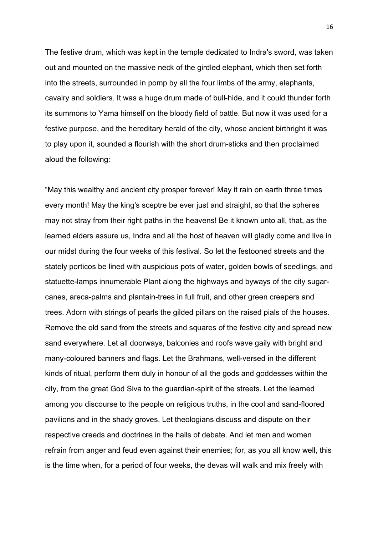The festive drum, which was kept in the temple dedicated to Indra's sword, was taken out and mounted on the massive neck of the girdled elephant, which then set forth into the streets, surrounded in pomp by all the four limbs of the army, elephants, cavalry and soldiers. It was a huge drum made of bull-hide, and it could thunder forth its summons to Yama himself on the bloody field of battle. But now it was used for a festive purpose, and the hereditary herald of the city, whose ancient birthright it was to play upon it, sounded a flourish with the short drum-sticks and then proclaimed aloud the following:

"May this wealthy and ancient city prosper forever! May it rain on earth three times every month! May the king's sceptre be ever just and straight, so that the spheres may not stray from their right paths in the heavens! Be it known unto all, that, as the learned elders assure us, Indra and all the host of heaven will gladly come and live in our midst during the four weeks of this festival. So let the festooned streets and the stately porticos be lined with auspicious pots of water, golden bowls of seedlings, and statuette-lamps innumerable Plant along the highways and byways of the city sugarcanes, areca-palms and plantain-trees in full fruit, and other green creepers and trees. Adorn with strings of pearls the gilded pillars on the raised pials of the houses. Remove the old sand from the streets and squares of the festive city and spread new sand everywhere. Let all doorways, balconies and roofs wave gaily with bright and many-coloured banners and flags. Let the Brahmans, well-versed in the different kinds of ritual, perform them duly in honour of all the gods and goddesses within the city, from the great God Siva to the guardian-spirit of the streets. Let the learned among you discourse to the people on religious truths, in the cool and sand-floored pavilions and in the shady groves. Let theologians discuss and dispute on their respective creeds and doctrines in the halls of debate. And let men and women refrain from anger and feud even against their enemies; for, as you all know well, this is the time when, for a period of four weeks, the devas will walk and mix freely with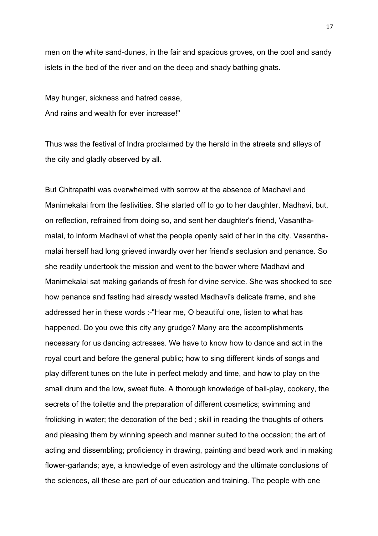men on the white sand-dunes, in the fair and spacious groves, on the cool and sandy islets in the bed of the river and on the deep and shady bathing ghats.

May hunger, sickness and hatred cease, And rains and wealth for ever increase!"

Thus was the festival of Indra proclaimed by the herald in the streets and alleys of the city and gladly observed by all.

But Chitrapathi was overwhelmed with sorrow at the absence of Madhavi and Manimekalai from the festivities. She started off to go to her daughter, Madhavi, but, on reflection, refrained from doing so, and sent her daughter's friend, Vasanthamalai, to inform Madhavi of what the people openly said of her in the city. Vasanthamalai herself had long grieved inwardly over her friend's seclusion and penance. So she readily undertook the mission and went to the bower where Madhavi and Manimekalai sat making garlands of fresh for divine service. She was shocked to see how penance and fasting had already wasted Madhavi's delicate frame, and she addressed her in these words :-"Hear me, O beautiful one, listen to what has happened. Do you owe this city any grudge? Many are the accomplishments necessary for us dancing actresses. We have to know how to dance and act in the royal court and before the general public; how to sing different kinds of songs and play different tunes on the lute in perfect melody and time, and how to play on the small drum and the low, sweet flute. A thorough knowledge of ball-play, cookery, the secrets of the toilette and the preparation of different cosmetics; swimming and frolicking in water; the decoration of the bed ; skill in reading the thoughts of others and pleasing them by winning speech and manner suited to the occasion; the art of acting and dissembling; proficiency in drawing, painting and bead work and in making flower-garlands; aye, a knowledge of even astrology and the ultimate conclusions of the sciences, all these are part of our education and training. The people with one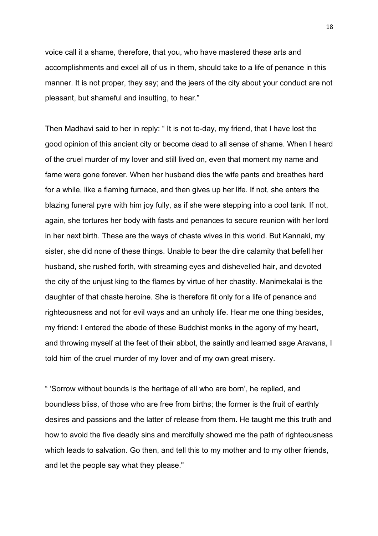voice call it a shame, therefore, that you, who have mastered these arts and accomplishments and excel all of us in them, should take to a life of penance in this manner. It is not proper, they say; and the jeers of the city about your conduct are not pleasant, but shameful and insulting, to hear."

Then Madhavi said to her in reply: " It is not to-day, my friend, that I have lost the good opinion of this ancient city or become dead to all sense of shame. When I heard of the cruel murder of my lover and still lived on, even that moment my name and fame were gone forever. When her husband dies the wife pants and breathes hard for a while, like a flaming furnace, and then gives up her life. If not, she enters the blazing funeral pyre with him joy fully, as if she were stepping into a cool tank. If not, again, she tortures her body with fasts and penances to secure reunion with her lord in her next birth. These are the ways of chaste wives in this world. But Kannaki, my sister, she did none of these things. Unable to bear the dire calamity that befell her husband, she rushed forth, with streaming eyes and dishevelled hair, and devoted the city of the unjust king to the flames by virtue of her chastity. Manimekalai is the daughter of that chaste heroine. She is therefore fit only for a life of penance and righteousness and not for evil ways and an unholy life. Hear me one thing besides, my friend: I entered the abode of these Buddhist monks in the agony of my heart, and throwing myself at the feet of their abbot, the saintly and learned sage Aravana, I told him of the cruel murder of my lover and of my own great misery.

" 'Sorrow without bounds is the heritage of all who are born', he replied, and boundless bliss, of those who are free from births; the former is the fruit of earthly desires and passions and the latter of release from them. He taught me this truth and how to avoid the five deadly sins and mercifully showed me the path of righteousness which leads to salvation. Go then, and tell this to my mother and to my other friends, and let the people say what they please."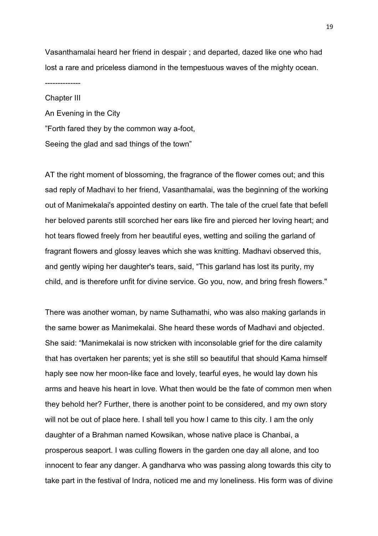Vasanthamalai heard her friend in despair ; and departed, dazed like one who had lost a rare and priceless diamond in the tempestuous waves of the mighty ocean.

--------------

Chapter III An Evening in the City "Forth fared they by the common way a-foot, Seeing the glad and sad things of the town"

AT the right moment of blossoming, the fragrance of the flower comes out; and this sad reply of Madhavi to her friend, Vasanthamalai, was the beginning of the working out of Manimekalai's appointed destiny on earth. The tale of the cruel fate that befell her beloved parents still scorched her ears like fire and pierced her loving heart; and hot tears flowed freely from her beautiful eyes, wetting and soiling the garland of fragrant flowers and glossy leaves which she was knitting. Madhavi observed this, and gently wiping her daughter's tears, said, "This garland has lost its purity, my child, and is therefore unfit for divine service. Go you, now, and bring fresh flowers."

There was another woman, by name Suthamathi, who was also making garlands in the same bower as Manimekalai. She heard these words of Madhavi and objected. She said: "Manimekalai is now stricken with inconsolable grief for the dire calamity that has overtaken her parents; yet is she still so beautiful that should Kama himself haply see now her moon-like face and lovely, tearful eyes, he would lay down his arms and heave his heart in love. What then would be the fate of common men when they behold her? Further, there is another point to be considered, and my own story will not be out of place here. I shall tell you how I came to this city. I am the only daughter of a Brahman named Kowsikan, whose native place is Chanbai, a prosperous seaport. I was culling flowers in the garden one day all alone, and too innocent to fear any danger. A gandharva who was passing along towards this city to take part in the festival of Indra, noticed me and my loneliness. His form was of divine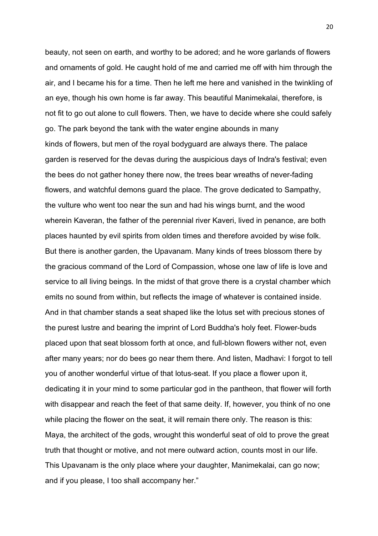beauty, not seen on earth, and worthy to be adored; and he wore garlands of flowers and ornaments of gold. He caught hold of me and carried me off with him through the air, and I became his for a time. Then he left me here and vanished in the twinkling of an eye, though his own home is far away. This beautiful Manimekalai, therefore, is not fit to go out alone to cull flowers. Then, we have to decide where she could safely go. The park beyond the tank with the water engine abounds in many kinds of flowers, but men of the royal bodyguard are always there. The palace garden is reserved for the devas during the auspicious days of Indra's festival; even the bees do not gather honey there now, the trees bear wreaths of never-fading flowers, and watchful demons guard the place. The grove dedicated to Sampathy, the vulture who went too near the sun and had his wings burnt, and the wood wherein Kaveran, the father of the perennial river Kaveri, lived in penance, are both places haunted by evil spirits from olden times and therefore avoided by wise folk. But there is another garden, the Upavanam. Many kinds of trees blossom there by the gracious command of the Lord of Compassion, whose one law of life is love and service to all living beings. In the midst of that grove there is a crystal chamber which emits no sound from within, but reflects the image of whatever is contained inside. And in that chamber stands a seat shaped like the lotus set with precious stones of the purest lustre and bearing the imprint of Lord Buddha's holy feet. Flower-buds placed upon that seat blossom forth at once, and full-blown flowers wither not, even after many years; nor do bees go near them there. And listen, Madhavi: I forgot to tell you of another wonderful virtue of that lotus-seat. If you place a flower upon it, dedicating it in your mind to some particular god in the pantheon, that flower will forth with disappear and reach the feet of that same deity. If, however, you think of no one while placing the flower on the seat, it will remain there only. The reason is this: Maya, the architect of the gods, wrought this wonderful seat of old to prove the great truth that thought or motive, and not mere outward action, counts most in our life. This Upavanam is the only place where your daughter, Manimekalai, can go now; and if you please, I too shall accompany her."

20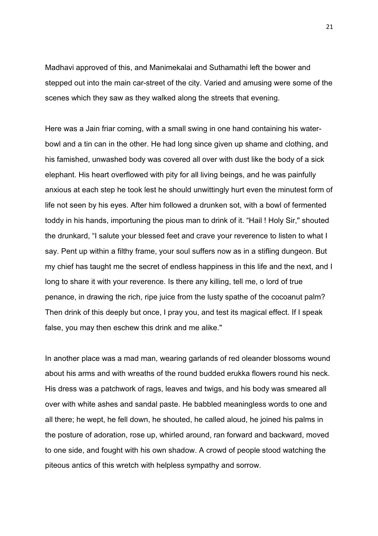Madhavi approved of this, and Manimekalai and Suthamathi left the bower and stepped out into the main car-street of the city. Varied and amusing were some of the scenes which they saw as they walked along the streets that evening.

Here was a Jain friar coming, with a small swing in one hand containing his waterbowl and a tin can in the other. He had long since given up shame and clothing, and his famished, unwashed body was covered all over with dust like the body of a sick elephant. His heart overflowed with pity for all living beings, and he was painfully anxious at each step he took lest he should unwittingly hurt even the minutest form of life not seen by his eyes. After him followed a drunken sot, with a bowl of fermented toddy in his hands, importuning the pious man to drink of it. "Hail ! Holy Sir," shouted the drunkard, "I salute your blessed feet and crave your reverence to listen to what I say. Pent up within a filthy frame, your soul suffers now as in a stifling dungeon. But my chief has taught me the secret of endless happiness in this life and the next, and I long to share it with your reverence. Is there any killing, tell me, o lord of true penance, in drawing the rich, ripe juice from the lusty spathe of the cocoanut palm? Then drink of this deeply but once, I pray you, and test its magical effect. If I speak false, you may then eschew this drink and me alike."

In another place was a mad man, wearing garlands of red oleander blossoms wound about his arms and with wreaths of the round budded erukka flowers round his neck. His dress was a patchwork of rags, leaves and twigs, and his body was smeared all over with white ashes and sandal paste. He babbled meaningless words to one and all there; he wept, he fell down, he shouted, he called aloud, he joined his palms in the posture of adoration, rose up, whirled around, ran forward and backward, moved to one side, and fought with his own shadow. A crowd of people stood watching the piteous antics of this wretch with helpless sympathy and sorrow.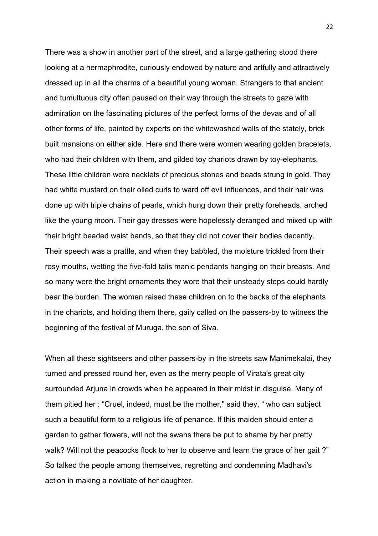There was a show in another part of the street, and a large gathering stood there looking at a hermaphrodite, curiously endowed by nature and artfully and attractively dressed up in all the charms of a beautiful young woman. Strangers to that ancient and tumultuous city often paused on their way through the streets to gaze with admiration on the fascinating pictures of the perfect forms of the devas and of all other forms of life, painted by experts on the whitewashed walls of the stately, brick built mansions on either side. Here and there were women wearing golden bracelets, who had their children with them, and gilded toy chariots drawn by toy-elephants. These little children wore necklets of precious stones and beads strung in gold. They had white mustard on their oiled curls to ward off evil influences, and their hair was done up with triple chains of pearls, which hung down their pretty foreheads, arched like the young moon. Their gay dresses were hopelessly deranged and mixed up with their bright beaded waist bands, so that they did not cover their bodies decently. Their speech was a prattle, and when they babbled, the moisture trickled from their rosy mouths, wetting the five-fold talis manic pendants hanging on their breasts. And so many were the bright ornaments they wore that their unsteady steps could hardly bear the burden. The women raised these children on to the backs of the elephants in the chariots, and holding them there, gaily called on the passers-by to witness the beginning of the festival of Muruga, the son of Siva.

When all these sightseers and other passers-by in the streets saw Manimekalai, they turned and pressed round her, even as the merry people of Virata's great city surrounded Arjuna in crowds when he appeared in their midst in disguise. Many of them pitied her : "Cruel, indeed, must be the mother," said they, " who can subject such a beautiful form to a religious life of penance. If this maiden should enter a garden to gather flowers, will not the swans there be put to shame by her pretty walk? Will not the peacocks flock to her to observe and learn the grace of her gait ?" So talked the people among themselves, regretting and condemning Madhavi's action in making a novitiate of her daughter.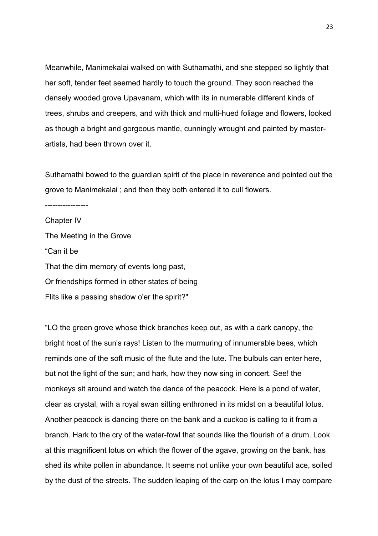Meanwhile, Manimekalai walked on with Suthamathi, and she stepped so lightly that her soft, tender feet seemed hardly to touch the ground. They soon reached the densely wooded grove Upavanam, which with its in numerable different kinds of trees, shrubs and creepers, and with thick and multi-hued foliage and flowers, looked as though a bright and gorgeous mantle, cunningly wrought and painted by masterartists, had been thrown over it.

Suthamathi bowed to the guardian spirit of the place in reverence and pointed out the grove to Manimekalai ; and then they both entered it to cull flowers.

----------------- Chapter IV The Meeting in the Grove "Can it be That the dim memory of events long past, Or friendships formed in other states of being Flits like a passing shadow o'er the spirit?"

"LO the green grove whose thick branches keep out, as with a dark canopy, the bright host of the sun's rays! Listen to the murmuring of innumerable bees, which reminds one of the soft music of the flute and the lute. The bulbuls can enter here, but not the light of the sun; and hark, how they now sing in concert. See! the monkeys sit around and watch the dance of the peacock. Here is a pond of water, clear as crystal, with a royal swan sitting enthroned in its midst on a beautiful lotus. Another peacock is dancing there on the bank and a cuckoo is calling to it from a branch. Hark to the cry of the water-fowl that sounds like the flourish of a drum. Look at this magnificent lotus on which the flower of the agave, growing on the bank, has shed its white pollen in abundance. It seems not unlike your own beautiful ace, soiled by the dust of the streets. The sudden leaping of the carp on the lotus I may compare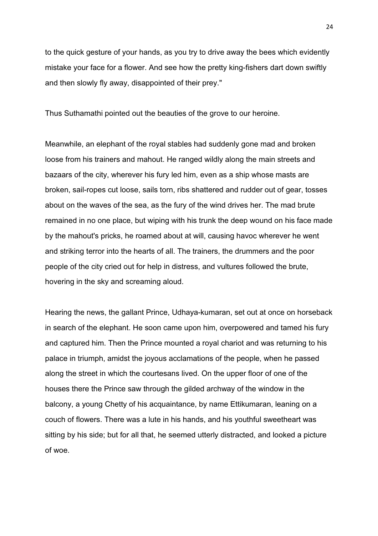to the quick gesture of your hands, as you try to drive away the bees which evidently mistake your face for a flower. And see how the pretty king-fishers dart down swiftly and then slowly fly away, disappointed of their prey."

Thus Suthamathi pointed out the beauties of the grove to our heroine.

Meanwhile, an elephant of the royal stables had suddenly gone mad and broken loose from his trainers and mahout. He ranged wildly along the main streets and bazaars of the city, wherever his fury led him, even as a ship whose masts are broken, sail-ropes cut loose, sails torn, ribs shattered and rudder out of gear, tosses about on the waves of the sea, as the fury of the wind drives her. The mad brute remained in no one place, but wiping with his trunk the deep wound on his face made by the mahout's pricks, he roamed about at will, causing havoc wherever he went and striking terror into the hearts of all. The trainers, the drummers and the poor people of the city cried out for help in distress, and vultures followed the brute, hovering in the sky and screaming aloud.

Hearing the news, the gallant Prince, Udhaya-kumaran, set out at once on horseback in search of the elephant. He soon came upon him, overpowered and tamed his fury and captured him. Then the Prince mounted a royal chariot and was returning to his palace in triumph, amidst the joyous acclamations of the people, when he passed along the street in which the courtesans lived. On the upper floor of one of the houses there the Prince saw through the gilded archway of the window in the balcony, a young Chetty of his acquaintance, by name Ettikumaran, leaning on a couch of flowers. There was a lute in his hands, and his youthful sweetheart was sitting by his side; but for all that, he seemed utterly distracted, and looked a picture of woe.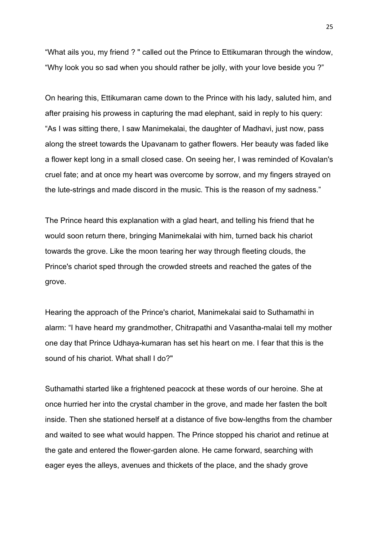"What ails you, my friend ? " called out the Prince to Ettikumaran through the window, "Why look you so sad when you should rather be jolly, with your love beside you ?"

On hearing this, Ettikumaran came down to the Prince with his lady, saluted him, and after praising his prowess in capturing the mad elephant, said in reply to his query: "As I was sitting there, I saw Manimekalai, the daughter of Madhavi, just now, pass along the street towards the Upavanam to gather flowers. Her beauty was faded like a flower kept long in a small closed case. On seeing her, I was reminded of Kovalan's cruel fate; and at once my heart was overcome by sorrow, and my fingers strayed on the lute-strings and made discord in the music. This is the reason of my sadness."

The Prince heard this explanation with a glad heart, and telling his friend that he would soon return there, bringing Manimekalai with him, turned back his chariot towards the grove. Like the moon tearing her way through fleeting clouds, the Prince's chariot sped through the crowded streets and reached the gates of the grove.

Hearing the approach of the Prince's chariot, Manimekalai said to Suthamathi in alarm: "I have heard my grandmother, Chitrapathi and Vasantha-malai tell my mother one day that Prince Udhaya-kumaran has set his heart on me. I fear that this is the sound of his chariot. What shall I do?"

Suthamathi started like a frightened peacock at these words of our heroine. She at once hurried her into the crystal chamber in the grove, and made her fasten the bolt inside. Then she stationed herself at a distance of five bow-lengths from the chamber and waited to see what would happen. The Prince stopped his chariot and retinue at the gate and entered the flower-garden alone. He came forward, searching with eager eyes the alleys, avenues and thickets of the place, and the shady grove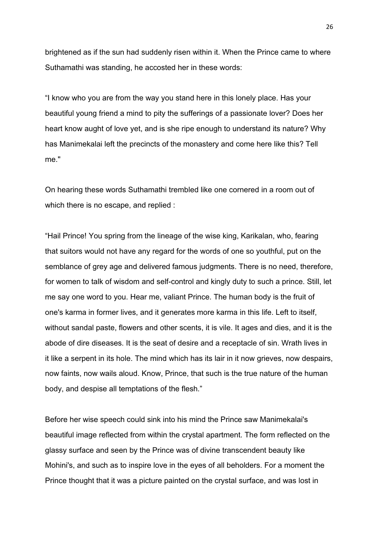brightened as if the sun had suddenly risen within it. When the Prince came to where Suthamathi was standing, he accosted her in these words:

"I know who you are from the way you stand here in this lonely place. Has your beautiful young friend a mind to pity the sufferings of a passionate lover? Does her heart know aught of love yet, and is she ripe enough to understand its nature? Why has Manimekalai left the precincts of the monastery and come here like this? Tell me."

On hearing these words Suthamathi trembled like one cornered in a room out of which there is no escape, and replied :

"Hail Prince! You spring from the lineage of the wise king, Karikalan, who, fearing that suitors would not have any regard for the words of one so youthful, put on the semblance of grey age and delivered famous judgments. There is no need, therefore, for women to talk of wisdom and self-control and kingly duty to such a prince. Still, let me say one word to you. Hear me, valiant Prince. The human body is the fruit of one's karma in former lives, and it generates more karma in this life. Left to itself, without sandal paste, flowers and other scents, it is vile. It ages and dies, and it is the abode of dire diseases. It is the seat of desire and a receptacle of sin. Wrath lives in it like a serpent in its hole. The mind which has its lair in it now grieves, now despairs, now faints, now wails aloud. Know, Prince, that such is the true nature of the human body, and despise all temptations of the flesh."

Before her wise speech could sink into his mind the Prince saw Manimekalai's beautiful image reflected from within the crystal apartment. The form reflected on the glassy surface and seen by the Prince was of divine transcendent beauty like Mohini's, and such as to inspire love in the eyes of all beholders. For a moment the Prince thought that it was a picture painted on the crystal surface, and was lost in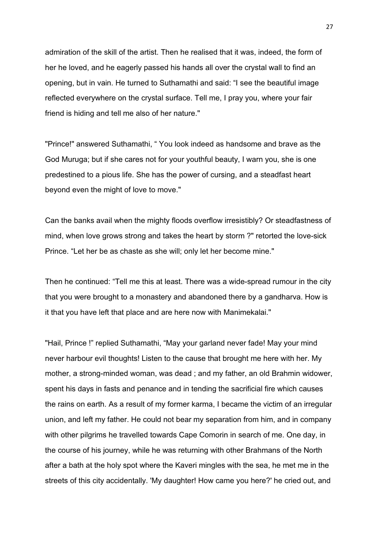admiration of the skill of the artist. Then he realised that it was, indeed, the form of her he loved, and he eagerly passed his hands all over the crystal wall to find an opening, but in vain. He turned to Suthamathi and said: "I see the beautiful image reflected everywhere on the crystal surface. Tell me, I pray you, where your fair friend is hiding and tell me also of her nature."

"Prince!" answered Suthamathi, " You look indeed as handsome and brave as the God Muruga; but if she cares not for your youthful beauty, I warn you, she is one predestined to a pious life. She has the power of cursing, and a steadfast heart beyond even the might of love to move."

Can the banks avail when the mighty floods overflow irresistibly? Or steadfastness of mind, when love grows strong and takes the heart by storm ?" retorted the love-sick Prince. "Let her be as chaste as she will; only let her become mine."

Then he continued: "Tell me this at least. There was a wide-spread rumour in the city that you were brought to a monastery and abandoned there by a gandharva. How is it that you have left that place and are here now with Manimekalai."

"Hail, Prince !" replied Suthamathi, "May your garland never fade! May your mind never harbour evil thoughts! Listen to the cause that brought me here with her. My mother, a strong-minded woman, was dead ; and my father, an old Brahmin widower, spent his days in fasts and penance and in tending the sacrificial fire which causes the rains on earth. As a result of my former karma, I became the victim of an irregular union, and left my father. He could not bear my separation from him, and in company with other pilgrims he travelled towards Cape Comorin in search of me. One day, in the course of his journey, while he was returning with other Brahmans of the North after a bath at the holy spot where the Kaveri mingles with the sea, he met me in the streets of this city accidentally. 'My daughter! How came you here?' he cried out, and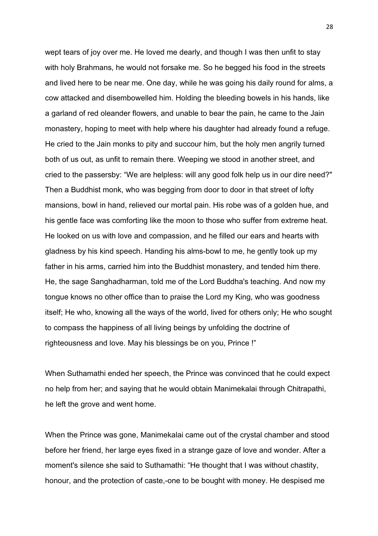wept tears of joy over me. He loved me dearly, and though I was then unfit to stay with holy Brahmans, he would not forsake me. So he begged his food in the streets and lived here to be near me. One day, while he was going his daily round for alms, a cow attacked and disembowelled him. Holding the bleeding bowels in his hands, like a garland of red oleander flowers, and unable to bear the pain, he came to the Jain monastery, hoping to meet with help where his daughter had already found a refuge. He cried to the Jain monks to pity and succour him, but the holy men angrily turned both of us out, as unfit to remain there. Weeping we stood in another street, and cried to the passersby: "We are helpless: will any good folk help us in our dire need?" Then a Buddhist monk, who was begging from door to door in that street of lofty mansions, bowl in hand, relieved our mortal pain. His robe was of a golden hue, and his gentle face was comforting like the moon to those who suffer from extreme heat. He looked on us with love and compassion, and he filled our ears and hearts with gladness by his kind speech. Handing his alms-bowl to me, he gently took up my father in his arms, carried him into the Buddhist monastery, and tended him there. He, the sage Sanghadharman, told me of the Lord Buddha's teaching. And now my tongue knows no other office than to praise the Lord my King, who was goodness itself; He who, knowing all the ways of the world, lived for others only; He who sought to compass the happiness of all living beings by unfolding the doctrine of righteousness and love. May his blessings be on you, Prince !"

When Suthamathi ended her speech, the Prince was convinced that he could expect no help from her; and saying that he would obtain Manimekalai through Chitrapathi, he left the grove and went home.

When the Prince was gone, Manimekalai came out of the crystal chamber and stood before her friend, her large eyes fixed in a strange gaze of love and wonder. After a moment's silence she said to Suthamathi: "He thought that I was without chastity, honour, and the protection of caste,-one to be bought with money. He despised me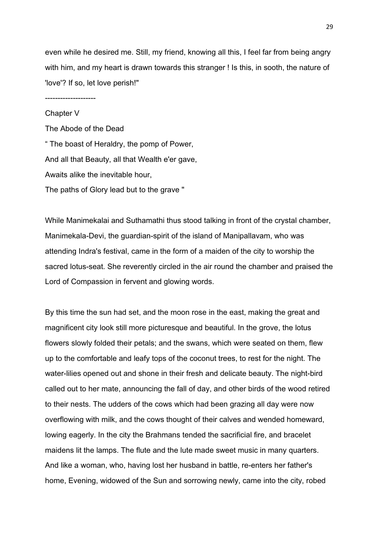even while he desired me. Still, my friend, knowing all this, I feel far from being angry with him, and my heart is drawn towards this stranger ! Is this, in sooth, the nature of 'love'? If so, let love perish!"

--------------------

# Chapter V The Abode of the Dead " The boast of Heraldry, the pomp of Power, And all that Beauty, all that Wealth e'er gave, Awaits alike the inevitable hour, The paths of Glory lead but to the grave "

While Manimekalai and Suthamathi thus stood talking in front of the crystal chamber, Manimekala-Devi, the guardian-spirit of the island of Manipallavam, who was attending Indra's festival, came in the form of a maiden of the city to worship the sacred lotus-seat. She reverently circled in the air round the chamber and praised the Lord of Compassion in fervent and glowing words.

By this time the sun had set, and the moon rose in the east, making the great and magnificent city look still more picturesque and beautiful. In the grove, the lotus flowers slowly folded their petals; and the swans, which were seated on them, flew up to the comfortable and leafy tops of the coconut trees, to rest for the night. The water-lilies opened out and shone in their fresh and delicate beauty. The night-bird called out to her mate, announcing the fall of day, and other birds of the wood retired to their nests. The udders of the cows which had been grazing all day were now overflowing with milk, and the cows thought of their calves and wended homeward, lowing eagerly. In the city the Brahmans tended the sacrificial fire, and bracelet maidens lit the lamps. The flute and the lute made sweet music in many quarters. And like a woman, who, having lost her husband in battle, re-enters her father's home, Evening, widowed of the Sun and sorrowing newly, came into the city, robed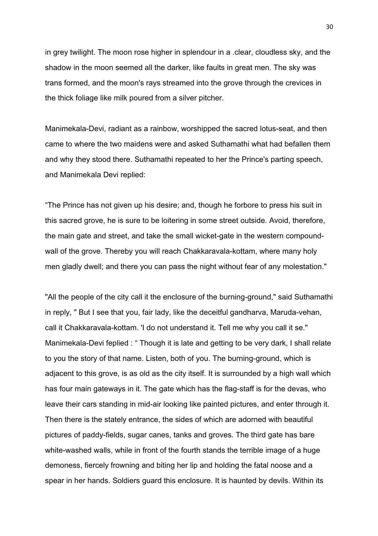in grey twilight. The moon rose higher in splendour in a .clear, cloudless sky, and the shadow in the moon seemed all the darker, like faults in great men. The sky was trans formed, and the moon's rays streamed into the grove through the crevices in the thick foliage like milk poured from a silver pitcher.

Manimekala-Devi, radiant as a rainbow, worshipped the sacred lotus-seat, and then came to where the two maidens were and asked Suthamathi what had befallen them and why they stood there. Suthamathi repeated to her the Prince's parting speech, and Manimekala Devi replied:

"The Prince has not given up his desire; and, though he forbore to press his suit in this sacred grove, he is sure to be loitering in some street outside. Avoid, therefore, the main gate and street, and take the small wicket-gate in the western compoundwall of the grove. Thereby you will reach Chakkaravala-kottam, where many holy men gladly dwell; and there you can pass the night without fear of any molestation."

"All the people of the city call it the enclosure of the burning-ground," said Suthamathi in reply, " But I see that you, fair lady, like the deceitful gandharva, Maruda-vehan, call it Chakkaravala-kottam. 'I do not understand it. Tell me why you call it se." Manimekala-Devi feplied : " Though it is late and getting to be very dark, I shall relate to you the story of that name. Listen, both of you. The burning-ground, which is adjacent to this grove, is as old as the city itself. It is surrounded by a high wall which has four main gateways in it. The gate which has the flag-staff is for the devas, who leave their cars standing in mid-air looking like painted pictures, and enter through it. Then there is the stately entrance, the sides of which are adorned with beautiful pictures of paddy-fields, sugar canes, tanks and groves. The third gate has bare white-washed walls, while in front of the fourth stands the terrible image of a huge demoness, fiercely frowning and biting her lip and holding the fatal noose and a spear in her hands. Soldiers guard this enclosure. It is haunted by devils. Within its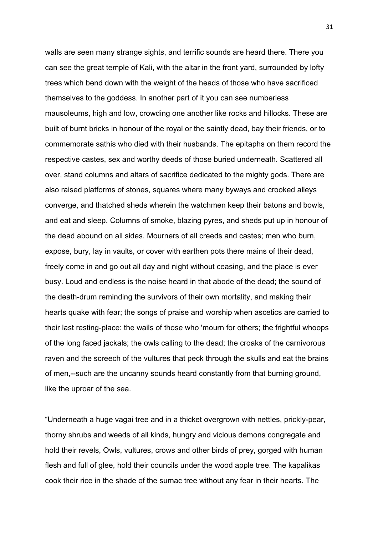walls are seen many strange sights, and terrific sounds are heard there. There you can see the great temple of Kali, with the altar in the front yard, surrounded by lofty trees which bend down with the weight of the heads of those who have sacrificed themselves to the goddess. In another part of it you can see numberless mausoleums, high and low, crowding one another like rocks and hillocks. These are built of burnt bricks in honour of the royal or the saintly dead, bay their friends, or to commemorate sathis who died with their husbands. The epitaphs on them record the respective castes, sex and worthy deeds of those buried underneath. Scattered all over, stand columns and altars of sacrifice dedicated to the mighty gods. There are also raised platforms of stones, squares where many byways and crooked alleys converge, and thatched sheds wherein the watchmen keep their batons and bowls, and eat and sleep. Columns of smoke, blazing pyres, and sheds put up in honour of the dead abound on all sides. Mourners of all creeds and castes; men who burn, expose, bury, lay in vaults, or cover with earthen pots there mains of their dead, freely come in and go out all day and night without ceasing, and the place is ever busy. Loud and endless is the noise heard in that abode of the dead; the sound of the death-drum reminding the survivors of their own mortality, and making their hearts quake with fear; the songs of praise and worship when ascetics are carried to their last resting-place: the wails of those who 'mourn for others; the frightful whoops of the long faced jackals; the owls calling to the dead; the croaks of the carnivorous raven and the screech of the vultures that peck through the skulls and eat the brains of men,--such are the uncanny sounds heard constantly from that burning ground, like the uproar of the sea.

"Underneath a huge vagai tree and in a thicket overgrown with nettles, prickly-pear, thorny shrubs and weeds of all kinds, hungry and vicious demons congregate and hold their revels, Owls, vultures, crows and other birds of prey, gorged with human flesh and full of glee, hold their councils under the wood apple tree. The kapalikas cook their rice in the shade of the sumac tree without any fear in their hearts. The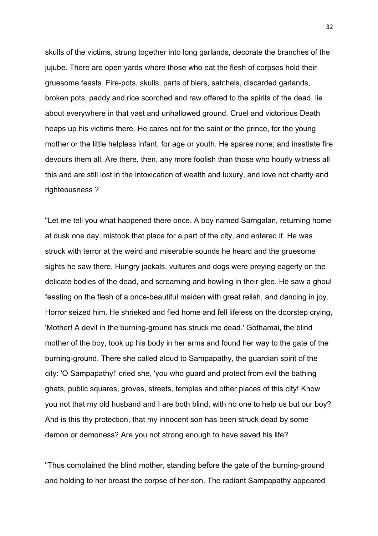skulls of the victims, strung together into long garlands, decorate the branches of the jujube. There are open yards where those who eat the flesh of corpses hold their gruesome feasts. Fire-pots, skulls, parts of biers, satchels, discarded garlands, broken pots, paddy and rice scorched and raw offered to the spirits of the dead, lie about everywhere in that vast and unhallowed ground. Cruel and victorious Death heaps up his victims there. He cares not for the saint or the prince, for the young mother or the little helpless infant, for age or youth. He spares none; and insatiate fire devours them all. Are there, then, any more foolish than those who hourly witness all this and are still lost in the intoxication of wealth and luxury, and love not charity and righteousness ?

"Let me tell you what happened there once. A boy named Sarngalan, returning home at dusk one day, mistook that place for a part of the city, and entered it. He was struck with terror at the weird and miserable sounds he heard and the gruesome sights he saw there. Hungry jackals, vultures and dogs were preying eagerly on the delicate bodies of the dead, and screaming and howling in their glee. He saw a ghoul feasting on the flesh of a once-beautiful maiden with great relish, and dancing in joy. Horror seized him. He shrieked and fled home and fell lifeless on the doorstep crying, 'Mother! A devil in the burning-ground has struck me dead.' Gothamai, the blind mother of the boy, took up his body in her arms and found her way to the gate of the burning-ground. There she called aloud to Sampapathy, the guardian spirit of the city: 'O Sampapathy!' cried she, 'you who guard and protect from evil the bathing ghats, public squares, groves, streets, temples and other places of this city! Know you not that my old husband and I are both blind, with no one to help us but our boy? And is this thy protection, that my innocent son has been struck dead by some demon or demoness? Are you not strong enough to have saved his life?

"Thus complained the blind mother, standing before the gate of the burning-ground and holding to her breast the corpse of her son. The radiant Sampapathy appeared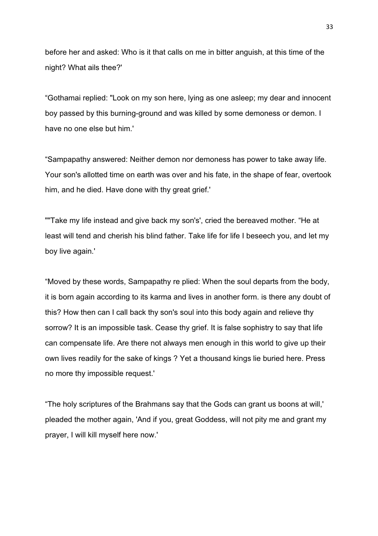before her and asked: Who is it that calls on me in bitter anguish, at this time of the night? What ails thee?'

"Gothamai replied: "Look on my son here, lying as one asleep; my dear and innocent boy passed by this burning-ground and was killed by some demoness or demon. I have no one else but him.'

"Sampapathy answered: Neither demon nor demoness has power to take away life. Your son's allotted time on earth was over and his fate, in the shape of fear, overtook him, and he died. Have done with thy great grief.'

""Take my life instead and give back my son's', cried the bereaved mother. "He at least will tend and cherish his blind father. Take life for life I beseech you, and let my boy live again.'

"Moved by these words, Sampapathy re plied: When the soul departs from the body, it is born again according to its karma and lives in another form. is there any doubt of this? How then can I call back thy son's soul into this body again and relieve thy sorrow? It is an impossible task. Cease thy grief. It is false sophistry to say that life can compensate life. Are there not always men enough in this world to give up their own lives readily for the sake of kings ? Yet a thousand kings lie buried here. Press no more thy impossible request.'

"The holy scriptures of the Brahmans say that the Gods can grant us boons at will,' pleaded the mother again, 'And if you, great Goddess, will not pity me and grant my prayer, I will kill myself here now.'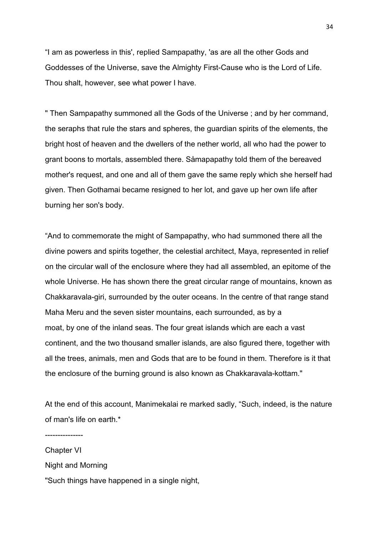"I am as powerless in this', replied Sampapathy, 'as are all the other Gods and Goddesses of the Universe, save the Almighty First-Cause who is the Lord of Life. Thou shalt, however, see what power I have.

" Then Sampapathy summoned all the Gods of the Universe ; and by her command, the seraphs that rule the stars and spheres, the guardian spirits of the elements, the bright host of heaven and the dwellers of the nether world, all who had the power to grant boons to mortals, assembled there. Såmapapathy told them of the bereaved mother's request, and one and all of them gave the same reply which she herself had given. Then Gothamai became resigned to her lot, and gave up her own life after burning her son's body.

"And to commemorate the might of Sampapathy, who had summoned there all the divine powers and spirits together, the celestial architect, Maya, represented in relief on the circular wall of the enclosure where they had all assembled, an epitome of the whole Universe. He has shown there the great circular range of mountains, known as Chakkaravala-giri, surrounded by the outer oceans. In the centre of that range stand Maha Meru and the seven sister mountains, each surrounded, as by a moat, by one of the inland seas. The four great islands which are each a vast continent, and the two thousand smaller islands, are also figured there, together with all the trees, animals, men and Gods that are to be found in them. Therefore is it that the enclosure of the burning ground is also known as Chakkaravala-kottam."

At the end of this account, Manimekalai re marked sadly, "Such, indeed, is the nature of man's life on earth.\*

Chapter VI Night and Morning "Such things have happened in a single night,

---------------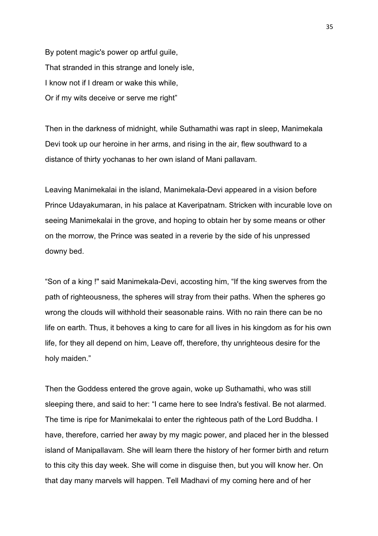By potent magic's power op artful guile, That stranded in this strange and lonely isle, I know not if I dream or wake this while, Or if my wits deceive or serve me right"

Then in the darkness of midnight, while Suthamathi was rapt in sleep, Manimekala Devi took up our heroine in her arms, and rising in the air, flew southward to a distance of thirty yochanas to her own island of Mani pallavam.

Leaving Manimekalai in the island, Manimekala-Devi appeared in a vision before Prince Udayakumaran, in his palace at Kaveripatnam. Stricken with incurable love on seeing Manimekalai in the grove, and hoping to obtain her by some means or other on the morrow, the Prince was seated in a reverie by the side of his unpressed downy bed.

"Son of a king !" said Manimekala-Devi, accosting him, "If the king swerves from the path of righteousness, the spheres will stray from their paths. When the spheres go wrong the clouds will withhold their seasonable rains. With no rain there can be no life on earth. Thus, it behoves a king to care for all lives in his kingdom as for his own life, for they all depend on him, Leave off, therefore, thy unrighteous desire for the holy maiden."

Then the Goddess entered the grove again, woke up Suthamathi, who was still sleeping there, and said to her: "I came here to see Indra's festival. Be not alarmed. The time is ripe for Manimekalai to enter the righteous path of the Lord Buddha. I have, therefore, carried her away by my magic power, and placed her in the blessed island of Manipallavam. She will learn there the history of her former birth and return to this city this day week. She will come in disguise then, but you will know her. On that day many marvels will happen. Tell Madhavi of my coming here and of her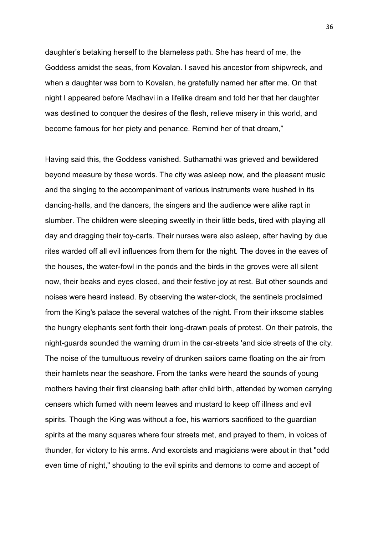daughter's betaking herself to the blameless path. She has heard of me, the Goddess amidst the seas, from Kovalan. I saved his ancestor from shipwreck, and when a daughter was born to Kovalan, he gratefully named her after me. On that night I appeared before Madhavi in a lifelike dream and told her that her daughter was destined to conquer the desires of the flesh, relieve misery in this world, and become famous for her piety and penance. Remind her of that dream,"

Having said this, the Goddess vanished. Suthamathi was grieved and bewildered beyond measure by these words. The city was asleep now, and the pleasant music and the singing to the accompaniment of various instruments were hushed in its dancing-halls, and the dancers, the singers and the audience were alike rapt in slumber. The children were sleeping sweetly in their little beds, tired with playing all day and dragging their toy-carts. Their nurses were also asleep, after having by due rites warded off all evil influences from them for the night. The doves in the eaves of the houses, the water-fowl in the ponds and the birds in the groves were all silent now, their beaks and eyes closed, and their festive joy at rest. But other sounds and noises were heard instead. By observing the water-clock, the sentinels proclaimed from the King's palace the several watches of the night. From their irksome stables the hungry elephants sent forth their long-drawn peals of protest. On their patrols, the night-guards sounded the warning drum in the car-streets 'and side streets of the city. The noise of the tumultuous revelry of drunken sailors came floating on the air from their hamlets near the seashore. From the tanks were heard the sounds of young mothers having their first cleansing bath after child birth, attended by women carrying censers which fumed with neem leaves and mustard to keep off illness and evil spirits. Though the King was without a foe, his warriors sacrificed to the guardian spirits at the many squares where four streets met, and prayed to them, in voices of thunder, for victory to his arms. And exorcists and magicians were about in that "odd even time of night," shouting to the evil spirits and demons to come and accept of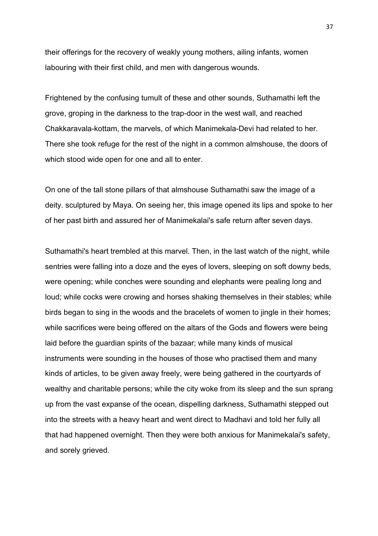their offerings for the recovery of weakly young mothers, ailing infants, women labouring with their first child, and men with dangerous wounds.

Frightened by the confusing tumult of these and other sounds, Suthamathi left the grove, groping in the darkness to the trap-door in the west wall, and reached Chakkaravala-kottam, the marvels, of which Manimekala-Devi had related to her. There she took refuge for the rest of the night in a common almshouse, the doors of which stood wide open for one and all to enter.

On one of the tall stone pillars of that almshouse Suthamathi saw the image of a deity. sculptured by Maya. On seeing her, this image opened its lips and spoke to her of her past birth and assured her of Manimekalai's safe return after seven days.

Suthamathi's heart trembled at this marvel. Then, in the last watch of the night, while sentries were falling into a doze and the eyes of lovers, sleeping on soft downy beds, were opening; while conches were sounding and elephants were pealing long and loud; while cocks were crowing and horses shaking themselves in their stables; while birds began to sing in the woods and the bracelets of women to jingle in their homes; while sacrifices were being offered on the altars of the Gods and flowers were being laid before the guardian spirits of the bazaar; while many kinds of musical instruments were sounding in the houses of those who practised them and many kinds of articles, to be given away freely, were being gathered in the courtyards of wealthy and charitable persons; while the city woke from its sleep and the sun sprang up from the vast expanse of the ocean, dispelling darkness, Suthamathi stepped out into the streets with a heavy heart and went direct to Madhavi and told her fully all that had happened overnight. Then they were both anxious for Manimekalai's safety, and sorely grieved.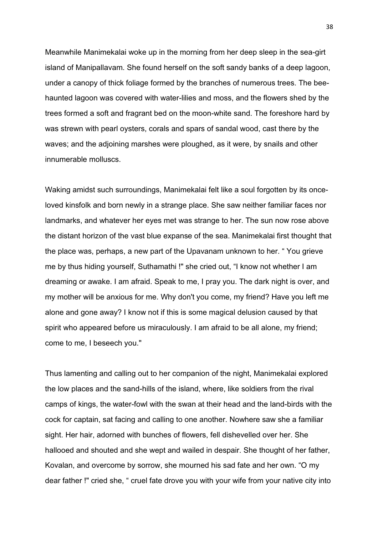Meanwhile Manimekalai woke up in the morning from her deep sleep in the sea-girt island of Manipallavam. She found herself on the soft sandy banks of a deep lagoon, under a canopy of thick foliage formed by the branches of numerous trees. The beehaunted lagoon was covered with water-lilies and moss, and the flowers shed by the trees formed a soft and fragrant bed on the moon-white sand. The foreshore hard by was strewn with pearl oysters, corals and spars of sandal wood, cast there by the waves; and the adjoining marshes were ploughed, as it were, by snails and other innumerable molluscs.

Waking amidst such surroundings, Manimekalai felt like a soul forgotten by its onceloved kinsfolk and born newly in a strange place. She saw neither familiar faces nor landmarks, and whatever her eyes met was strange to her. The sun now rose above the distant horizon of the vast blue expanse of the sea. Manimekalai first thought that the place was, perhaps, a new part of the Upavanam unknown to her. " You grieve me by thus hiding yourself, Suthamathi !" she cried out, "I know not whether I am dreaming or awake. I am afraid. Speak to me, I pray you. The dark night is over, and my mother will be anxious for me. Why don't you come, my friend? Have you left me alone and gone away? I know not if this is some magical delusion caused by that spirit who appeared before us miraculously. I am afraid to be all alone, my friend; come to me, I beseech you."

Thus lamenting and calling out to her companion of the night, Manimekalai explored the low places and the sand-hills of the island, where, like soldiers from the rival camps of kings, the water-fowl with the swan at their head and the land-birds with the cock for captain, sat facing and calling to one another. Nowhere saw she a familiar sight. Her hair, adorned with bunches of flowers, fell dishevelled over her. She hallooed and shouted and she wept and wailed in despair. She thought of her father, Kovalan, and overcome by sorrow, she mourned his sad fate and her own. "O my dear father !" cried she, " cruel fate drove you with your wife from your native city into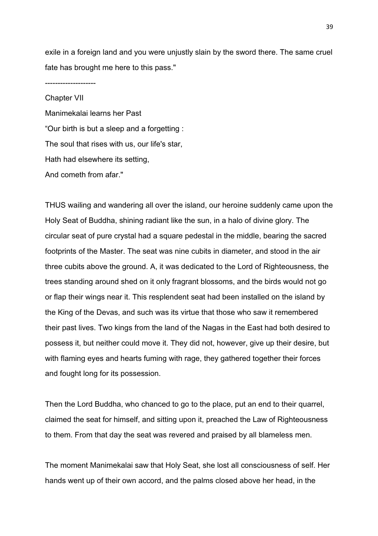exile in a foreign land and you were unjustly slain by the sword there. The same cruel fate has brought me here to this pass."

Chapter VII Manimekalai learns her Past "Our birth is but a sleep and a forgetting : The soul that rises with us, our life's star, Hath had elsewhere its setting, And cometh from afar."

--------------------

THUS wailing and wandering all over the island, our heroine suddenly came upon the Holy Seat of Buddha, shining radiant like the sun, in a halo of divine glory. The circular seat of pure crystal had a square pedestal in the middle, bearing the sacred footprints of the Master. The seat was nine cubits in diameter, and stood in the air three cubits above the ground. A, it was dedicated to the Lord of Righteousness, the trees standing around shed on it only fragrant blossoms, and the birds would not go or flap their wings near it. This resplendent seat had been installed on the island by the King of the Devas, and such was its virtue that those who saw it remembered their past lives. Two kings from the land of the Nagas in the East had both desired to possess it, but neither could move it. They did not, however, give up their desire, but with flaming eyes and hearts fuming with rage, they gathered together their forces and fought long for its possession.

Then the Lord Buddha, who chanced to go to the place, put an end to their quarrel, claimed the seat for himself, and sitting upon it, preached the Law of Righteousness to them. From that day the seat was revered and praised by all blameless men.

The moment Manimekalai saw that Holy Seat, she lost all consciousness of self. Her hands went up of their own accord, and the palms closed above her head, in the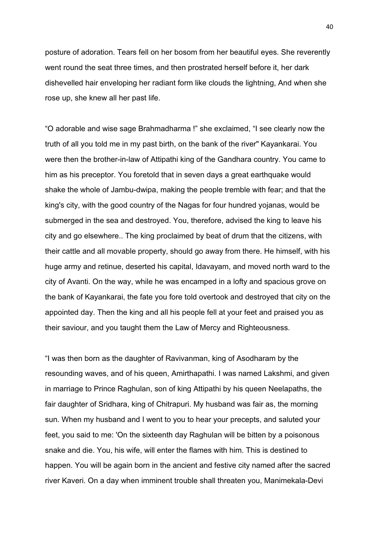posture of adoration. Tears fell on her bosom from her beautiful eyes. She reverently went round the seat three times, and then prostrated herself before it, her dark dishevelled hair enveloping her radiant form like clouds the lightning, And when she rose up, she knew all her past life.

"O adorable and wise sage Brahmadharma !" she exclaimed, "I see clearly now the truth of all you told me in my past birth, on the bank of the river" Kayankarai. You were then the brother-in-law of Attipathi king of the Gandhara country. You came to him as his preceptor. You foretold that in seven days a great earthquake would shake the whole of Jambu-dwipa, making the people tremble with fear; and that the king's city, with the good country of the Nagas for four hundred yojanas, would be submerged in the sea and destroyed. You, therefore, advised the king to leave his city and go elsewhere.. The king proclaimed by beat of drum that the citizens, with their cattle and all movable property, should go away from there. He himself, with his huge army and retinue, deserted his capital, Idavayam, and moved north ward to the city of Avanti. On the way, while he was encamped in a lofty and spacious grove on the bank of Kayankarai, the fate you fore told overtook and destroyed that city on the appointed day. Then the king and all his people fell at your feet and praised you as their saviour, and you taught them the Law of Mercy and Righteousness.

"I was then born as the daughter of Ravivanman, king of Asodharam by the resounding waves, and of his queen, Amirthapathi. I was named Lakshmi, and given in marriage to Prince Raghulan, son of king Attipathi by his queen Neelapaths, the fair daughter of Sridhara, king of Chitrapuri. My husband was fair as, the morning sun. When my husband and I went to you to hear your precepts, and saluted your feet, you said to me: 'On the sixteenth day Raghulan will be bitten by a poisonous snake and die. You, his wife, will enter the flames with him. This is destined to happen. You will be again born in the ancient and festive city named after the sacred river Kaveri. On a day when imminent trouble shall threaten you, Manimekala-Devi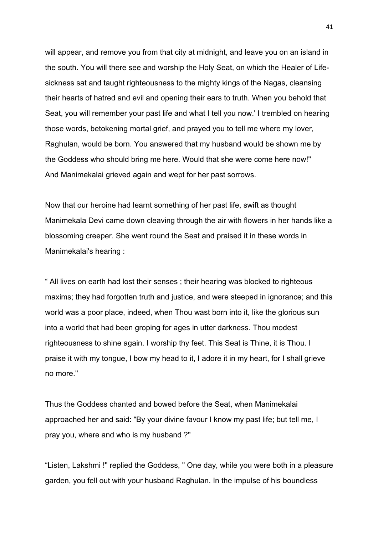will appear, and remove you from that city at midnight, and leave you on an island in the south. You will there see and worship the Holy Seat, on which the Healer of Lifesickness sat and taught righteousness to the mighty kings of the Nagas, cleansing their hearts of hatred and evil and opening their ears to truth. When you behold that Seat, you will remember your past life and what I tell you now.' I trembled on hearing those words, betokening mortal grief, and prayed you to tell me where my lover, Raghulan, would be born. You answered that my husband would be shown me by the Goddess who should bring me here. Would that she were come here now!" And Manimekalai grieved again and wept for her past sorrows.

Now that our heroine had learnt something of her past life, swift as thought Manimekala Devi came down cleaving through the air with flowers in her hands like a blossoming creeper. She went round the Seat and praised it in these words in Manimekalai's hearing :

" All lives on earth had lost their senses ; their hearing was blocked to righteous maxims; they had forgotten truth and justice, and were steeped in ignorance; and this world was a poor place, indeed, when Thou wast born into it, like the glorious sun into a world that had been groping for ages in utter darkness. Thou modest righteousness to shine again. I worship thy feet. This Seat is Thine, it is Thou. I praise it with my tongue, I bow my head to it, I adore it in my heart, for I shall grieve no more."

Thus the Goddess chanted and bowed before the Seat, when Manimekalai approached her and said: "By your divine favour I know my past life; but tell me, I pray you, where and who is my husband ?"

"Listen, Lakshmi !" replied the Goddess, " One day, while you were both in a pleasure garden, you fell out with your husband Raghulan. In the impulse of his boundless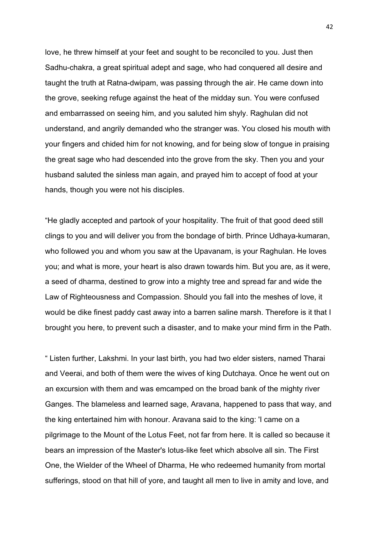love, he threw himself at your feet and sought to be reconciled to you. Just then Sadhu-chakra, a great spiritual adept and sage, who had conquered all desire and taught the truth at Ratna-dwipam, was passing through the air. He came down into the grove, seeking refuge against the heat of the midday sun. You were confused and embarrassed on seeing him, and you saluted him shyly. Raghulan did not understand, and angrily demanded who the stranger was. You closed his mouth with your fingers and chided him for not knowing, and for being slow of tongue in praising the great sage who had descended into the grove from the sky. Then you and your husband saluted the sinless man again, and prayed him to accept of food at your hands, though you were not his disciples.

"He gladly accepted and partook of your hospitality. The fruit of that good deed still clings to you and will deliver you from the bondage of birth. Prince Udhaya-kumaran, who followed you and whom you saw at the Upavanam, is your Raghulan. He loves you; and what is more, your heart is also drawn towards him. But you are, as it were, a seed of dharma, destined to grow into a mighty tree and spread far and wide the Law of Righteousness and Compassion. Should you fall into the meshes of love, it would be dike finest paddy cast away into a barren saline marsh. Therefore is it that I brought you here, to prevent such a disaster, and to make your mind firm in the Path.

" Listen further, Lakshmi. In your last birth, you had two elder sisters, named Tharai and Veerai, and both of them were the wives of king Dutchaya. Once he went out on an excursion with them and was emcamped on the broad bank of the mighty river Ganges. The blameless and learned sage, Aravana, happened to pass that way, and the king entertained him with honour. Aravana said to the king: 'I came on a pilgrimage to the Mount of the Lotus Feet, not far from here. It is called so because it bears an impression of the Master's lotus-like feet which absolve all sin. The First One, the Wielder of the Wheel of Dharma, He who redeemed humanity from mortal sufferings, stood on that hill of yore, and taught all men to live in amity and love, and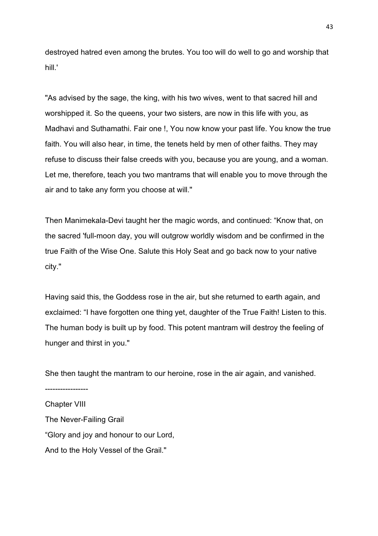destroyed hatred even among the brutes. You too will do well to go and worship that hill.'

"As advised by the sage, the king, with his two wives, went to that sacred hill and worshipped it. So the queens, your two sisters, are now in this life with you, as Madhavi and Suthamathi. Fair one !, You now know your past life. You know the true faith. You will also hear, in time, the tenets held by men of other faiths. They may refuse to discuss their false creeds with you, because you are young, and a woman. Let me, therefore, teach you two mantrams that will enable you to move through the air and to take any form you choose at will."

Then Manimekala-Devi taught her the magic words, and continued: "Know that, on the sacred 'full-moon day, you will outgrow worldly wisdom and be confirmed in the true Faith of the Wise One. Salute this Holy Seat and go back now to your native city."

Having said this, the Goddess rose in the air, but she returned to earth again, and exclaimed: "I have forgotten one thing yet, daughter of the True Faith! Listen to this. The human body is built up by food. This potent mantram will destroy the feeling of hunger and thirst in you."

She then taught the mantram to our heroine, rose in the air again, and vanished. ----------------- Chapter VIII The Never-Failing Grail

"Glory and joy and honour to our Lord,

And to the Holy Vessel of the Grail."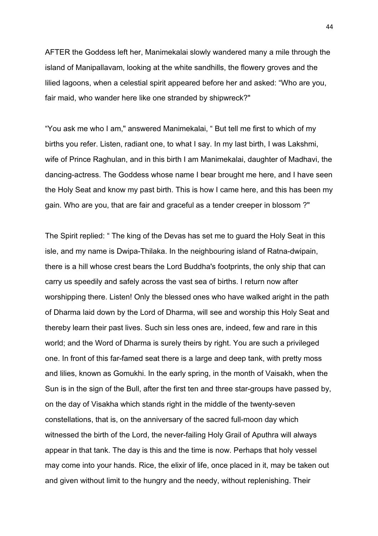AFTER the Goddess left her, Manimekalai slowly wandered many a mile through the island of Manipallavam, looking at the white sandhills, the flowery groves and the lilied lagoons, when a celestial spirit appeared before her and asked: "Who are you, fair maid, who wander here like one stranded by shipwreck?"

"You ask me who I am," answered Manimekalai, " But tell me first to which of my births you refer. Listen, radiant one, to what I say. In my last birth, I was Lakshmi, wife of Prince Raghulan, and in this birth I am Manimekalai, daughter of Madhavi, the dancing-actress. The Goddess whose name I bear brought me here, and I have seen the Holy Seat and know my past birth. This is how I came here, and this has been my gain. Who are you, that are fair and graceful as a tender creeper in blossom ?"

The Spirit replied: " The king of the Devas has set me to guard the Holy Seat in this isle, and my name is Dwipa-Thilaka. In the neighbouring island of Ratna-dwipain, there is a hill whose crest bears the Lord Buddha's footprints, the only ship that can carry us speedily and safely across the vast sea of births. I return now after worshipping there. Listen! Only the blessed ones who have walked aright in the path of Dharma laid down by the Lord of Dharma, will see and worship this Holy Seat and thereby learn their past lives. Such sin less ones are, indeed, few and rare in this world; and the Word of Dharma is surely theirs by right. You are such a privileged one. In front of this far-famed seat there is a large and deep tank, with pretty moss and lilies, known as Gomukhi. In the early spring, in the month of Vaisakh, when the Sun is in the sign of the Bull, after the first ten and three star-groups have passed by, on the day of Visakha which stands right in the middle of the twenty-seven constellations, that is, on the anniversary of the sacred full-moon day which witnessed the birth of the Lord, the never-failing Holy Grail of Aputhra will always appear in that tank. The day is this and the time is now. Perhaps that holy vessel may come into your hands. Rice, the elixir of life, once placed in it, may be taken out and given without limit to the hungry and the needy, without replenishing. Their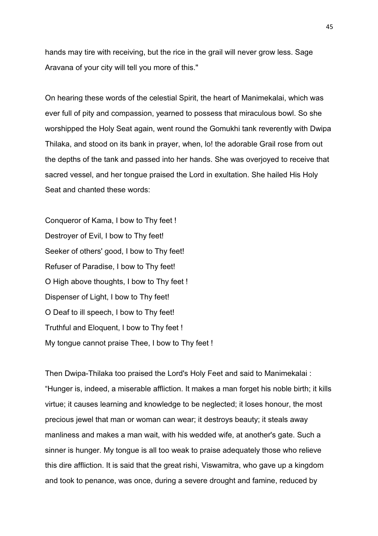hands may tire with receiving, but the rice in the grail will never grow less. Sage Aravana of your city will tell you more of this."

On hearing these words of the celestial Spirit, the heart of Manimekalai, which was ever full of pity and compassion, yearned to possess that miraculous bowl. So she worshipped the Holy Seat again, went round the Gomukhi tank reverently with Dwipa Thilaka, and stood on its bank in prayer, when, lo! the adorable Grail rose from out the depths of the tank and passed into her hands. She was overjoyed to receive that sacred vessel, and her tongue praised the Lord in exultation. She hailed His Holy Seat and chanted these words:

Conqueror of Kama, I bow to Thy feet ! Destroyer of Evil, I bow to Thy feet! Seeker of others' good, I bow to Thy feet! Refuser of Paradise, I bow to Thy feet! O High above thoughts, I bow to Thy feet ! Dispenser of Light, I bow to Thy feet! O Deaf to ill speech, I bow to Thy feet! Truthful and Eloquent, I bow to Thy feet ! My tongue cannot praise Thee, I bow to Thy feet !

Then Dwipa-Thilaka too praised the Lord's Holy Feet and said to Manimekalai : "Hunger is, indeed, a miserable affliction. It makes a man forget his noble birth; it kills virtue; it causes learning and knowledge to be neglected; it loses honour, the most precious jewel that man or woman can wear; it destroys beauty; it steals away manliness and makes a man wait, with his wedded wife, at another's gate. Such a sinner is hunger. My tongue is all too weak to praise adequately those who relieve this dire affliction. It is said that the great rishi, Viswamitra, who gave up a kingdom and took to penance, was once, during a severe drought and famine, reduced by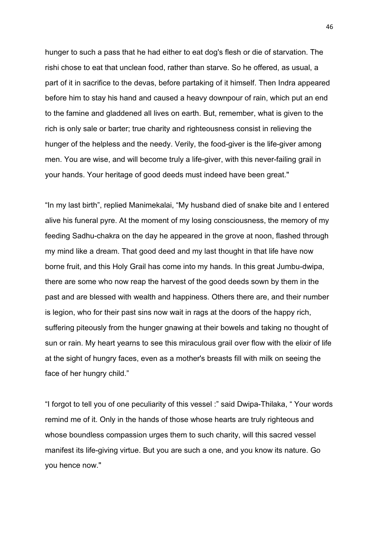hunger to such a pass that he had either to eat dog's flesh or die of starvation. The rishi chose to eat that unclean food, rather than starve. So he offered, as usual, a part of it in sacrifice to the devas, before partaking of it himself. Then Indra appeared before him to stay his hand and caused a heavy downpour of rain, which put an end to the famine and gladdened all lives on earth. But, remember, what is given to the rich is only sale or barter; true charity and righteousness consist in relieving the hunger of the helpless and the needy. Verily, the food-giver is the life-giver among men. You are wise, and will become truly a life-giver, with this never-failing grail in your hands. Your heritage of good deeds must indeed have been great."

"In my last birth", replied Manimekalai, "My husband died of snake bite and I entered alive his funeral pyre. At the moment of my losing consciousness, the memory of my feeding Sadhu-chakra on the day he appeared in the grove at noon, flashed through my mind like a dream. That good deed and my last thought in that life have now borne fruit, and this Holy Grail has come into my hands. In this great Jumbu-dwipa, there are some who now reap the harvest of the good deeds sown by them in the past and are blessed with wealth and happiness. Others there are, and their number is legion, who for their past sins now wait in rags at the doors of the happy rich, suffering piteously from the hunger gnawing at their bowels and taking no thought of sun or rain. My heart yearns to see this miraculous grail over flow with the elixir of life at the sight of hungry faces, even as a mother's breasts fill with milk on seeing the face of her hungry child."

"I forgot to tell you of one peculiarity of this vessel :" said Dwipa-Thilaka, " Your words remind me of it. Only in the hands of those whose hearts are truly righteous and whose boundless compassion urges them to such charity, will this sacred vessel manifest its life-giving virtue. But you are such a one, and you know its nature. Go you hence now."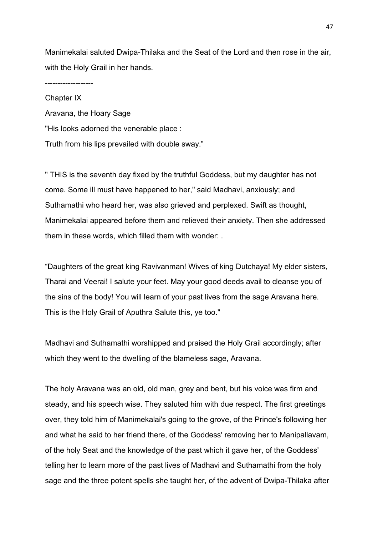Manimekalai saluted Dwipa-Thilaka and the Seat of the Lord and then rose in the air, with the Holy Grail in her hands.

-------------------

Chapter IX Aravana, the Hoary Sage "His looks adorned the venerable place : Truth from his lips prevailed with double sway."

" THIS is the seventh day fixed by the truthful Goddess, but my daughter has not come. Some ill must have happened to her," said Madhavi, anxiously; and Suthamathi who heard her, was also grieved and perplexed. Swift as thought, Manimekalai appeared before them and relieved their anxiety. Then she addressed them in these words, which filled them with wonder: .

"Daughters of the great king Ravivanman! Wives of king Dutchaya! My elder sisters, Tharai and Veerai! I salute your feet. May your good deeds avail to cleanse you of the sins of the body! You will learn of your past lives from the sage Aravana here. This is the Holy Grail of Aputhra Salute this, ye too."

Madhavi and Suthamathi worshipped and praised the Holy Grail accordingly; after which they went to the dwelling of the blameless sage, Aravana.

The holy Aravana was an old, old man, grey and bent, but his voice was firm and steady, and his speech wise. They saluted him with due respect. The first greetings over, they told him of Manimekalai's going to the grove, of the Prince's following her and what he said to her friend there, of the Goddess' removing her to Manipallavam, of the holy Seat and the knowledge of the past which it gave her, of the Goddess' telling her to learn more of the past lives of Madhavi and Suthamathi from the holy sage and the three potent spells she taught her, of the advent of Dwipa-Thilaka after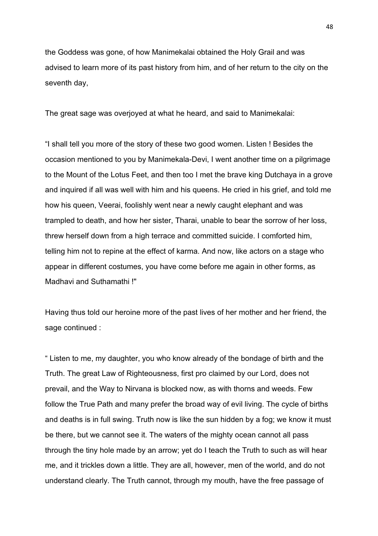the Goddess was gone, of how Manimekalai obtained the Holy Grail and was advised to learn more of its past history from him, and of her return to the city on the seventh day,

The great sage was overjoyed at what he heard, and said to Manimekalai:

"I shall tell you more of the story of these two good women. Listen ! Besides the occasion mentioned to you by Manimekala-Devi, I went another time on a pilgrimage to the Mount of the Lotus Feet, and then too I met the brave king Dutchaya in a grove and inquired if all was well with him and his queens. He cried in his grief, and told me how his queen, Veerai, foolishly went near a newly caught elephant and was trampled to death, and how her sister, Tharai, unable to bear the sorrow of her loss, threw herself down from a high terrace and committed suicide. I comforted him, telling him not to repine at the effect of karma. And now, like actors on a stage who appear in different costumes, you have come before me again in other forms, as Madhavi and Suthamathi !"

Having thus told our heroine more of the past lives of her mother and her friend, the sage continued :

" Listen to me, my daughter, you who know already of the bondage of birth and the Truth. The great Law of Righteousness, first pro claimed by our Lord, does not prevail, and the Way to Nirvana is blocked now, as with thorns and weeds. Few follow the True Path and many prefer the broad way of evil living. The cycle of births and deaths is in full swing. Truth now is like the sun hidden by a fog; we know it must be there, but we cannot see it. The waters of the mighty ocean cannot all pass through the tiny hole made by an arrow; yet do I teach the Truth to such as will hear me, and it trickles down a little. They are all, however, men of the world, and do not understand clearly. The Truth cannot, through my mouth, have the free passage of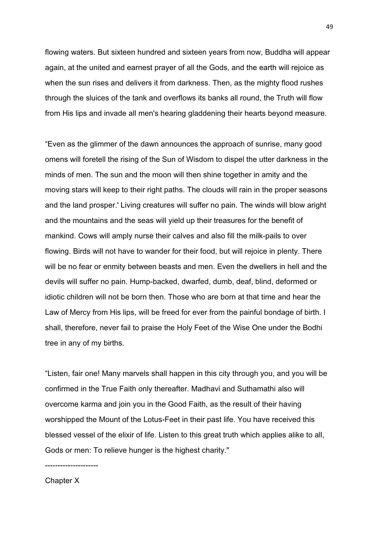flowing waters. But sixteen hundred and sixteen years from now, Buddha will appear again, at the united and earnest prayer of all the Gods, and the earth will rejoice as when the sun rises and delivers it from darkness. Then, as the mighty flood rushes through the sluices of the tank and overflows its banks all round, the Truth will flow from His lips and invade all men's hearing gladdening their hearts beyond measure.

"Even as the glimmer of the dawn announces the approach of sunrise, many good omens will foretell the rising of the Sun of Wisdom to dispel the utter darkness in the minds of men. The sun and the moon will then shine together in amity and the moving stars will keep to their right paths. The clouds will rain in the proper seasons and the land prosper.' Living creatures will suffer no pain. The winds will blow aright and the mountains and the seas will yield up their treasures for the benefit of mankind. Cows will amply nurse their calves and also fill the milk-pails to over flowing. Birds will not have to wander for their food, but will rejoice in plenty. There will be no fear or enmity between beasts and men. Even the dwellers in hell and the devils will suffer no pain. Hump-backed, dwarfed, dumb, deaf, blind, deformed or idiotic children will not be born then. Those who are born at that time and hear the Law of Mercy from His lips, will be freed for ever from the painful bondage of birth. I shall, therefore, never fail to praise the Holy Feet of the Wise One under the Bodhi tree in any of my births.

"Listen, fair one! Many marvels shall happen in this city through you, and you will be confirmed in the True Faith only thereafter. Madhavi and Suthamathi also will overcome karma and join you in the Good Faith, as the result of their having worshipped the Mount of the Lotus-Feet in their past life. You have received this blessed vessel of the elixir of life. Listen to this great truth which applies alike to all, Gods or men: To relieve hunger is the highest charity."

---------------------

## Chapter X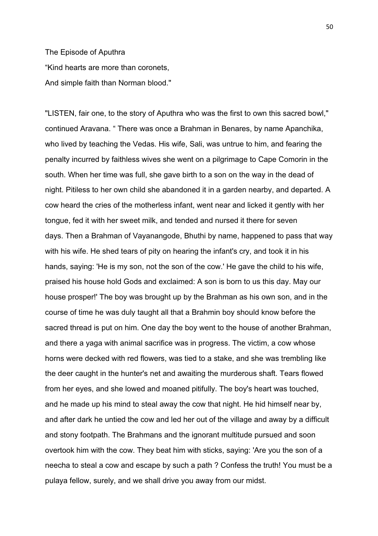## The Episode of Aputhra "Kind hearts are more than coronets, And simple faith than Norman blood."

"LISTEN, fair one, to the story of Aputhra who was the first to own this sacred bowl," continued Aravana. " There was once a Brahman in Benares, by name Apanchika, who lived by teaching the Vedas. His wife, Sali, was untrue to him, and fearing the penalty incurred by faithless wives she went on a pilgrimage to Cape Comorin in the south. When her time was full, she gave birth to a son on the way in the dead of night. Pitiless to her own child she abandoned it in a garden nearby, and departed. A cow heard the cries of the motherless infant, went near and licked it gently with her tongue, fed it with her sweet milk, and tended and nursed it there for seven days. Then a Brahman of Vayanangode, Bhuthi by name, happened to pass that way with his wife. He shed tears of pity on hearing the infant's cry, and took it in his hands, saying: 'He is my son, not the son of the cow.' He gave the child to his wife, praised his house hold Gods and exclaimed: A son is born to us this day. May our house prosper!' The boy was brought up by the Brahman as his own son, and in the course of time he was duly taught all that a Brahmin boy should know before the sacred thread is put on him. One day the boy went to the house of another Brahman, and there a yaga with animal sacrifice was in progress. The victim, a cow whose horns were decked with red flowers, was tied to a stake, and she was trembling like the deer caught in the hunter's net and awaiting the murderous shaft. Tears flowed from her eyes, and she lowed and moaned pitifully. The boy's heart was touched, and he made up his mind to steal away the cow that night. He hid himself near by, and after dark he untied the cow and led her out of the village and away by a difficult and stony footpath. The Brahmans and the ignorant multitude pursued and soon overtook him with the cow. They beat him with sticks, saying: 'Are you the son of a neecha to steal a cow and escape by such a path ? Confess the truth! You must be a pulaya fellow, surely, and we shall drive you away from our midst.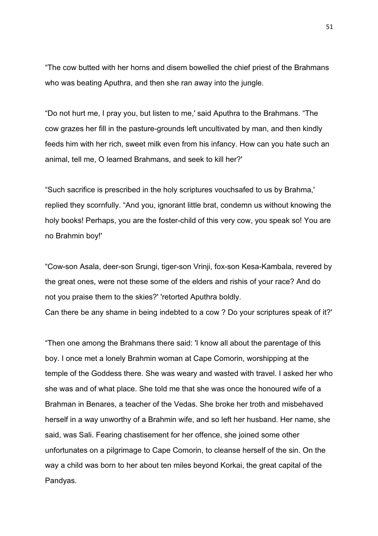"The cow butted with her horns and disem bowelled the chief priest of the Brahmans who was beating Aputhra, and then she ran away into the jungle.

"Do not hurt me, I pray you, but listen to me,' said Aputhra to the Brahmans. "The cow grazes her fill in the pasture-grounds left uncultivated by man, and then kindly feeds him with her rich, sweet milk even from his infancy. How can you hate such an animal, tell me, O learned Brahmans, and seek to kill her?'

"Such sacrifice is prescribed in the holy scriptures vouchsafed to us by Brahma,' replied they scornfully. "And you, ignorant little brat, condemn us without knowing the holy books! Perhaps, you are the foster-child of this very cow, you speak so! You are no Brahmin boy!'

"Cow-son Asala, deer-son Srungi, tiger-son Vrinji, fox-son Kesa-Kambala, revered by the great ones, were not these some of the elders and rishis of your race? And do not you praise them to the skies?' 'retorted Aputhra boldly. Can there be any shame in being indebted to a cow ? Do your scriptures speak of it?'

"Then one among the Brahmans there said: 'I know all about the parentage of this boy. I once met a lonely Brahmin woman at Cape Comorin, worshipping at the temple of the Goddess there. She was weary and wasted with travel. I asked her who she was and of what place. She told me that she was once the honoured wife of a Brahman in Benares, a teacher of the Vedas. She broke her troth and misbehaved herself in a way unworthy of a Brahmin wife, and so left her husband. Her name, she said, was Sali. Fearing chastisement for her offence, she joined some other unfortunates on a pilgrimage to Cape Comorin, to cleanse herself of the sin. On the way a child was born to her about ten miles beyond Korkai, the great capital of the Pandyas.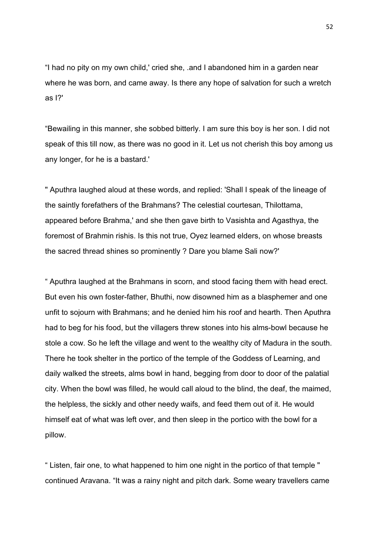"I had no pity on my own child,' cried she, .and I abandoned him in a garden near where he was born, and came away. Is there any hope of salvation for such a wretch as I?'

"Bewailing in this manner, she sobbed bitterly. I am sure this boy is her son. I did not speak of this till now, as there was no good in it. Let us not cherish this boy among us any longer, for he is a bastard.'

" Aputhra laughed aloud at these words, and replied: 'Shall I speak of the lineage of the saintly forefathers of the Brahmans? The celestial courtesan, Thilottama, appeared before Brahma,' and she then gave birth to Vasishta and Agasthya, the foremost of Brahmin rishis. Is this not true, Oyez learned elders, on whose breasts the sacred thread shines so prominently ? Dare you blame Sali now?'

" Aputhra laughed at the Brahmans in scorn, and stood facing them with head erect. But even his own foster-father, Bhuthi, now disowned him as a blasphemer and one unfit to sojourn with Brahmans; and he denied him his roof and hearth. Then Aputhra had to beg for his food, but the villagers threw stones into his alms-bowl because he stole a cow. So he left the village and went to the wealthy city of Madura in the south. There he took shelter in the portico of the temple of the Goddess of Learning, and daily walked the streets, alms bowl in hand, begging from door to door of the palatial city. When the bowl was filled, he would call aloud to the blind, the deaf, the maimed, the helpless, the sickly and other needy waifs, and feed them out of it. He would himself eat of what was left over, and then sleep in the portico with the bowl for a pillow.

" Listen, fair one, to what happened to him one night in the portico of that temple " continued Aravana. "It was a rainy night and pitch dark. Some weary travellers came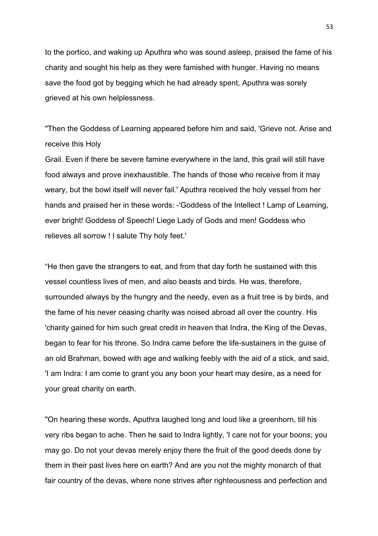to the portico, and waking up Aputhra who was sound asleep, praised the fame of his charity and sought his help as they were famished with hunger. Having no means save the food got by begging which he had already spent, Aputhra was sorely grieved at his own helplessness.

"Then the Goddess of Learning appeared before him and said, 'Grieve not. Arise and receive this Holy

Grail. Even if there be severe famine everywhere in the land, this grail will still have food always and prove inexhaustible. The hands of those who receive from it may weary, but the bowl itself will never fail.' Aputhra received the holy vessel from her hands and praised her in these words: -'Goddess of the Intellect ! Lamp of Learning, ever bright! Goddess of Speech! Liege Lady of Gods and men! Goddess who relieves all sorrow ! I salute Thy holy feet.'

"He then gave the strangers to eat, and from that day forth he sustained with this vessel countless lives of men, and also beasts and birds. He was, therefore, surrounded always by the hungry and the needy, even as a fruit tree is by birds, and the fame of his never ceasing charity was noised abroad all over the country. His 'charity gained for him such great credit in heaven that Indra, the King of the Devas, began to fear for his throne. So Indra came before the life-sustainers in the guise of an old Brahman, bowed with age and walking feebly with the aid of a stick, and said, 'I am Indra: I am come to grant you any boon your heart may desire, as a need for your great charity on earth.

"On hearing these words, Aputhra laughed long and loud like a greenhorn, till his very ribs began to ache. Then he said to Indra lightly, 'I care not for your boons; you may go. Do not your devas merely enjoy there the fruit of the good deeds done by them in their past lives here on earth? And are you not the mighty monarch of that fair country of the devas, where none strives after righteousness and perfection and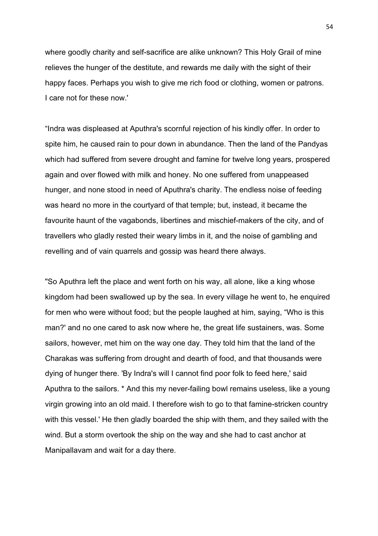where goodly charity and self-sacrifice are alike unknown? This Holy Grail of mine relieves the hunger of the destitute, and rewards me daily with the sight of their happy faces. Perhaps you wish to give me rich food or clothing, women or patrons. I care not for these now.'

"Indra was displeased at Aputhra's scornful rejection of his kindly offer. In order to spite him, he caused rain to pour down in abundance. Then the land of the Pandyas which had suffered from severe drought and famine for twelve long years, prospered again and over flowed with milk and honey. No one suffered from unappeased hunger, and none stood in need of Aputhra's charity. The endless noise of feeding was heard no more in the courtyard of that temple; but, instead, it became the favourite haunt of the vagabonds, libertines and mischief-makers of the city, and of travellers who gladly rested their weary limbs in it, and the noise of gambling and revelling and of vain quarrels and gossip was heard there always.

"So Aputhra left the place and went forth on his way, all alone, like a king whose kingdom had been swallowed up by the sea. In every village he went to, he enquired for men who were without food; but the people laughed at him, saying, "Who is this man?' and no one cared to ask now where he, the great life sustainers, was. Some sailors, however, met him on the way one day. They told him that the land of the Charakas was suffering from drought and dearth of food, and that thousands were dying of hunger there. 'By Indra's will I cannot find poor folk to feed here,' said Aputhra to the sailors. \* And this my never-failing bowl remains useless, like a young virgin growing into an old maid. I therefore wish to go to that famine-stricken country with this vessel.' He then gladly boarded the ship with them, and they sailed with the wind. But a storm overtook the ship on the way and she had to cast anchor at Manipallavam and wait for a day there.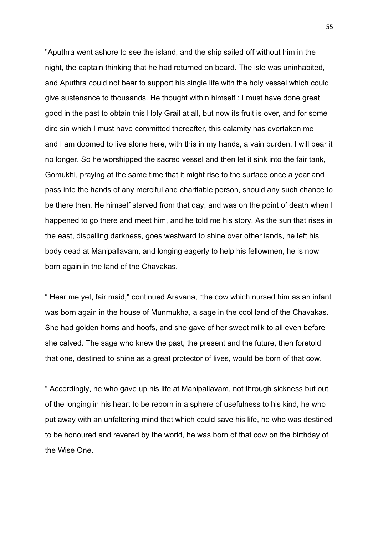"Aputhra went ashore to see the island, and the ship sailed off without him in the night, the captain thinking that he had returned on board. The isle was uninhabited, and Aputhra could not bear to support his single life with the holy vessel which could give sustenance to thousands. He thought within himself : I must have done great good in the past to obtain this Holy Grail at all, but now its fruit is over, and for some dire sin which I must have committed thereafter, this calamity has overtaken me and I am doomed to live alone here, with this in my hands, a vain burden. I will bear it no longer. So he worshipped the sacred vessel and then let it sink into the fair tank, Gomukhi, praying at the same time that it might rise to the surface once a year and pass into the hands of any merciful and charitable person, should any such chance to be there then. He himself starved from that day, and was on the point of death when I happened to go there and meet him, and he told me his story. As the sun that rises in the east, dispelling darkness, goes westward to shine over other lands, he left his body dead at Manipallavam, and longing eagerly to help his fellowmen, he is now born again in the land of the Chavakas.

" Hear me yet, fair maid," continued Aravana, "the cow which nursed him as an infant was born again in the house of Munmukha, a sage in the cool land of the Chavakas. She had golden horns and hoofs, and she gave of her sweet milk to all even before she calved. The sage who knew the past, the present and the future, then foretold that one, destined to shine as a great protector of lives, would be born of that cow.

" Accordingly, he who gave up his life at Manipallavam, not through sickness but out of the longing in his heart to be reborn in a sphere of usefulness to his kind, he who put away with an unfaltering mind that which could save his life, he who was destined to be honoured and revered by the world, he was born of that cow on the birthday of the Wise One.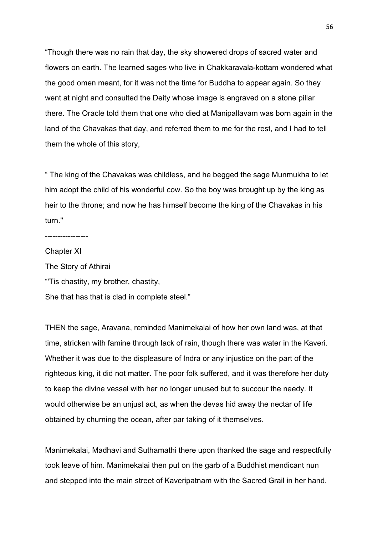"Though there was no rain that day, the sky showered drops of sacred water and flowers on earth. The learned sages who live in Chakkaravala-kottam wondered what the good omen meant, for it was not the time for Buddha to appear again. So they went at night and consulted the Deity whose image is engraved on a stone pillar there. The Oracle told them that one who died at Manipallavam was born again in the land of the Chavakas that day, and referred them to me for the rest, and I had to tell them the whole of this story,

" The king of the Chavakas was childless, and he begged the sage Munmukha to let him adopt the child of his wonderful cow. So the boy was brought up by the king as heir to the throne; and now he has himself become the king of the Chavakas in his turn."

-----------------

Chapter XI The Story of Athirai "'Tis chastity, my brother, chastity, She that has that is clad in complete steel."

THEN the sage, Aravana, reminded Manimekalai of how her own land was, at that time, stricken with famine through lack of rain, though there was water in the Kaveri. Whether it was due to the displeasure of Indra or any injustice on the part of the righteous king, it did not matter. The poor folk suffered, and it was therefore her duty to keep the divine vessel with her no longer unused but to succour the needy. It would otherwise be an unjust act, as when the devas hid away the nectar of life obtained by churning the ocean, after par taking of it themselves.

Manimekalai, Madhavi and Suthamathi there upon thanked the sage and respectfully took leave of him. Manimekalai then put on the garb of a Buddhist mendicant nun and stepped into the main street of Kaveripatnam with the Sacred Grail in her hand.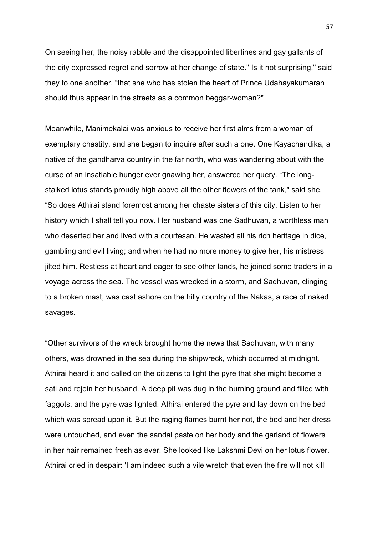On seeing her, the noisy rabble and the disappointed libertines and gay gallants of the city expressed regret and sorrow at her change of state." Is it not surprising," said they to one another, "that she who has stolen the heart of Prince Udahayakumaran should thus appear in the streets as a common beggar-woman?"

Meanwhile, Manimekalai was anxious to receive her first alms from a woman of exemplary chastity, and she began to inquire after such a one. One Kayachandika, a native of the gandharva country in the far north, who was wandering about with the curse of an insatiable hunger ever gnawing her, answered her query. "The longstalked lotus stands proudly high above all the other flowers of the tank," said she, "So does Athirai stand foremost among her chaste sisters of this city. Listen to her history which I shall tell you now. Her husband was one Sadhuvan, a worthless man who deserted her and lived with a courtesan. He wasted all his rich heritage in dice, gambling and evil living; and when he had no more money to give her, his mistress jilted him. Restless at heart and eager to see other lands, he joined some traders in a voyage across the sea. The vessel was wrecked in a storm, and Sadhuvan, clinging to a broken mast, was cast ashore on the hilly country of the Nakas, a race of naked savages.

"Other survivors of the wreck brought home the news that Sadhuvan, with many others, was drowned in the sea during the shipwreck, which occurred at midnight. Athirai heard it and called on the citizens to light the pyre that she might become a sati and rejoin her husband. A deep pit was dug in the burning ground and filled with faggots, and the pyre was lighted. Athirai entered the pyre and lay down on the bed which was spread upon it. But the raging flames burnt her not, the bed and her dress were untouched, and even the sandal paste on her body and the garland of flowers in her hair remained fresh as ever. She looked like Lakshmi Devi on her lotus flower. Athirai cried in despair: 'I am indeed such a vile wretch that even the fire will not kill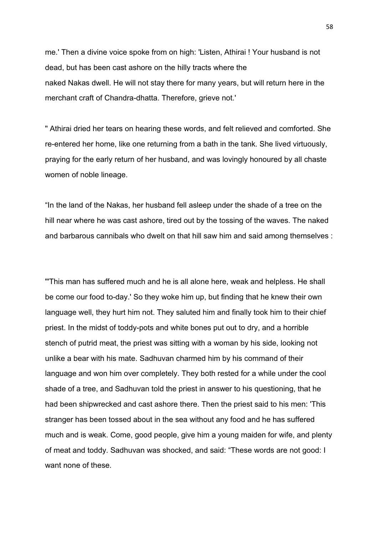me.' Then a divine voice spoke from on high: 'Listen, Athirai ! Your husband is not dead, but has been cast ashore on the hilly tracts where the naked Nakas dwell. He will not stay there for many years, but will return here in the merchant craft of Chandra-dhatta. Therefore, grieve not.'

" Athirai dried her tears on hearing these words, and felt relieved and comforted. She re-entered her home, like one returning from a bath in the tank. She lived virtuously, praying for the early return of her husband, and was lovingly honoured by all chaste women of noble lineage.

"In the land of the Nakas, her husband fell asleep under the shade of a tree on the hill near where he was cast ashore, tired out by the tossing of the waves. The naked and barbarous cannibals who dwelt on that hill saw him and said among themselves :

"'This man has suffered much and he is all alone here, weak and helpless. He shall be come our food to-day.' So they woke him up, but finding that he knew their own language well, they hurt him not. They saluted him and finally took him to their chief priest. In the midst of toddy-pots and white bones put out to dry, and a horrible stench of putrid meat, the priest was sitting with a woman by his side, looking not unlike a bear with his mate. Sadhuvan charmed him by his command of their language and won him over completely. They both rested for a while under the cool shade of a tree, and Sadhuvan told the priest in answer to his questioning, that he had been shipwrecked and cast ashore there. Then the priest said to his men: 'This stranger has been tossed about in the sea without any food and he has suffered much and is weak. Come, good people, give him a young maiden for wife, and plenty of meat and toddy. Sadhuvan was shocked, and said: "These words are not good: I want none of these.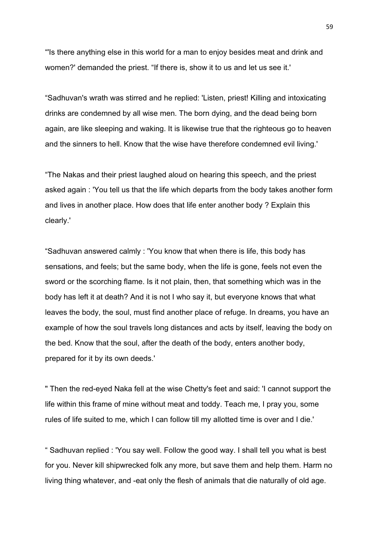"'Is there anything else in this world for a man to enjoy besides meat and drink and women?' demanded the priest. "If there is, show it to us and let us see it.'

"Sadhuvan's wrath was stirred and he replied: 'Listen, priest! Killing and intoxicating drinks are condemned by all wise men. The born dying, and the dead being born again, are like sleeping and waking. It is likewise true that the righteous go to heaven and the sinners to hell. Know that the wise have therefore condemned evil living.'

"The Nakas and their priest laughed aloud on hearing this speech, and the priest asked again : 'You tell us that the life which departs from the body takes another form and lives in another place. How does that life enter another body ? Explain this clearly.'

"Sadhuvan answered calmly : 'You know that when there is life, this body has sensations, and feels; but the same body, when the life is gone, feels not even the sword or the scorching flame. Is it not plain, then, that something which was in the body has left it at death? And it is not I who say it, but everyone knows that what leaves the body, the soul, must find another place of refuge. In dreams, you have an example of how the soul travels long distances and acts by itself, leaving the body on the bed. Know that the soul, after the death of the body, enters another body, prepared for it by its own deeds.'

" Then the red-eyed Naka fell at the wise Chetty's feet and said: 'I cannot support the life within this frame of mine without meat and toddy. Teach me, I pray you, some rules of life suited to me, which I can follow till my allotted time is over and I die.'

" Sadhuvan replied : 'You say well. Follow the good way. I shall tell you what is best for you. Never kill shipwrecked folk any more, but save them and help them. Harm no living thing whatever, and -eat only the flesh of animals that die naturally of old age.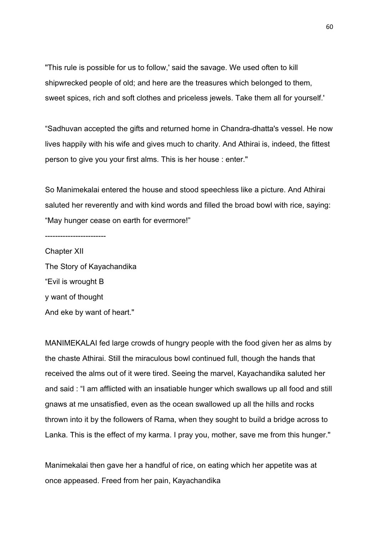"This rule is possible for us to follow,' said the savage. We used often to kill shipwrecked people of old; and here are the treasures which belonged to them, sweet spices, rich and soft clothes and priceless jewels. Take them all for yourself.'

"Sadhuvan accepted the gifts and returned home in Chandra-dhatta's vessel. He now lives happily with his wife and gives much to charity. And Athirai is, indeed, the fittest person to give you your first alms. This is her house : enter."

So Manimekalai entered the house and stood speechless like a picture. And Athirai saluted her reverently and with kind words and filled the broad bowl with rice, saying: "May hunger cease on earth for evermore!"

------------------------

Chapter XII The Story of Kayachandika "Evil is wrought B y want of thought And eke by want of heart."

MANIMEKALAI fed large crowds of hungry people with the food given her as alms by the chaste Athirai. Still the miraculous bowl continued full, though the hands that received the alms out of it were tired. Seeing the marvel, Kayachandika saluted her and said : "I am afflicted with an insatiable hunger which swallows up all food and still gnaws at me unsatisfied, even as the ocean swallowed up all the hills and rocks thrown into it by the followers of Rama, when they sought to build a bridge across to Lanka. This is the effect of my karma. I pray you, mother, save me from this hunger."

Manimekalai then gave her a handful of rice, on eating which her appetite was at once appeased. Freed from her pain, Kayachandika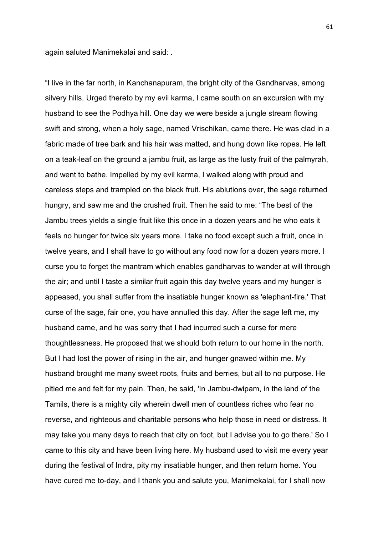again saluted Manimekalai and said: .

"I live in the far north, in Kanchanapuram, the bright city of the Gandharvas, among silvery hills. Urged thereto by my evil karma, I came south on an excursion with my husband to see the Podhya hill. One day we were beside a jungle stream flowing swift and strong, when a holy sage, named Vrischikan, came there. He was clad in a fabric made of tree bark and his hair was matted, and hung down like ropes. He left on a teak-leaf on the ground a jambu fruit, as large as the lusty fruit of the palmyrah, and went to bathe. Impelled by my evil karma, I walked along with proud and careless steps and trampled on the black fruit. His ablutions over, the sage returned hungry, and saw me and the crushed fruit. Then he said to me: "The best of the Jambu trees yields a single fruit like this once in a dozen years and he who eats it feels no hunger for twice six years more. I take no food except such a fruit, once in twelve years, and I shall have to go without any food now for a dozen years more. I curse you to forget the mantram which enables gandharvas to wander at will through the air; and until I taste a similar fruit again this day twelve years and my hunger is appeased, you shall suffer from the insatiable hunger known as 'elephant-fire.' That curse of the sage, fair one, you have annulled this day. After the sage left me, my husband came, and he was sorry that I had incurred such a curse for mere thoughtlessness. He proposed that we should both return to our home in the north. But I had lost the power of rising in the air, and hunger gnawed within me. My husband brought me many sweet roots, fruits and berries, but all to no purpose. He pitied me and felt for my pain. Then, he said, 'In Jambu-dwipam, in the land of the Tamils, there is a mighty city wherein dwell men of countless riches who fear no reverse, and righteous and charitable persons who help those in need or distress. It may take you many days to reach that city on foot, but I advise you to go there.' So I came to this city and have been living here. My husband used to visit me every year during the festival of Indra, pity my insatiable hunger, and then return home. You have cured me to-day, and I thank you and salute you, Manimekalai, for I shall now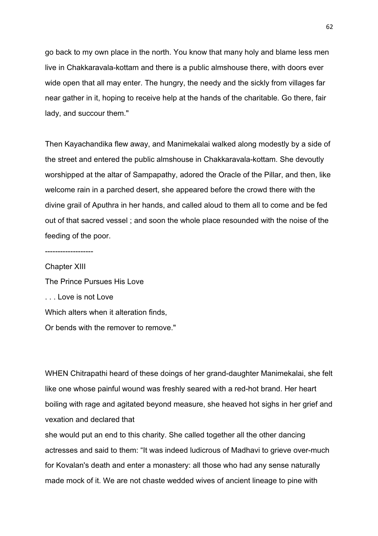go back to my own place in the north. You know that many holy and blame less men live in Chakkaravala-kottam and there is a public almshouse there, with doors ever wide open that all may enter. The hungry, the needy and the sickly from villages far near gather in it, hoping to receive help at the hands of the charitable. Go there, fair lady, and succour them."

Then Kayachandika flew away, and Manimekalai walked along modestly by a side of the street and entered the public almshouse in Chakkaravala-kottam. She devoutly worshipped at the altar of Sampapathy, adored the Oracle of the Pillar, and then, like welcome rain in a parched desert, she appeared before the crowd there with the divine grail of Aputhra in her hands, and called aloud to them all to come and be fed out of that sacred vessel ; and soon the whole place resounded with the noise of the feeding of the poor.

-------------------

Chapter XIII The Prince Pursues His Love . . . Love is not Love Which alters when it alteration finds, Or bends with the remover to remove."

WHEN Chitrapathi heard of these doings of her grand-daughter Manimekalai, she felt like one whose painful wound was freshly seared with a red-hot brand. Her heart boiling with rage and agitated beyond measure, she heaved hot sighs in her grief and vexation and declared that

she would put an end to this charity. She called together all the other dancing actresses and said to them: "It was indeed ludicrous of Madhavi to grieve over-much for Kovalan's death and enter a monastery: all those who had any sense naturally made mock of it. We are not chaste wedded wives of ancient lineage to pine with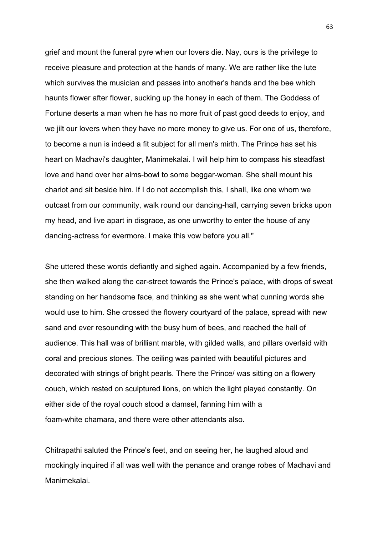grief and mount the funeral pyre when our lovers die. Nay, ours is the privilege to receive pleasure and protection at the hands of many. We are rather like the lute which survives the musician and passes into another's hands and the bee which haunts flower after flower, sucking up the honey in each of them. The Goddess of Fortune deserts a man when he has no more fruit of past good deeds to enjoy, and we jilt our lovers when they have no more money to give us. For one of us, therefore, to become a nun is indeed a fit subject for all men's mirth. The Prince has set his heart on Madhavi's daughter, Manimekalai. I will help him to compass his steadfast love and hand over her alms-bowl to some beggar-woman. She shall mount his chariot and sit beside him. If I do not accomplish this, I shall, like one whom we outcast from our community, walk round our dancing-hall, carrying seven bricks upon my head, and live apart in disgrace, as one unworthy to enter the house of any dancing-actress for evermore. I make this vow before you all."

She uttered these words defiantly and sighed again. Accompanied by a few friends, she then walked along the car-street towards the Prince's palace, with drops of sweat standing on her handsome face, and thinking as she went what cunning words she would use to him. She crossed the flowery courtyard of the palace, spread with new sand and ever resounding with the busy hum of bees, and reached the hall of audience. This hall was of brilliant marble, with gilded walls, and pillars overlaid with coral and precious stones. The ceiling was painted with beautiful pictures and decorated with strings of bright pearls. There the Prince/ was sitting on a flowery couch, which rested on sculptured lions, on which the light played constantly. On either side of the royal couch stood a damsel, fanning him with a foam-white chamara, and there were other attendants also.

Chitrapathi saluted the Prince's feet, and on seeing her, he laughed aloud and mockingly inquired if all was well with the penance and orange robes of Madhavi and Manimekalai.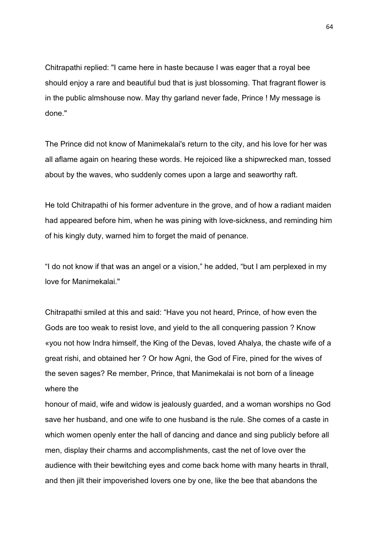Chitrapathi replied: "I came here in haste because I was eager that a royal bee should enjoy a rare and beautiful bud that is just blossoming. That fragrant flower is in the public almshouse now. May thy garland never fade, Prince ! My message is done."

The Prince did not know of Manimekalai's return to the city, and his love for her was all aflame again on hearing these words. He rejoiced like a shipwrecked man, tossed about by the waves, who suddenly comes upon a large and seaworthy raft.

He told Chitrapathi of his former adventure in the grove, and of how a radiant maiden had appeared before him, when he was pining with love-sickness, and reminding him of his kingly duty, warned him to forget the maid of penance.

"I do not know if that was an angel or a vision," he added, "but I am perplexed in my love for Manimekalai."

Chitrapathi smiled at this and said: "Have you not heard, Prince, of how even the Gods are too weak to resist love, and yield to the all conquering passion ? Know «you not how Indra himself, the King of the Devas, loved Ahalya, the chaste wife of a great rishi, and obtained her ? Or how Agni, the God of Fire, pined for the wives of the seven sages? Re member, Prince, that Manimekalai is not born of a lineage where the

honour of maid, wife and widow is jealously guarded, and a woman worships no God save her husband, and one wife to one husband is the rule. She comes of a caste in which women openly enter the hall of dancing and dance and sing publicly before all men, display their charms and accomplishments, cast the net of love over the audience with their bewitching eyes and come back home with many hearts in thrall, and then jilt their impoverished lovers one by one, like the bee that abandons the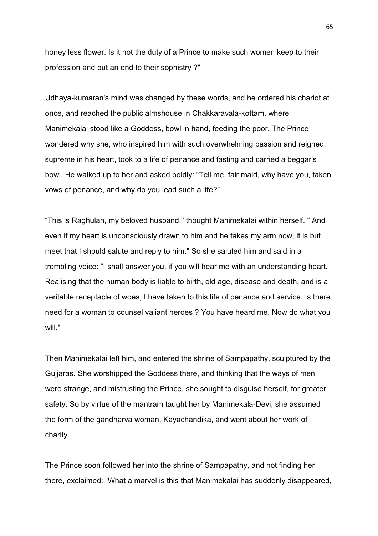honey less flower. Is it not the duty of a Prince to make such women keep to their profession and put an end to their sophistry ?"

Udhaya-kumaran's mind was changed by these words, and he ordered his chariot at once, and reached the public almshouse in Chakkaravala-kottam, where Manimekalai stood like a Goddess, bowl in hand, feeding the poor. The Prince wondered why she, who inspired him with such overwhelming passion and reigned, supreme in his heart, took to a life of penance and fasting and carried a beggar's bowl. He walked up to her and asked boldly: "Tell me, fair maid, why have you, taken vows of penance, and why do you lead such a life?"

"This is Raghulan, my beloved husband," thought Manimekalai within herself. " And even if my heart is unconsciously drawn to him and he takes my arm now, it is but meet that I should salute and reply to him." So she saluted him and said in a trembling voice: "I shall answer you, if you will hear me with an understanding heart. Realising that the human body is liable to birth, old age, disease and death, and is a veritable receptacle of woes, I have taken to this life of penance and service. Is there need for a woman to counsel valiant heroes ? You have heard me. Now do what you will."

Then Manimekalai left him, and entered the shrine of Sampapathy, sculptured by the Gujjaras. She worshipped the Goddess there, and thinking that the ways of men were strange, and mistrusting the Prince, she sought to disguise herself, for greater safety. So by virtue of the mantram taught her by Manimekala-Devi, she assumed the form of the gandharva woman, Kayachandika, and went about her work of charity.

The Prince soon followed her into the shrine of Sampapathy, and not finding her there, exclaimed: "What a marvel is this that Manimekalai has suddenly disappeared,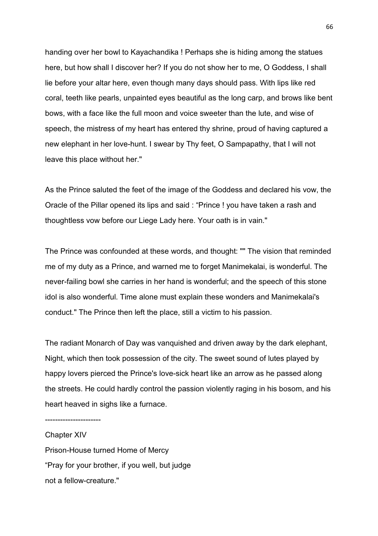handing over her bowl to Kayachandika ! Perhaps she is hiding among the statues here, but how shall I discover her? If you do not show her to me, O Goddess, I shall lie before your altar here, even though many days should pass. With lips like red coral, teeth like pearls, unpainted eyes beautiful as the long carp, and brows like bent bows, with a face like the full moon and voice sweeter than the lute, and wise of speech, the mistress of my heart has entered thy shrine, proud of having captured a new elephant in her love-hunt. I swear by Thy feet, O Sampapathy, that I will not leave this place without her."

As the Prince saluted the feet of the image of the Goddess and declared his vow, the Oracle of the Pillar opened its lips and said : "Prince ! you have taken a rash and thoughtless vow before our Liege Lady here. Your oath is in vain."

The Prince was confounded at these words, and thought: "" The vision that reminded me of my duty as a Prince, and warned me to forget Manimekalai, is wonderful. The never-failing bowl she carries in her hand is wonderful; and the speech of this stone idol is also wonderful. Time alone must explain these wonders and Manimekalai's conduct." The Prince then left the place, still a victim to his passion.

The radiant Monarch of Day was vanquished and driven away by the dark elephant, Night, which then took possession of the city. The sweet sound of lutes played by happy lovers pierced the Prince's love-sick heart like an arrow as he passed along the streets. He could hardly control the passion violently raging in his bosom, and his heart heaved in sighs like a furnace.

----------------------

Chapter XIV Prison-House turned Home of Mercy "Pray for your brother, if you well, but judge not a fellow-creature."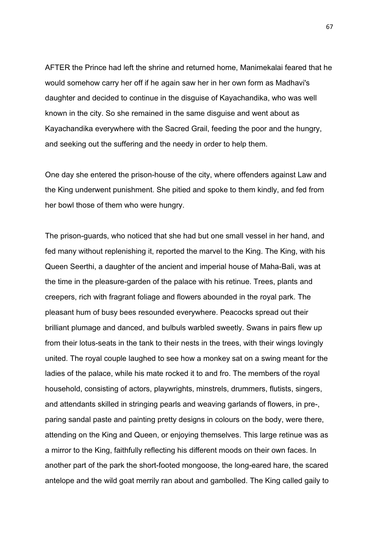AFTER the Prince had left the shrine and returned home, Manimekalai feared that he would somehow carry her off if he again saw her in her own form as Madhavi's daughter and decided to continue in the disguise of Kayachandika, who was well known in the city. So she remained in the same disguise and went about as Kayachandika everywhere with the Sacred Grail, feeding the poor and the hungry, and seeking out the suffering and the needy in order to help them.

One day she entered the prison-house of the city, where offenders against Law and the King underwent punishment. She pitied and spoke to them kindly, and fed from her bowl those of them who were hungry.

The prison-guards, who noticed that she had but one small vessel in her hand, and fed many without replenishing it, reported the marvel to the King. The King, with his Queen Seerthi, a daughter of the ancient and imperial house of Maha-Bali, was at the time in the pleasure-garden of the palace with his retinue. Trees, plants and creepers, rich with fragrant foliage and flowers abounded in the royal park. The pleasant hum of busy bees resounded everywhere. Peacocks spread out their brilliant plumage and danced, and bulbuls warbled sweetly. Swans in pairs flew up from their lotus-seats in the tank to their nests in the trees, with their wings lovingly united. The royal couple laughed to see how a monkey sat on a swing meant for the ladies of the palace, while his mate rocked it to and fro. The members of the royal household, consisting of actors, playwrights, minstrels, drummers, flutists, singers, and attendants skilled in stringing pearls and weaving garlands of flowers, in pre-, paring sandal paste and painting pretty designs in colours on the body, were there, attending on the King and Queen, or enjoying themselves. This large retinue was as a mirror to the King, faithfully reflecting his different moods on their own faces. In another part of the park the short-footed mongoose, the long-eared hare, the scared antelope and the wild goat merrily ran about and gambolled. The King called gaily to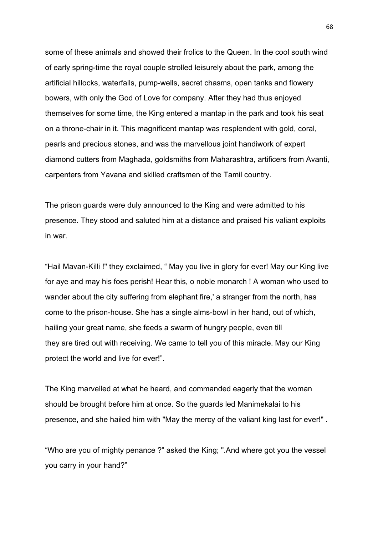some of these animals and showed their frolics to the Queen. In the cool south wind of early spring-time the royal couple strolled leisurely about the park, among the artificial hillocks, waterfalls, pump-wells, secret chasms, open tanks and flowery bowers, with only the God of Love for company. After they had thus enjoyed themselves for some time, the King entered a mantap in the park and took his seat on a throne-chair in it. This magnificent mantap was resplendent with gold, coral, pearls and precious stones, and was the marvellous joint handiwork of expert diamond cutters from Maghada, goldsmiths from Maharashtra, artificers from Avanti, carpenters from Yavana and skilled craftsmen of the Tamil country.

The prison guards were duly announced to the King and were admitted to his presence. They stood and saluted him at a distance and praised his valiant exploits in war.

"Hail Mavan-Killi !" they exclaimed, " May you live in glory for ever! May our King live for aye and may his foes perish! Hear this, o noble monarch ! A woman who used to wander about the city suffering from elephant fire,' a stranger from the north, has come to the prison-house. She has a single alms-bowl in her hand, out of which, hailing your great name, she feeds a swarm of hungry people, even till they are tired out with receiving. We came to tell you of this miracle. May our King protect the world and live for ever!".

The King marvelled at what he heard, and commanded eagerly that the woman should be brought before him at once. So the guards led Manimekalai to his presence, and she hailed him with "May the mercy of the valiant king last for ever!" .

"Who are you of mighty penance ?" asked the King; ".And where got you the vessel you carry in your hand?"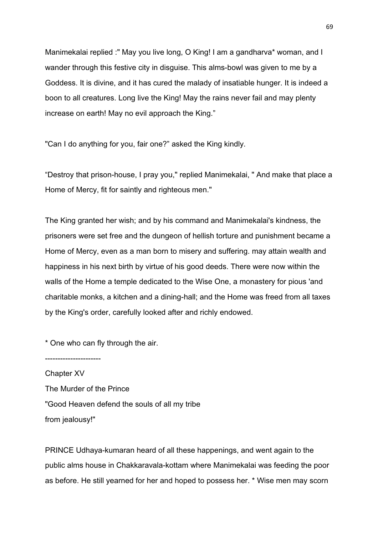Manimekalai replied :" May you live long, O King! I am a gandharva\* woman, and I wander through this festive city in disguise. This alms-bowl was given to me by a Goddess. It is divine, and it has cured the malady of insatiable hunger. It is indeed a boon to all creatures. Long live the King! May the rains never fail and may plenty increase on earth! May no evil approach the King."

"Can I do anything for you, fair one?" asked the King kindly.

"Destroy that prison-house, I pray you," replied Manimekalai, " And make that place a Home of Mercy, fit for saintly and righteous men."

The King granted her wish; and by his command and Manimekalai's kindness, the prisoners were set free and the dungeon of hellish torture and punishment became a Home of Mercy, even as a man born to misery and suffering. may attain wealth and happiness in his next birth by virtue of his good deeds. There were now within the walls of the Home a temple dedicated to the Wise One, a monastery for pious 'and charitable monks, a kitchen and a dining-hall; and the Home was freed from all taxes by the King's order, carefully looked after and richly endowed.

\* One who can fly through the air.

----------------------

Chapter XV The Murder of the Prince "Good Heaven defend the souls of all my tribe from jealousy!"

PRINCE Udhaya-kumaran heard of all these happenings, and went again to the public alms house in Chakkaravala-kottam where Manimekalai was feeding the poor as before. He still yearned for her and hoped to possess her. \* Wise men may scorn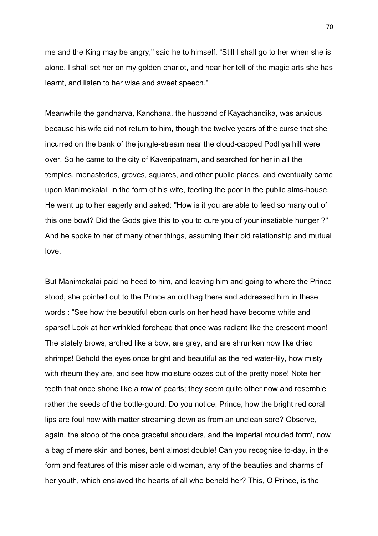me and the King may be angry," said he to himself, "Still I shall go to her when she is alone. I shall set her on my golden chariot, and hear her tell of the magic arts she has learnt, and listen to her wise and sweet speech."

Meanwhile the gandharva, Kanchana, the husband of Kayachandika, was anxious because his wife did not return to him, though the twelve years of the curse that she incurred on the bank of the jungle-stream near the cloud-capped Podhya hill were over. So he came to the city of Kaveripatnam, and searched for her in all the temples, monasteries, groves, squares, and other public places, and eventually came upon Manimekalai, in the form of his wife, feeding the poor in the public alms-house. He went up to her eagerly and asked: "How is it you are able to feed so many out of this one bowl? Did the Gods give this to you to cure you of your insatiable hunger ?" And he spoke to her of many other things, assuming their old relationship and mutual love.

But Manimekalai paid no heed to him, and leaving him and going to where the Prince stood, she pointed out to the Prince an old hag there and addressed him in these words : "See how the beautiful ebon curls on her head have become white and sparse! Look at her wrinkled forehead that once was radiant like the crescent moon! The stately brows, arched like a bow, are grey, and are shrunken now like dried shrimps! Behold the eyes once bright and beautiful as the red water-lily, how misty with rheum they are, and see how moisture oozes out of the pretty nose! Note her teeth that once shone like a row of pearls; they seem quite other now and resemble rather the seeds of the bottle-gourd. Do you notice, Prince, how the bright red coral lips are foul now with matter streaming down as from an unclean sore? Observe, again, the stoop of the once graceful shoulders, and the imperial moulded form', now a bag of mere skin and bones, bent almost double! Can you recognise to-day, in the form and features of this miser able old woman, any of the beauties and charms of her youth, which enslaved the hearts of all who beheld her? This, O Prince, is the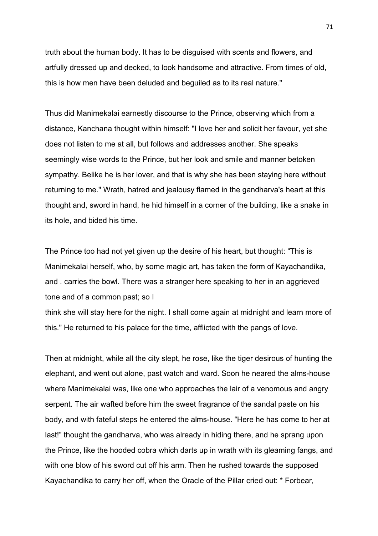truth about the human body. It has to be disguised with scents and flowers, and artfully dressed up and decked, to look handsome and attractive. From times of old, this is how men have been deluded and beguiled as to its real nature."

Thus did Manimekalai earnestly discourse to the Prince, observing which from a distance, Kanchana thought within himself: "I love her and solicit her favour, yet she does not listen to me at all, but follows and addresses another. She speaks seemingly wise words to the Prince, but her look and smile and manner betoken sympathy. Belike he is her lover, and that is why she has been staying here without returning to me." Wrath, hatred and jealousy flamed in the gandharva's heart at this thought and, sword in hand, he hid himself in a corner of the building, like a snake in its hole, and bided his time.

The Prince too had not yet given up the desire of his heart, but thought: "This is Manimekalai herself, who, by some magic art, has taken the form of Kayachandika, and . carries the bowl. There was a stranger here speaking to her in an aggrieved tone and of a common past; so I

think she will stay here for the night. I shall come again at midnight and learn more of this." He returned to his palace for the time, afflicted with the pangs of love.

Then at midnight, while all the city slept, he rose, like the tiger desirous of hunting the elephant, and went out alone, past watch and ward. Soon he neared the alms-house where Manimekalai was, like one who approaches the lair of a venomous and angry serpent. The air wafted before him the sweet fragrance of the sandal paste on his body, and with fateful steps he entered the alms-house. "Here he has come to her at last!" thought the gandharva, who was already in hiding there, and he sprang upon the Prince, like the hooded cobra which darts up in wrath with its gleaming fangs, and with one blow of his sword cut off his arm. Then he rushed towards the supposed Kayachandika to carry her off, when the Oracle of the Pillar cried out: \* Forbear,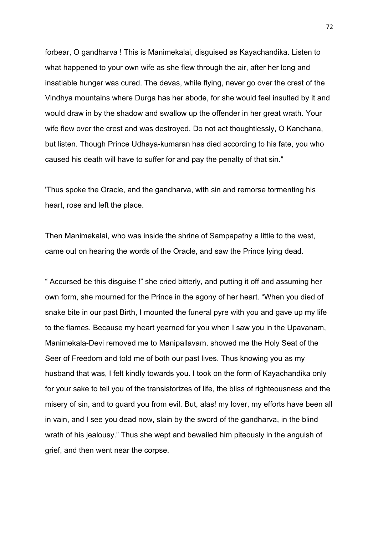forbear, O gandharva ! This is Manimekalai, disguised as Kayachandika. Listen to what happened to your own wife as she flew through the air, after her long and insatiable hunger was cured. The devas, while flying, never go over the crest of the Vindhya mountains where Durga has her abode, for she would feel insulted by it and would draw in by the shadow and swallow up the offender in her great wrath. Your wife flew over the crest and was destroyed. Do not act thoughtlessly, O Kanchana, but listen. Though Prince Udhaya-kumaran has died according to his fate, you who caused his death will have to suffer for and pay the penalty of that sin."

'Thus spoke the Oracle, and the gandharva, with sin and remorse tormenting his heart, rose and left the place.

Then Manimekalai, who was inside the shrine of Sampapathy a little to the west, came out on hearing the words of the Oracle, and saw the Prince lying dead.

" Accursed be this disguise !" she cried bitterly, and putting it off and assuming her own form, she mourned for the Prince in the agony of her heart. "When you died of snake bite in our past Birth, I mounted the funeral pyre with you and gave up my life to the flames. Because my heart yearned for you when I saw you in the Upavanam, Manimekala-Devi removed me to Manipallavam, showed me the Holy Seat of the Seer of Freedom and told me of both our past lives. Thus knowing you as my husband that was, I felt kindly towards you. I took on the form of Kayachandika only for your sake to tell you of the transistorizes of life, the bliss of righteousness and the misery of sin, and to guard you from evil. But, alas! my lover, my efforts have been all in vain, and I see you dead now, slain by the sword of the gandharva, in the blind wrath of his jealousy." Thus she wept and bewailed him piteously in the anguish of grief, and then went near the corpse.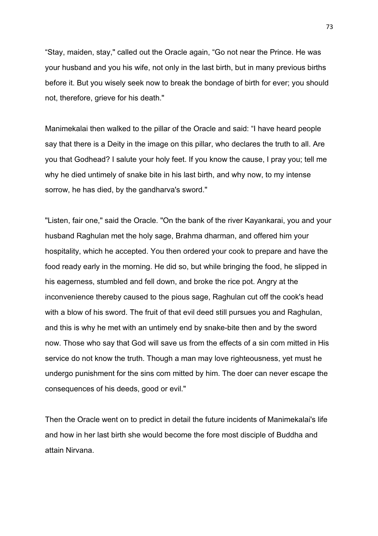"Stay, maiden, stay," called out the Oracle again, "Go not near the Prince. He was your husband and you his wife, not only in the last birth, but in many previous births before it. But you wisely seek now to break the bondage of birth for ever; you should not, therefore, grieve for his death."

Manimekalai then walked to the pillar of the Oracle and said: "I have heard people say that there is a Deity in the image on this pillar, who declares the truth to all. Are you that Godhead? I salute your holy feet. If you know the cause, I pray you; tell me why he died untimely of snake bite in his last birth, and why now, to my intense sorrow, he has died, by the gandharva's sword."

"Listen, fair one," said the Oracle. "On the bank of the river Kayankarai, you and your husband Raghulan met the holy sage, Brahma dharman, and offered him your hospitality, which he accepted. You then ordered your cook to prepare and have the food ready early in the morning. He did so, but while bringing the food, he slipped in his eagerness, stumbled and fell down, and broke the rice pot. Angry at the inconvenience thereby caused to the pious sage, Raghulan cut off the cook's head with a blow of his sword. The fruit of that evil deed still pursues you and Raghulan, and this is why he met with an untimely end by snake-bite then and by the sword now. Those who say that God will save us from the effects of a sin com mitted in His service do not know the truth. Though a man may love righteousness, yet must he undergo punishment for the sins com mitted by him. The doer can never escape the consequences of his deeds, good or evil."

Then the Oracle went on to predict in detail the future incidents of Manimekalai's life and how in her last birth she would become the fore most disciple of Buddha and attain Nirvana.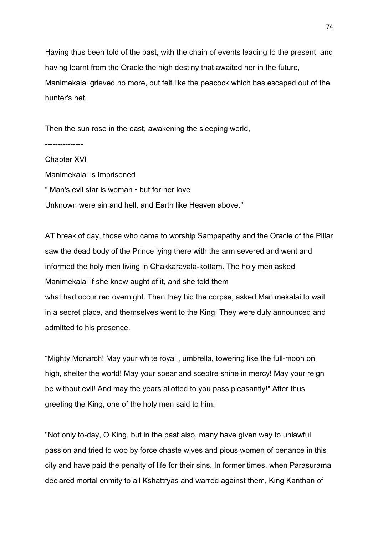Having thus been told of the past, with the chain of events leading to the present, and having learnt from the Oracle the high destiny that awaited her in the future, Manimekalai grieved no more, but felt like the peacock which has escaped out of the hunter's net.

Then the sun rose in the east, awakening the sleeping world,

---------------

Chapter XVI Manimekalai is Imprisoned " Man's evil star is woman • but for her love Unknown were sin and hell, and Earth like Heaven above."

AT break of day, those who came to worship Sampapathy and the Oracle of the Pillar saw the dead body of the Prince lying there with the arm severed and went and informed the holy men living in Chakkaravala-kottam. The holy men asked Manimekalai if she knew aught of it, and she told them what had occur red overnight. Then they hid the corpse, asked Manimekalai to wait in a secret place, and themselves went to the King. They were duly announced and admitted to his presence.

"Mighty Monarch! May your white royal , umbrella, towering like the full-moon on high, shelter the world! May your spear and sceptre shine in mercy! May your reign be without evil! And may the years allotted to you pass pleasantly!" After thus greeting the King, one of the holy men said to him:

"Not only to-day, O King, but in the past also, many have given way to unlawful passion and tried to woo by force chaste wives and pious women of penance in this city and have paid the penalty of life for their sins. In former times, when Parasurama declared mortal enmity to all Kshattryas and warred against them, King Kanthan of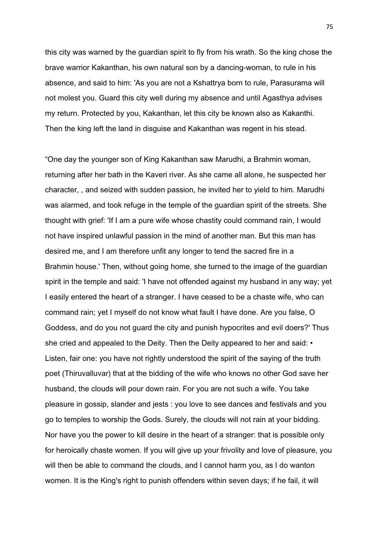this city was warned by the guardian spirit to fly from his wrath. So the king chose the brave warrior Kakanthan, his own natural son by a dancing-woman, to rule in his absence, and said to him: 'As you are not a Kshattrya born to rule, Parasurama will not molest you. Guard this city well during my absence and until Agasthya advises my return. Protected by you, Kakanthan, let this city be known also as Kakanthi. Then the king left the land in disguise and Kakanthan was regent in his stead.

"One day the younger son of King Kakanthan saw Marudhi, a Brahmin woman, returning after her bath in the Kaveri river. As she came all alone, he suspected her character, , and seized with sudden passion, he invited her to yield to him. Marudhi was alarmed, and took refuge in the temple of the guardian spirit of the streets. She thought with grief: 'If I am a pure wife whose chastity could command rain, I would not have inspired unlawful passion in the mind of another man. But this man has desired me, and I am therefore unfit any longer to tend the sacred fire in a Brahmin house.' Then, without going home, she turned to the image of the guardian spirit in the temple and said: 'I have not offended against my husband in any way; yet I easily entered the heart of a stranger. I have ceased to be a chaste wife, who can command rain; yet I myself do not know what fault I have done. Are you false, O Goddess, and do you not guard the city and punish hypocrites and evil doers?' Thus she cried and appealed to the Deity. Then the Deity appeared to her and said:  $\cdot$ Listen, fair one: you have not rightly understood the spirit of the saying of the truth poet (Thiruvalluvar) that at the bidding of the wife who knows no other God save her husband, the clouds will pour down rain. For you are not such a wife. You take pleasure in gossip, slander and jests : you love to see dances and festivals and you go to temples to worship the Gods. Surely, the clouds will not rain at your bidding. Nor have you the power to kill desire in the heart of a stranger: that is possible only for heroically chaste women. If you will give up your frivolity and love of pleasure, you will then be able to command the clouds, and I cannot harm you, as I do wanton women. It is the King's right to punish offenders within seven days; if he fail, it will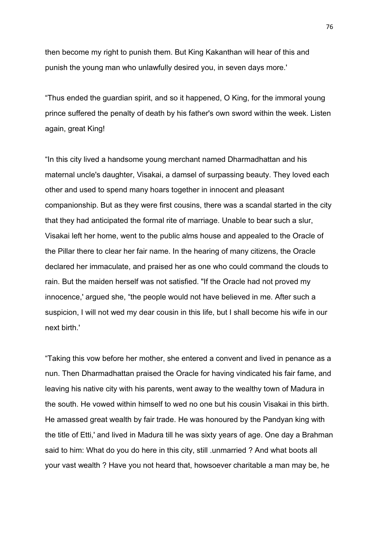then become my right to punish them. But King Kakanthan will hear of this and punish the young man who unlawfully desired you, in seven days more.'

"Thus ended the guardian spirit, and so it happened, O King, for the immoral young prince suffered the penalty of death by his father's own sword within the week. Listen again, great King!

"In this city lived a handsome young merchant named Dharmadhattan and his maternal uncle's daughter, Visakai, a damsel of surpassing beauty. They loved each other and used to spend many hoars together in innocent and pleasant companionship. But as they were first cousins, there was a scandal started in the city that they had anticipated the formal rite of marriage. Unable to bear such a slur, Visakai left her home, went to the public alms house and appealed to the Oracle of the Pillar there to clear her fair name. In the hearing of many citizens, the Oracle declared her immaculate, and praised her as one who could command the clouds to rain. But the maiden herself was not satisfied. "If the Oracle had not proved my innocence,' argued she, "the people would not have believed in me. After such a suspicion, I will not wed my dear cousin in this life, but I shall become his wife in our next birth.'

"Taking this vow before her mother, she entered a convent and lived in penance as a nun. Then Dharmadhattan praised the Oracle for having vindicated his fair fame, and leaving his native city with his parents, went away to the wealthy town of Madura in the south. He vowed within himself to wed no one but his cousin Visakai in this birth. He amassed great wealth by fair trade. He was honoured by the Pandyan king with the title of Etti,' and lived in Madura till he was sixty years of age. One day a Brahman said to him: What do you do here in this city, still .unmarried ? And what boots all your vast wealth ? Have you not heard that, howsoever charitable a man may be, he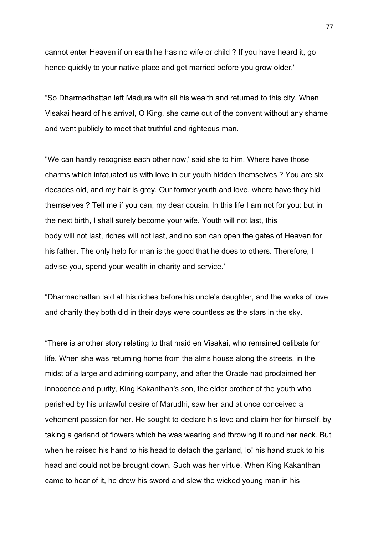cannot enter Heaven if on earth he has no wife or child ? If you have heard it, go hence quickly to your native place and get married before you grow older.'

"So Dharmadhattan left Madura with all his wealth and returned to this city. When Visakai heard of his arrival, O King, she came out of the convent without any shame and went publicly to meet that truthful and righteous man.

"We can hardly recognise each other now,' said she to him. Where have those charms which infatuated us with love in our youth hidden themselves ? You are six decades old, and my hair is grey. Our former youth and love, where have they hid themselves ? Tell me if you can, my dear cousin. In this life I am not for you: but in the next birth, I shall surely become your wife. Youth will not last, this body will not last, riches will not last, and no son can open the gates of Heaven for his father. The only help for man is the good that he does to others. Therefore, I advise you, spend your wealth in charity and service.'

"Dharmadhattan laid all his riches before his uncle's daughter, and the works of love and charity they both did in their days were countless as the stars in the sky.

"There is another story relating to that maid en Visakai, who remained celibate for life. When she was returning home from the alms house along the streets, in the midst of a large and admiring company, and after the Oracle had proclaimed her innocence and purity, King Kakanthan's son, the elder brother of the youth who perished by his unlawful desire of Marudhi, saw her and at once conceived a vehement passion for her. He sought to declare his love and claim her for himself, by taking a garland of flowers which he was wearing and throwing it round her neck. But when he raised his hand to his head to detach the garland, lo! his hand stuck to his head and could not be brought down. Such was her virtue. When King Kakanthan came to hear of it, he drew his sword and slew the wicked young man in his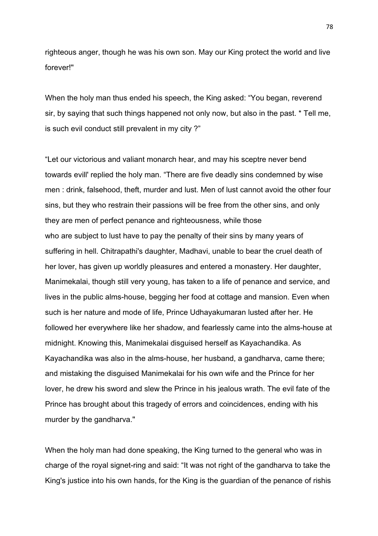righteous anger, though he was his own son. May our King protect the world and live forever!"

When the holy man thus ended his speech, the King asked: "You began, reverend sir, by saying that such things happened not only now, but also in the past. \* Tell me, is such evil conduct still prevalent in my city ?"

"Let our victorious and valiant monarch hear, and may his sceptre never bend towards evill' replied the holy man. "There are five deadly sins condemned by wise men : drink, falsehood, theft, murder and lust. Men of lust cannot avoid the other four sins, but they who restrain their passions will be free from the other sins, and only they are men of perfect penance and righteousness, while those who are subject to lust have to pay the penalty of their sins by many years of suffering in hell. Chitrapathi's daughter, Madhavi, unable to bear the cruel death of her lover, has given up worldly pleasures and entered a monastery. Her daughter, Manimekalai, though still very young, has taken to a life of penance and service, and lives in the public alms-house, begging her food at cottage and mansion. Even when such is her nature and mode of life, Prince Udhayakumaran lusted after her. He followed her everywhere like her shadow, and fearlessly came into the alms-house at midnight. Knowing this, Manimekalai disguised herself as Kayachandika. As Kayachandika was also in the alms-house, her husband, a gandharva, came there; and mistaking the disguised Manimekalai for his own wife and the Prince for her lover, he drew his sword and slew the Prince in his jealous wrath. The evil fate of the Prince has brought about this tragedy of errors and coincidences, ending with his murder by the gandharva."

When the holy man had done speaking, the King turned to the general who was in charge of the royal signet-ring and said: "It was not right of the gandharva to take the King's justice into his own hands, for the King is the guardian of the penance of rishis

78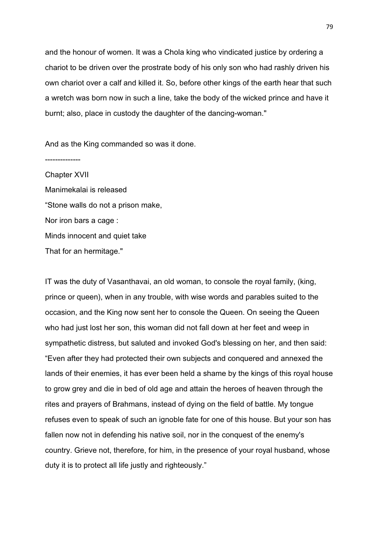and the honour of women. It was a Chola king who vindicated justice by ordering a chariot to be driven over the prostrate body of his only son who had rashly driven his own chariot over a calf and killed it. So, before other kings of the earth hear that such a wretch was born now in such a line, take the body of the wicked prince and have it burnt; also, place in custody the daughter of the dancing-woman."

And as the King commanded so was it done.

-------------- Chapter XVII Manimekalai is released "Stone walls do not a prison make, Nor iron bars a cage : Minds innocent and quiet take That for an hermitage."

IT was the duty of Vasanthavai, an old woman, to console the royal family, (king, prince or queen), when in any trouble, with wise words and parables suited to the occasion, and the King now sent her to console the Queen. On seeing the Queen who had just lost her son, this woman did not fall down at her feet and weep in sympathetic distress, but saluted and invoked God's blessing on her, and then said: "Even after they had protected their own subjects and conquered and annexed the lands of their enemies, it has ever been held a shame by the kings of this royal house to grow grey and die in bed of old age and attain the heroes of heaven through the rites and prayers of Brahmans, instead of dying on the field of battle. My tongue refuses even to speak of such an ignoble fate for one of this house. But your son has fallen now not in defending his native soil, nor in the conquest of the enemy's country. Grieve not, therefore, for him, in the presence of your royal husband, whose duty it is to protect all life justly and righteously."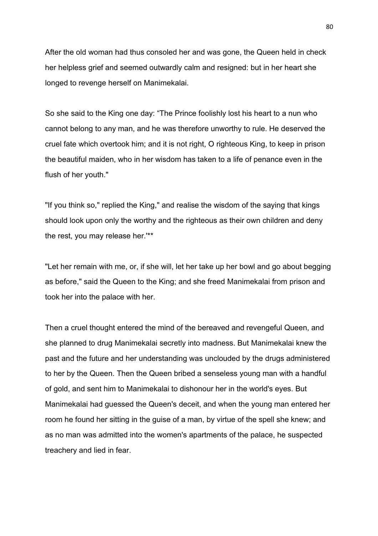After the old woman had thus consoled her and was gone, the Queen held in check her helpless grief and seemed outwardly calm and resigned: but in her heart she longed to revenge herself on Manimekalai.

So she said to the King one day: "The Prince foolishly lost his heart to a nun who cannot belong to any man, and he was therefore unworthy to rule. He deserved the cruel fate which overtook him; and it is not right, O righteous King, to keep in prison the beautiful maiden, who in her wisdom has taken to a life of penance even in the flush of her youth."

"If you think so," replied the King," and realise the wisdom of the saying that kings should look upon only the worthy and the righteous as their own children and deny the rest, you may release her.'\*\*

"Let her remain with me, or, if she will, let her take up her bowl and go about begging as before," said the Queen to the King; and she freed Manimekalai from prison and took her into the palace with her.

Then a cruel thought entered the mind of the bereaved and revengeful Queen, and she planned to drug Manimekalai secretly into madness. But Manimekalai knew the past and the future and her understanding was unclouded by the drugs administered to her by the Queen. Then the Queen bribed a senseless young man with a handful of gold, and sent him to Manimekalai to dishonour her in the world's eyes. But Manimekalai had guessed the Queen's deceit, and when the young man entered her room he found her sitting in the guise of a man, by virtue of the spell she knew; and as no man was admitted into the women's apartments of the palace, he suspected treachery and lied in fear.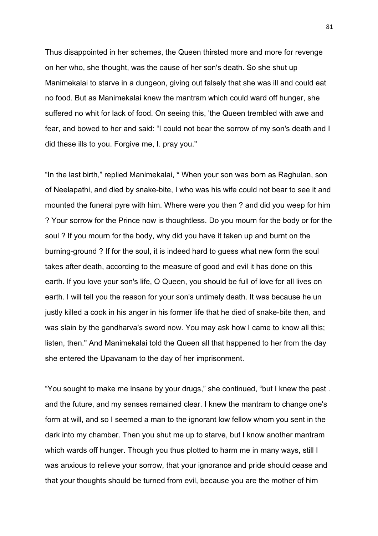Thus disappointed in her schemes, the Queen thirsted more and more for revenge on her who, she thought, was the cause of her son's death. So she shut up Manimekalai to starve in a dungeon, giving out falsely that she was ill and could eat no food. But as Manimekalai knew the mantram which could ward off hunger, she suffered no whit for lack of food. On seeing this, 'the Queen trembled with awe and fear, and bowed to her and said: "I could not bear the sorrow of my son's death and I did these ills to you. Forgive me, I. pray you."

"In the last birth," replied Manimekalai, \* When your son was born as Raghulan, son of Neelapathi, and died by snake-bite, I who was his wife could not bear to see it and mounted the funeral pyre with him. Where were you then ? and did you weep for him ? Your sorrow for the Prince now is thoughtless. Do you mourn for the body or for the soul ? If you mourn for the body, why did you have it taken up and burnt on the burning-ground ? If for the soul, it is indeed hard to guess what new form the soul takes after death, according to the measure of good and evil it has done on this earth. If you love your son's life, O Queen, you should be full of love for all lives on earth. I will tell you the reason for your son's untimely death. It was because he un justly killed a cook in his anger in his former life that he died of snake-bite then, and was slain by the gandharva's sword now. You may ask how I came to know all this; listen, then." And Manimekalai told the Queen all that happened to her from the day she entered the Upavanam to the day of her imprisonment.

"You sought to make me insane by your drugs," she continued, "but I knew the past . and the future, and my senses remained clear. I knew the mantram to change one's form at will, and so I seemed a man to the ignorant low fellow whom you sent in the dark into my chamber. Then you shut me up to starve, but I know another mantram which wards off hunger. Though you thus plotted to harm me in many ways, still I was anxious to relieve your sorrow, that your ignorance and pride should cease and that your thoughts should be turned from evil, because you are the mother of him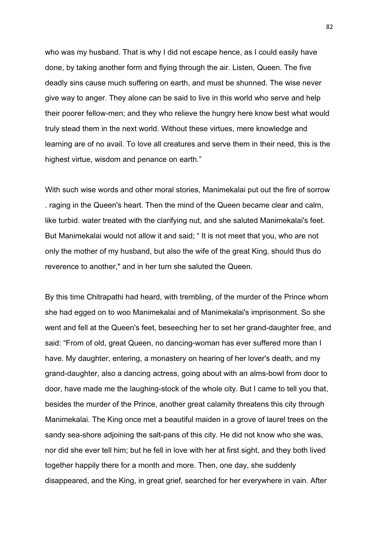who was my husband. That is why I did not escape hence, as I could easily have done, by taking another form and flying through the air. Listen, Queen. The five deadly sins cause much suffering on earth, and must be shunned. The wise never give way to anger. They alone can be said to live in this world who serve and help their poorer fellow-men; and they who relieve the hungry here know best what would truly stead them in the next world. Without these virtues, mere knowledge and learning are of no avail. To love all creatures and serve them in their need, this is the highest virtue, wisdom and penance on earth."

With such wise words and other moral stories, Manimekalai put out the fire of sorrow . raging in the Queen's heart. Then the mind of the Queen became clear and calm, like turbid. water treated with the clarifying nut, and she saluted Manimekalai's feet. But Manimekalai would not allow it and said; " It is not meet that you, who are not only the mother of my husband, but also the wife of the great King, should thus do reverence to another," and in her turn she saluted the Queen.

By this time Chitrapathi had heard, with trembling, of the murder of the Prince whom she had egged on to woo Manimekalai and of Manimekalai's imprisonment. So she went and fell at the Queen's feet, beseeching her to set her grand-daughter free, and said: "From of old, great Queen, no dancing-woman has ever suffered more than I have. My daughter, entering, a monastery on hearing of her lover's death, and my grand-daughter, also a dancing actress, going about with an alms-bowl from door to door, have made me the laughing-stock of the whole city. But I came to tell you that, besides the murder of the Prince, another great calamity threatens this city through Manimekalai. The King once met a beautiful maiden in a grove of laurel trees on the sandy sea-shore adjoining the salt-pans of this city. He did not know who she was, nor did she ever tell him; but he fell in love with her at first sight, and they both lived together happily there for a month and more. Then, one day, she suddenly disappeared, and the King, in great grief, searched for her everywhere in vain. After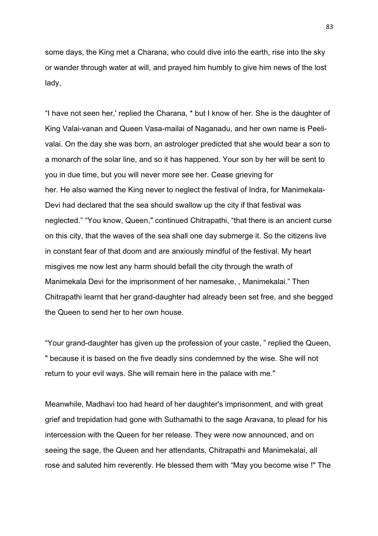some days, the King met a Charana, who could dive into the earth, rise into the sky or wander through water at will, and prayed him humbly to give him news of the lost lady,

"I have not seen her,' replied the Charana, \* but I know of her. She is the daughter of King Valai-vanan and Queen Vasa-mailai of Naganadu, and her own name is Peelivalai. On the day she was born, an astrologer predicted that she would bear a son to a monarch of the solar line, and so it has happened. Your son by her will be sent to you in due time, but you will never more see her. Cease grieving for her. He also warned the King never to neglect the festival of Indra, for Manimekala-Devi had declared that the sea should swallow up the city if that festival was neglected." "You know, Queen," continued Chitrapathi, "that there is an ancient curse on this city, that the waves of the sea shall one day submerge it. So the citizens live in constant fear of that doom and are anxiously mindful of the festival. My heart misgives me now lest any harm should befall the city through the wrath of Manimekala Devi for the imprisonment of her namesake, , Manimekalai." Then Chitrapathi learnt that her grand-daughter had already been set free, and she begged the Queen to send her to her own house.

"Your grand-daughter has given up the profession of your caste, " replied the Queen, " because it is based on the five deadly sins condemned by the wise. She will not return to your evil ways. She will remain here in the palace with me."

Meanwhile, Madhavi too had heard of her daughter's imprisonment, and with great grief and trepidation had gone with Suthamathi to the sage Aravana, to plead for his intercession with the Queen for her release. They were now announced, and on seeing the sage, the Queen and her attendants, Chitrapathi and Manimekalai, all rose and saluted him reverently. He blessed them with "May you become wise !" The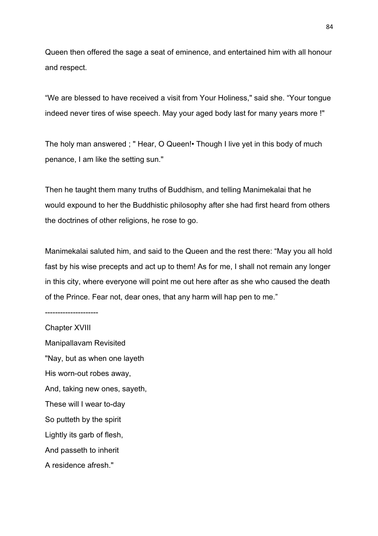Queen then offered the sage a seat of eminence, and entertained him with all honour and respect.

"We are blessed to have received a visit from Your Holiness," said she. "Your tongue indeed never tires of wise speech. May your aged body last for many years more !"

The holy man answered ; " Hear, O Queen!• Though I live yet in this body of much penance, I am like the setting sun."

Then he taught them many truths of Buddhism, and telling Manimekalai that he would expound to her the Buddhistic philosophy after she had first heard from others the doctrines of other religions, he rose to go.

Manimekalai saluted him, and said to the Queen and the rest there: "May you all hold fast by his wise precepts and act up to them! As for me, I shall not remain any longer in this city, where everyone will point me out here after as she who caused the death of the Prince. Fear not, dear ones, that any harm will hap pen to me."

Chapter XVIII Manipallavam Revisited "Nay, but as when one layeth His worn-out robes away, And, taking new ones, sayeth, These will I wear to-day So putteth by the spirit Lightly its garb of flesh, And passeth to inherit A residence afresh."

---------------------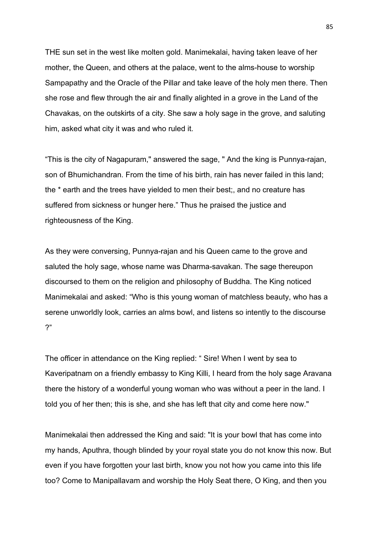THE sun set in the west like molten gold. Manimekalai, having taken leave of her mother, the Queen, and others at the palace, went to the alms-house to worship Sampapathy and the Oracle of the Pillar and take leave of the holy men there. Then she rose and flew through the air and finally alighted in a grove in the Land of the Chavakas, on the outskirts of a city. She saw a holy sage in the grove, and saluting him, asked what city it was and who ruled it.

"This is the city of Nagapuram," answered the sage, " And the king is Punnya-rajan, son of Bhumichandran. From the time of his birth, rain has never failed in this land; the \* earth and the trees have yielded to men their best;, and no creature has suffered from sickness or hunger here." Thus he praised the justice and righteousness of the King.

As they were conversing, Punnya-rajan and his Queen came to the grove and saluted the holy sage, whose name was Dharma-savakan. The sage thereupon discoursed to them on the religion and philosophy of Buddha. The King noticed Manimekalai and asked: "Who is this young woman of matchless beauty, who has a serene unworldly look, carries an alms bowl, and listens so intently to the discourse ?"

The officer in attendance on the King replied: " Sire! When I went by sea to Kaveripatnam on a friendly embassy to King Killi, I heard from the holy sage Aravana there the history of a wonderful young woman who was without a peer in the land. I told you of her then; this is she, and she has left that city and come here now."

Manimekalai then addressed the King and said: "It is your bowl that has come into my hands, Aputhra, though blinded by your royal state you do not know this now. But even if you have forgotten your last birth, know you not how you came into this life too? Come to Manipallavam and worship the Holy Seat there, O King, and then you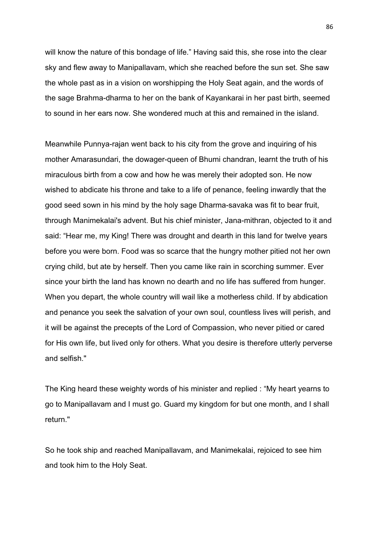will know the nature of this bondage of life." Having said this, she rose into the clear sky and flew away to Manipallavam, which she reached before the sun set. She saw the whole past as in a vision on worshipping the Holy Seat again, and the words of the sage Brahma-dharma to her on the bank of Kayankarai in her past birth, seemed to sound in her ears now. She wondered much at this and remained in the island.

Meanwhile Punnya-rajan went back to his city from the grove and inquiring of his mother Amarasundari, the dowager-queen of Bhumi chandran, learnt the truth of his miraculous birth from a cow and how he was merely their adopted son. He now wished to abdicate his throne and take to a life of penance, feeling inwardly that the good seed sown in his mind by the holy sage Dharma-savaka was fit to bear fruit, through Manimekalai's advent. But his chief minister, Jana-mithran, objected to it and said: "Hear me, my King! There was drought and dearth in this land for twelve years before you were born. Food was so scarce that the hungry mother pitied not her own crying child, but ate by herself. Then you came like rain in scorching summer. Ever since your birth the land has known no dearth and no life has suffered from hunger. When you depart, the whole country will wail like a motherless child. If by abdication and penance you seek the salvation of your own soul, countless lives will perish, and it will be against the precepts of the Lord of Compassion, who never pitied or cared for His own life, but lived only for others. What you desire is therefore utterly perverse and selfish."

The King heard these weighty words of his minister and replied : "My heart yearns to go to Manipallavam and I must go. Guard my kingdom for but one month, and I shall return."

So he took ship and reached Manipallavam, and Manimekalai, rejoiced to see him and took him to the Holy Seat.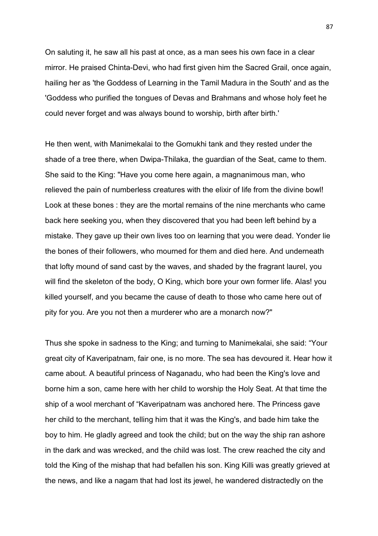On saluting it, he saw all his past at once, as a man sees his own face in a clear mirror. He praised Chinta-Devi, who had first given him the Sacred Grail, once again, hailing her as 'the Goddess of Learning in the Tamil Madura in the South' and as the 'Goddess who purified the tongues of Devas and Brahmans and whose holy feet he could never forget and was always bound to worship, birth after birth.'

He then went, with Manimekalai to the Gomukhi tank and they rested under the shade of a tree there, when Dwipa-Thilaka, the guardian of the Seat, came to them. She said to the King: "Have you come here again, a magnanimous man, who relieved the pain of numberless creatures with the elixir of life from the divine bowl! Look at these bones : they are the mortal remains of the nine merchants who came back here seeking you, when they discovered that you had been left behind by a mistake. They gave up their own lives too on learning that you were dead. Yonder lie the bones of their followers, who mourned for them and died here. And underneath that lofty mound of sand cast by the waves, and shaded by the fragrant laurel, you will find the skeleton of the body, O King, which bore your own former life. Alas! you killed yourself, and you became the cause of death to those who came here out of pity for you. Are you not then a murderer who are a monarch now?"

Thus she spoke in sadness to the King; and turning to Manimekalai, she said: "Your great city of Kaveripatnam, fair one, is no more. The sea has devoured it. Hear how it came about. A beautiful princess of Naganadu, who had been the King's love and borne him a son, came here with her child to worship the Holy Seat. At that time the ship of a wool merchant of "Kaveripatnam was anchored here. The Princess gave her child to the merchant, telling him that it was the King's, and bade him take the boy to him. He gladly agreed and took the child; but on the way the ship ran ashore in the dark and was wrecked, and the child was lost. The crew reached the city and told the King of the mishap that had befallen his son. King Killi was greatly grieved at the news, and like a nagam that had lost its jewel, he wandered distractedly on the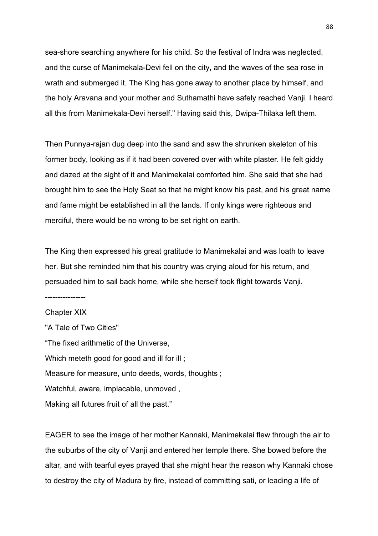sea-shore searching anywhere for his child. So the festival of Indra was neglected, and the curse of Manimekala-Devi fell on the city, and the waves of the sea rose in wrath and submerged it. The King has gone away to another place by himself, and the holy Aravana and your mother and Suthamathi have safely reached Vanji. I heard all this from Manimekala-Devi herself." Having said this, Dwipa-Thilaka left them.

Then Punnya-rajan dug deep into the sand and saw the shrunken skeleton of his former body, looking as if it had been covered over with white plaster. He felt giddy and dazed at the sight of it and Manimekalai comforted him. She said that she had brought him to see the Holy Seat so that he might know his past, and his great name and fame might be established in all the lands. If only kings were righteous and merciful, there would be no wrong to be set right on earth.

The King then expressed his great gratitude to Manimekalai and was loath to leave her. But she reminded him that his country was crying aloud for his return, and persuaded him to sail back home, while she herself took flight towards Vanji.

----------------

Chapter XIX "A Tale of Two Cities" "The fixed arithmetic of the Universe, Which meteth good for good and ill for ill; Measure for measure, unto deeds, words, thoughts ; Watchful, aware, implacable, unmoved , Making all futures fruit of all the past."

EAGER to see the image of her mother Kannaki, Manimekalai flew through the air to the suburbs of the city of Vanji and entered her temple there. She bowed before the altar, and with tearful eyes prayed that she might hear the reason why Kannaki chose to destroy the city of Madura by fire, instead of committing sati, or leading a life of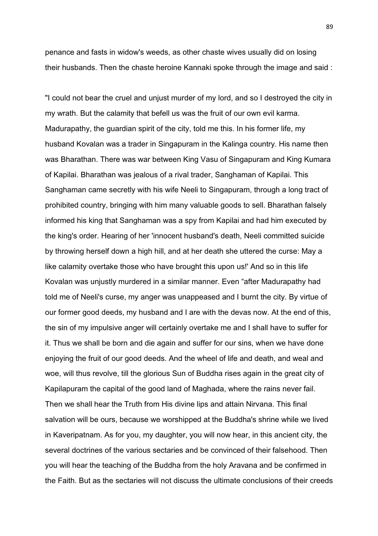penance and fasts in widow's weeds, as other chaste wives usually did on losing their husbands. Then the chaste heroine Kannaki spoke through the image and said :

"I could not bear the cruel and unjust murder of my lord, and so I destroyed the city in my wrath. But the calamity that befell us was the fruit of our own evil karma. Madurapathy, the guardian spirit of the city, told me this. In his former life, my husband Kovalan was a trader in Singapuram in the Kalinga country. His name then was Bharathan. There was war between King Vasu of Singapuram and King Kumara of Kapilai. Bharathan was jealous of a rival trader, Sanghaman of Kapilai. This Sanghaman came secretly with his wife Neeli to Singapuram, through a long tract of prohibited country, bringing with him many valuable goods to sell. Bharathan falsely informed his king that Sanghaman was a spy from Kapilai and had him executed by the king's order. Hearing of her 'innocent husband's death, Neeli committed suicide by throwing herself down a high hill, and at her death she uttered the curse: May a like calamity overtake those who have brought this upon us!' And so in this life Kovalan was unjustly murdered in a similar manner. Even "after Madurapathy had told me of Neeli's curse, my anger was unappeased and I burnt the city. By virtue of our former good deeds, my husband and I are with the devas now. At the end of this, the sin of my impulsive anger will certainly overtake me and I shall have to suffer for it. Thus we shall be born and die again and suffer for our sins, when we have done enjoying the fruit of our good deeds. And the wheel of life and death, and weal and woe, will thus revolve, till the glorious Sun of Buddha rises again in the great city of Kapilapuram the capital of the good land of Maghada, where the rains never fail. Then we shall hear the Truth from His divine lips and attain Nirvana. This final salvation will be ours, because we worshipped at the Buddha's shrine while we lived in Kaveripatnam. As for you, my daughter, you will now hear, in this ancient city, the several doctrines of the various sectaries and be convinced of their falsehood. Then you will hear the teaching of the Buddha from the holy Aravana and be confirmed in the Faith. But as the sectaries will not discuss the ultimate conclusions of their creeds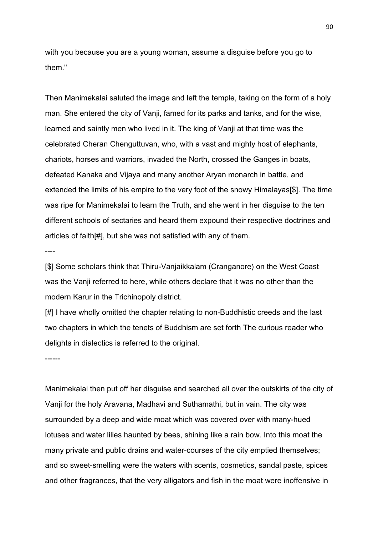with you because you are a young woman, assume a disguise before you go to them."

Then Manimekalai saluted the image and left the temple, taking on the form of a holy man. She entered the city of Vanji, famed for its parks and tanks, and for the wise, learned and saintly men who lived in it. The king of Vanji at that time was the celebrated Cheran Chenguttuvan, who, with a vast and mighty host of elephants, chariots, horses and warriors, invaded the North, crossed the Ganges in boats, defeated Kanaka and Vijaya and many another Aryan monarch in battle, and extended the limits of his empire to the very foot of the snowy Himalayas[\$]. The time was ripe for Manimekalai to learn the Truth, and she went in her disguise to the ten different schools of sectaries and heard them expound their respective doctrines and articles of faith[#], but she was not satisfied with any of them.

----

[\$] Some scholars think that Thiru-Vanjaikkalam (Cranganore) on the West Coast was the Vanji referred to here, while others declare that it was no other than the modern Karur in the Trichinopoly district.

[#] I have wholly omitted the chapter relating to non-Buddhistic creeds and the last two chapters in which the tenets of Buddhism are set forth The curious reader who delights in dialectics is referred to the original.

------

Manimekalai then put off her disguise and searched all over the outskirts of the city of Vanji for the holy Aravana, Madhavi and Suthamathi, but in vain. The city was surrounded by a deep and wide moat which was covered over with many-hued lotuses and water lilies haunted by bees, shining like a rain bow. Into this moat the many private and public drains and water-courses of the city emptied themselves; and so sweet-smelling were the waters with scents, cosmetics, sandal paste, spices and other fragrances, that the very alligators and fish in the moat were inoffensive in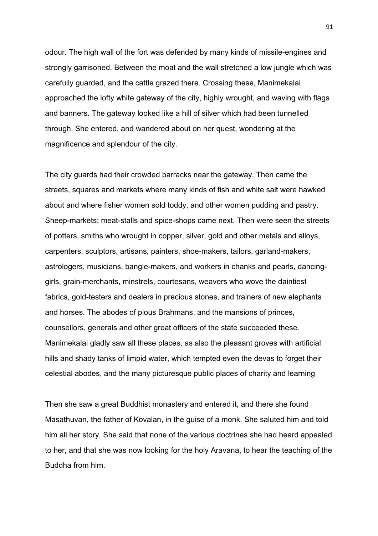odour. The high wall of the fort was defended by many kinds of missile-engines and strongly garrisoned. Between the moat and the wall stretched a low jungle which was carefully guarded, and the cattle grazed there. Crossing these, Manimekalai approached the lofty white gateway of the city, highly wrought, and waving with flags and banners. The gateway looked like a hill of silver which had been tunnelled through. She entered, and wandered about on her quest, wondering at the magnificence and splendour of the city.

The city guards had their crowded barracks near the gateway. Then came the streets, squares and markets where many kinds of fish and white salt were hawked about and where fisher women sold toddy, and other women pudding and pastry. Sheep-markets; meat-stalls and spice-shops came next. Then were seen the streets of potters, smiths who wrought in copper, silver, gold and other metals and alloys, carpenters, sculptors, artisans, painters, shoe-makers, tailors, garland-makers, astrologers, musicians, bangle-makers, and workers in chanks and pearls, dancinggirls, grain-merchants, minstrels, courtesans, weavers who wove the daintiest fabrics, gold-testers and dealers in precious stones, and trainers of new elephants and horses. The abodes of pious Brahmans, and the mansions of princes, counsellors, generals and other great officers of the state succeeded these. Manimekalai gladly saw all these places, as also the pleasant groves with artificial hills and shady tanks of limpid water, which tempted even the devas to forget their celestial abodes, and the many picturesque public places of charity and learning

Then she saw a great Buddhist monastery and entered it, and there she found Masathuvan, the father of Kovalan, in the guise of a monk. She saluted him and told him all her story. She said that none of the various doctrines she had heard appealed to her, and that she was now looking for the holy Aravana, to hear the teaching of the Buddha from him.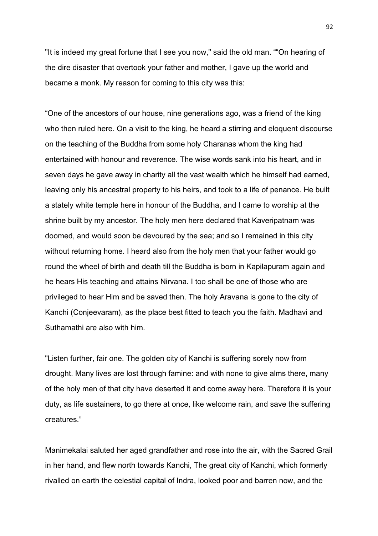"It is indeed my great fortune that I see you now," said the old man. ""On hearing of the dire disaster that overtook your father and mother, I gave up the world and became a monk. My reason for coming to this city was this:

"One of the ancestors of our house, nine generations ago, was a friend of the king who then ruled here. On a visit to the king, he heard a stirring and eloquent discourse on the teaching of the Buddha from some holy Charanas whom the king had entertained with honour and reverence. The wise words sank into his heart, and in seven days he gave away in charity all the vast wealth which he himself had earned, leaving only his ancestral property to his heirs, and took to a life of penance. He built a stately white temple here in honour of the Buddha, and I came to worship at the shrine built by my ancestor. The holy men here declared that Kaveripatnam was doomed, and would soon be devoured by the sea; and so I remained in this city without returning home. I heard also from the holy men that your father would go round the wheel of birth and death till the Buddha is born in Kapilapuram again and he hears His teaching and attains Nirvana. I too shall be one of those who are privileged to hear Him and be saved then. The holy Aravana is gone to the city of Kanchi (Conjeevaram), as the place best fitted to teach you the faith. Madhavi and Suthamathi are also with him.

"Listen further, fair one. The golden city of Kanchi is suffering sorely now from drought. Many lives are lost through famine: and with none to give alms there, many of the holy men of that city have deserted it and come away here. Therefore it is your duty, as life sustainers, to go there at once, like welcome rain, and save the suffering creatures."

Manimekalai saluted her aged grandfather and rose into the air, with the Sacred Grail in her hand, and flew north towards Kanchi, The great city of Kanchi, which formerly rivalled on earth the celestial capital of Indra, looked poor and barren now, and the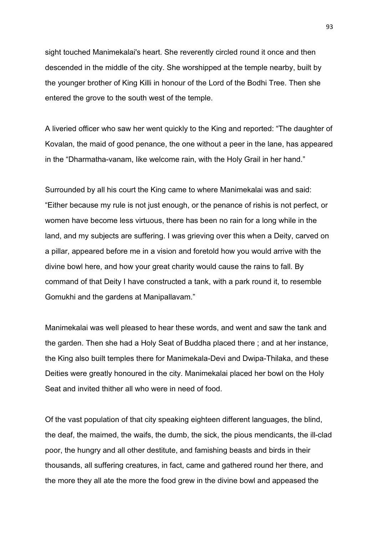sight touched Manimekalai's heart. She reverently circled round it once and then descended in the middle of the city. She worshipped at the temple nearby, built by the younger brother of King Killi in honour of the Lord of the Bodhi Tree. Then she entered the grove to the south west of the temple.

A liveried officer who saw her went quickly to the King and reported: "The daughter of Kovalan, the maid of good penance, the one without a peer in the lane, has appeared in the "Dharmatha-vanam, like welcome rain, with the Holy Grail in her hand."

Surrounded by all his court the King came to where Manimekalai was and said: "Either because my rule is not just enough, or the penance of rishis is not perfect, or women have become less virtuous, there has been no rain for a long while in the land, and my subjects are suffering. I was grieving over this when a Deity, carved on a pillar, appeared before me in a vision and foretold how you would arrive with the divine bowl here, and how your great charity would cause the rains to fall. By command of that Deity I have constructed a tank, with a park round it, to resemble Gomukhi and the gardens at Manipallavam."

Manimekalai was well pleased to hear these words, and went and saw the tank and the garden. Then she had a Holy Seat of Buddha placed there ; and at her instance, the King also built temples there for Manimekala-Devi and Dwipa-Thilaka, and these Deities were greatly honoured in the city. Manimekalai placed her bowl on the Holy Seat and invited thither all who were in need of food.

Of the vast population of that city speaking eighteen different languages, the blind, the deaf, the maimed, the waifs, the dumb, the sick, the pious mendicants, the ill-clad poor, the hungry and all other destitute, and famishing beasts and birds in their thousands, all suffering creatures, in fact, came and gathered round her there, and the more they all ate the more the food grew in the divine bowl and appeased the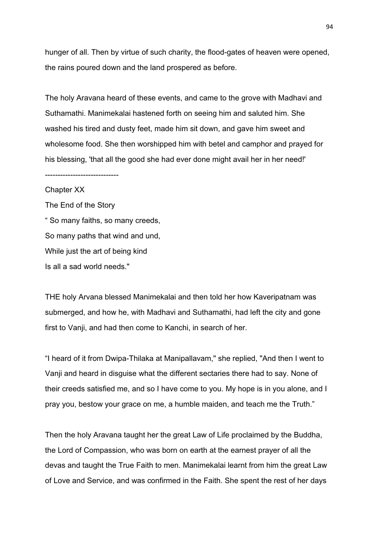hunger of all. Then by virtue of such charity, the flood-gates of heaven were opened, the rains poured down and the land prospered as before.

The holy Aravana heard of these events, and came to the grove with Madhavi and Suthamathi. Manimekalai hastened forth on seeing him and saluted him. She washed his tired and dusty feet, made him sit down, and gave him sweet and wholesome food. She then worshipped him with betel and camphor and prayed for his blessing, 'that all the good she had ever done might avail her in her need!'

Chapter XX The End of the Story " So many faiths, so many creeds, So many paths that wind and und, While just the art of being kind Is all a sad world needs."

-----------------------------

THE holy Arvana blessed Manimekalai and then told her how Kaveripatnam was submerged, and how he, with Madhavi and Suthamathi, had left the city and gone first to Vanji, and had then come to Kanchi, in search of her.

"I heard of it from Dwipa-Thilaka at Manipallavam," she replied, "And then I went to Vanji and heard in disguise what the different sectaries there had to say. None of their creeds satisfied me, and so I have come to you. My hope is in you alone, and I pray you, bestow your grace on me, a humble maiden, and teach me the Truth."

Then the holy Aravana taught her the great Law of Life proclaimed by the Buddha, the Lord of Compassion, who was born on earth at the earnest prayer of all the devas and taught the True Faith to men. Manimekalai learnt from him the great Law of Love and Service, and was confirmed in the Faith. She spent the rest of her days